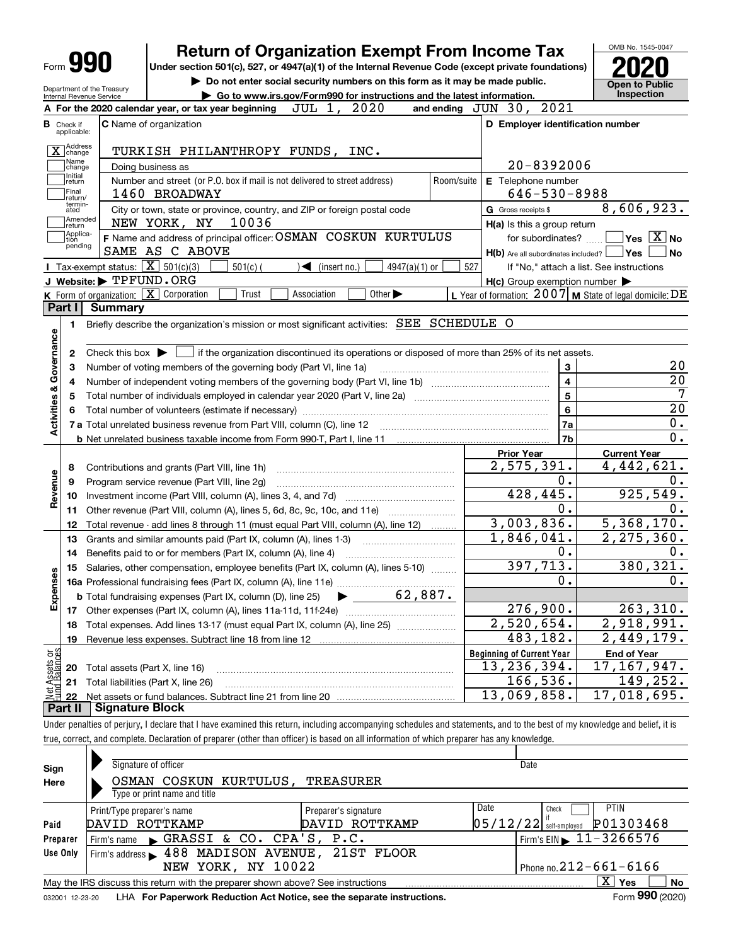| Form <b>990</b>                               |                                                                                            |                   | <b>Return of Organization Exempt From Income Tax</b><br>Under section 501(c), 527, or 4947(a)(1) of the Internal Revenue Code (except private foundations) |            |                                                                                                                                                     |                             |                               |            |     |                                                     |                    |                         | OMB No. 1545-0047                                         |                                                                                                    |
|-----------------------------------------------|--------------------------------------------------------------------------------------------|-------------------|------------------------------------------------------------------------------------------------------------------------------------------------------------|------------|-----------------------------------------------------------------------------------------------------------------------------------------------------|-----------------------------|-------------------------------|------------|-----|-----------------------------------------------------|--------------------|-------------------------|-----------------------------------------------------------|----------------------------------------------------------------------------------------------------|
| Department of the Treasury                    |                                                                                            |                   | Do not enter social security numbers on this form as it may be made public.                                                                                |            |                                                                                                                                                     |                             |                               |            |     |                                                     |                    |                         | <b>Open to Public</b>                                     |                                                                                                    |
| Internal Revenue Service                      |                                                                                            |                   |                                                                                                                                                            |            | Go to www.irs.gov/Form990 for instructions and the latest information.                                                                              |                             |                               |            |     |                                                     |                    |                         | <b>Inspection</b>                                         |                                                                                                    |
|                                               | A For the 2020 calendar year, or tax year beginning                                        |                   |                                                                                                                                                            |            | JUL 1, 2020                                                                                                                                         |                             |                               |            |     | and ending JUN 30, 2021                             |                    |                         |                                                           |                                                                                                    |
| <b>B</b> Check if<br>applicable:              | <b>C</b> Name of organization                                                              |                   |                                                                                                                                                            |            |                                                                                                                                                     |                             |                               |            |     |                                                     |                    |                         | D Employer identification number                          |                                                                                                    |
| Address<br>change                             |                                                                                            |                   | TURKISH PHILANTHROPY FUNDS, INC.                                                                                                                           |            |                                                                                                                                                     |                             |                               |            |     |                                                     |                    |                         |                                                           |                                                                                                    |
| Name<br>change                                |                                                                                            | Doing business as |                                                                                                                                                            |            |                                                                                                                                                     |                             |                               |            |     |                                                     | 20-8392006         |                         |                                                           |                                                                                                    |
| Initial<br>return                             |                                                                                            |                   | Number and street (or P.O. box if mail is not delivered to street address)                                                                                 |            |                                                                                                                                                     |                             |                               | Room/suite |     | E Telephone number                                  |                    |                         |                                                           |                                                                                                    |
| Final<br>return/                              |                                                                                            | 1460 BROADWAY     |                                                                                                                                                            |            |                                                                                                                                                     |                             |                               |            |     |                                                     | $646 - 530 - 8988$ |                         |                                                           |                                                                                                    |
| termin-<br>ated                               |                                                                                            |                   | City or town, state or province, country, and ZIP or foreign postal code                                                                                   |            |                                                                                                                                                     |                             |                               |            |     | G Gross receipts \$                                 |                    |                         | 8,606,923.                                                |                                                                                                    |
| Amended<br> return                            |                                                                                            | NEW YORK, NY      |                                                                                                                                                            | 10036      |                                                                                                                                                     |                             |                               |            |     | H(a) Is this a group return                         |                    |                         |                                                           |                                                                                                    |
| Applica-<br>tion                              |                                                                                            |                   | F Name and address of principal officer: OSMAN COSKUN KURTULUS                                                                                             |            |                                                                                                                                                     |                             |                               |            |     |                                                     | for subordinates?  |                         | $\sqrt{}$ Yes $\sqrt{}$ X $\sqrt{}$ No                    |                                                                                                    |
| pending                                       | SAME AS C ABOVE                                                                            |                   |                                                                                                                                                            |            |                                                                                                                                                     |                             |                               |            |     |                                                     |                    |                         | $H(b)$ Are all subordinates included? $\Box$ Yes $\Box$   | No                                                                                                 |
|                                               | Tax-exempt status: $\boxed{\mathbf{X}}$ 501(c)(3)                                          |                   |                                                                                                                                                            | $501(c)$ ( | $\blacktriangleleft$ (insert no.)                                                                                                                   |                             | 4947(a)(1) or                 |            | 527 |                                                     |                    |                         | If "No," attach a list. See instructions                  |                                                                                                    |
|                                               | J Website: FPFUND. ORG                                                                     |                   |                                                                                                                                                            |            |                                                                                                                                                     |                             |                               |            |     | $H(c)$ Group exemption number $\blacktriangleright$ |                    |                         |                                                           |                                                                                                    |
|                                               | K Form of organization: X Corporation                                                      |                   |                                                                                                                                                            | Trust      | Association                                                                                                                                         | Other $\blacktriangleright$ |                               |            |     |                                                     |                    |                         | L Year of formation: 2007   M State of legal domicile: DE |                                                                                                    |
| Part I                                        | <b>Summary</b>                                                                             |                   |                                                                                                                                                            |            |                                                                                                                                                     |                             |                               |            |     |                                                     |                    |                         |                                                           |                                                                                                    |
| 1.                                            | Briefly describe the organization's mission or most significant activities: SEE SCHEDULE O |                   |                                                                                                                                                            |            |                                                                                                                                                     |                             |                               |            |     |                                                     |                    |                         |                                                           |                                                                                                    |
|                                               |                                                                                            |                   |                                                                                                                                                            |            |                                                                                                                                                     |                             |                               |            |     |                                                     |                    |                         |                                                           |                                                                                                    |
|                                               |                                                                                            |                   |                                                                                                                                                            |            |                                                                                                                                                     |                             |                               |            |     |                                                     |                    |                         |                                                           |                                                                                                    |
| 2                                             |                                                                                            |                   |                                                                                                                                                            |            | Check this box $\blacktriangleright$ $\blacksquare$ if the organization discontinued its operations or disposed of more than 25% of its net assets. |                             |                               |            |     |                                                     |                    |                         |                                                           |                                                                                                    |
| З                                             | Number of voting members of the governing body (Part VI, line 1a)                          |                   |                                                                                                                                                            |            |                                                                                                                                                     |                             |                               |            |     |                                                     |                    | 3                       |                                                           |                                                                                                    |
| 4                                             |                                                                                            |                   |                                                                                                                                                            |            |                                                                                                                                                     |                             |                               |            |     |                                                     |                    | $\overline{\mathbf{4}}$ |                                                           |                                                                                                    |
| 5                                             |                                                                                            |                   |                                                                                                                                                            |            |                                                                                                                                                     |                             |                               |            |     |                                                     |                    | 5                       |                                                           |                                                                                                    |
|                                               |                                                                                            |                   |                                                                                                                                                            |            |                                                                                                                                                     |                             |                               |            |     |                                                     |                    | 6                       |                                                           |                                                                                                    |
|                                               | 7 a Total unrelated business revenue from Part VIII, column (C), line 12                   |                   |                                                                                                                                                            |            |                                                                                                                                                     |                             |                               |            |     |                                                     |                    | 7a                      |                                                           |                                                                                                    |
|                                               |                                                                                            |                   |                                                                                                                                                            |            |                                                                                                                                                     |                             |                               |            |     |                                                     |                    | 7b                      |                                                           |                                                                                                    |
|                                               |                                                                                            |                   |                                                                                                                                                            |            |                                                                                                                                                     |                             |                               |            |     | <b>Prior Year</b>                                   |                    |                         | <b>Current Year</b>                                       |                                                                                                    |
| 8                                             | Contributions and grants (Part VIII, line 1h)                                              |                   |                                                                                                                                                            |            |                                                                                                                                                     |                             |                               |            |     | 2,575,391.                                          |                    |                         | 4,442,621.                                                |                                                                                                    |
| 9                                             | Program service revenue (Part VIII, line 2g)                                               |                   |                                                                                                                                                            |            |                                                                                                                                                     |                             |                               |            |     |                                                     |                    | 0.                      |                                                           |                                                                                                    |
| 10                                            |                                                                                            |                   |                                                                                                                                                            |            |                                                                                                                                                     |                             |                               |            |     |                                                     | 428,445.           |                         | 925,549.                                                  |                                                                                                    |
| 11                                            | Other revenue (Part VIII, column (A), lines 5, 6d, 8c, 9c, 10c, and 11e)                   |                   |                                                                                                                                                            |            |                                                                                                                                                     |                             |                               |            |     |                                                     |                    | 0.                      |                                                           |                                                                                                    |
| 12                                            | Total revenue - add lines 8 through 11 (must equal Part VIII, column (A), line 12)         |                   |                                                                                                                                                            |            |                                                                                                                                                     |                             |                               |            |     | 3,003,836.                                          |                    |                         | 5,368,170.                                                |                                                                                                    |
| 13                                            | Grants and similar amounts paid (Part IX, column (A), lines 1-3)                           |                   |                                                                                                                                                            |            |                                                                                                                                                     |                             |                               |            |     | 1,846,041.                                          |                    |                         | 2,275,360.                                                |                                                                                                    |
| 14                                            | Benefits paid to or for members (Part IX, column (A), line 4)                              |                   |                                                                                                                                                            |            |                                                                                                                                                     |                             |                               |            |     |                                                     |                    | $0$ .                   |                                                           |                                                                                                    |
|                                               | 15 Salaries, other compensation, employee benefits (Part IX, column (A), lines 5-10)       |                   |                                                                                                                                                            |            |                                                                                                                                                     |                             |                               |            |     |                                                     | 397,713.           |                         | 380, 321.                                                 |                                                                                                    |
|                                               |                                                                                            |                   |                                                                                                                                                            |            |                                                                                                                                                     |                             |                               |            |     |                                                     |                    | 0.                      |                                                           |                                                                                                    |
|                                               | <b>b</b> Total fundraising expenses (Part IX, column (D), line 25)                         |                   |                                                                                                                                                            |            |                                                                                                                                                     |                             | $\blacktriangleright$ 62,887. |            |     |                                                     |                    |                         |                                                           |                                                                                                    |
| w<br>17                                       |                                                                                            |                   |                                                                                                                                                            |            |                                                                                                                                                     |                             |                               |            |     |                                                     | 276,900.           |                         | 263, 310.                                                 |                                                                                                    |
| 18                                            | Total expenses. Add lines 13-17 (must equal Part IX, column (A), line 25)                  |                   |                                                                                                                                                            |            |                                                                                                                                                     |                             |                               |            |     | 2,520,654.                                          |                    |                         | 2,918,991.                                                |                                                                                                    |
| 19                                            |                                                                                            |                   |                                                                                                                                                            |            |                                                                                                                                                     |                             |                               |            |     |                                                     | 483,182.           |                         | 2,449,179.                                                |                                                                                                    |
| Activities & Governance<br>Revenue<br>Expense |                                                                                            |                   |                                                                                                                                                            |            |                                                                                                                                                     |                             |                               |            |     | <b>Beginning of Current Year</b>                    |                    |                         | <b>End of Year</b>                                        | 20<br>20<br>$\overline{7}$<br>$\overline{20}$<br>0.<br>$\overline{0}$ .<br>0.<br>0.<br>0.<br>$0$ . |
| 20                                            | Total assets (Part X, line 16)                                                             |                   |                                                                                                                                                            |            |                                                                                                                                                     |                             |                               |            |     | 13, 236, 394.                                       |                    |                         | 17, 167, 947.                                             |                                                                                                    |
| 21                                            | Total liabilities (Part X, line 26)                                                        |                   |                                                                                                                                                            |            |                                                                                                                                                     |                             |                               |            |     |                                                     | 166, 536.          |                         | 149,252.                                                  |                                                                                                    |
| t Assets or<br>d Balances<br>22               |                                                                                            |                   |                                                                                                                                                            |            |                                                                                                                                                     |                             |                               |            |     | $\overline{13}$ , 069, 858.                         |                    |                         | 17,018,695.                                               |                                                                                                    |

| Sign     | Signature of officer                                                            |                                        | Date                                                                  |
|----------|---------------------------------------------------------------------------------|----------------------------------------|-----------------------------------------------------------------------|
| Here     | OSMAN COSKUN KURTULUS,<br>Type or print name and title                          | TREASURER                              |                                                                       |
| Paid     | Print/Type preparer's name<br>DAVID ROTTKAMP                                    | Preparer's signature<br>DAVID ROTTKAMP | Date<br><b>PTIN</b><br>Check<br>P01303468<br>$05/12/22$ self-employed |
| Preparer | Firm's name GRASSI & CO. CPA'S, P.C.                                            |                                        | Firm's EIN 11-3266576                                                 |
| Use Only | Firm's address > 488 MADISON AVENUE, 21ST FLOOR<br>NEW YORK, NY 10022           |                                        | Phone no. $212 - 661 - 6166$                                          |
|          | May the IRS discuss this return with the preparer shown above? See instructions |                                        | $\mathbf{x}$<br>Yes<br>No                                             |
|          |                                                                                 |                                        | $F_{\text{max}}$ QQ $\Omega$ (0000)                                   |

032001 12-23-20 LHA **For Paperwork Reduction Act Notice, see the separate instructions.** Form 990 (2020)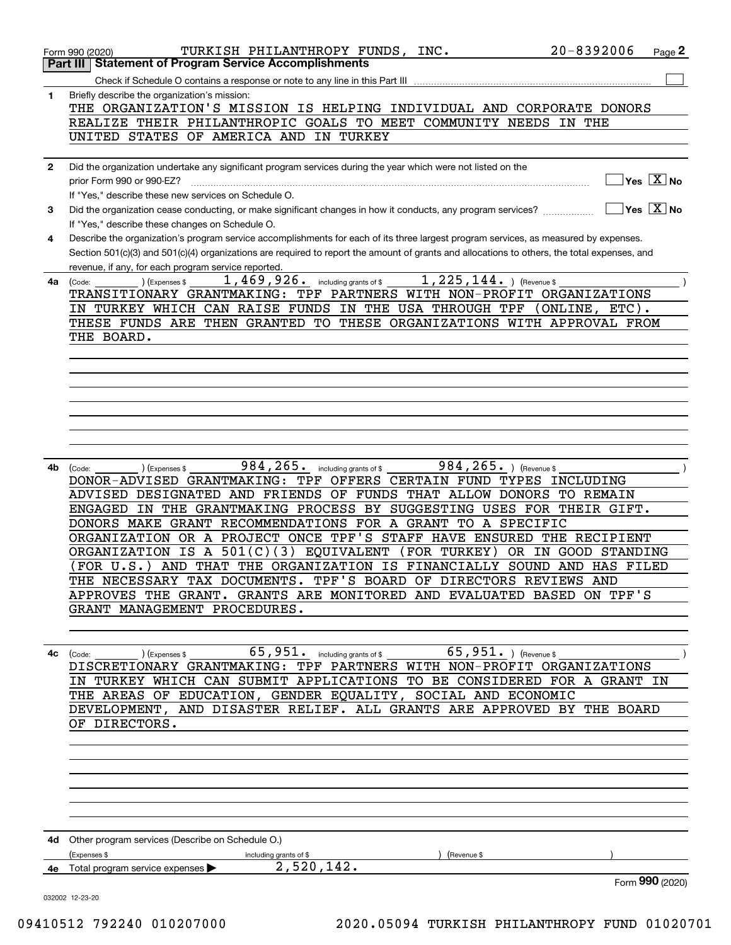|              | TURKISH PHILANTHROPY FUNDS, INC.<br>Form 990 (2020)                                                                                                                                     | $20 - 8392006$<br>Page 2                      |
|--------------|-----------------------------------------------------------------------------------------------------------------------------------------------------------------------------------------|-----------------------------------------------|
|              | <b>Statement of Program Service Accomplishments</b><br>Part III                                                                                                                         |                                               |
|              | Check if Schedule O contains a response or note to any line in this Part III                                                                                                            |                                               |
| 1            | Briefly describe the organization's mission:<br>THE ORGANIZATION'S MISSION IS HELPING INDIVIDUAL AND CORPORATE DONORS                                                                   |                                               |
|              | REALIZE THEIR PHILANTHROPIC GOALS TO MEET COMMUNITY NEEDS IN THE                                                                                                                        |                                               |
|              | UNITED STATES OF AMERICA AND IN TURKEY                                                                                                                                                  |                                               |
|              |                                                                                                                                                                                         |                                               |
| $\mathbf{2}$ | Did the organization undertake any significant program services during the year which were not listed on the                                                                            |                                               |
|              | prior Form 990 or 990-EZ?                                                                                                                                                               | $\sqrt{}$ Yes $\sqrt{}$ $\overline{\rm X}$ No |
|              | If "Yes," describe these new services on Schedule O.                                                                                                                                    |                                               |
| 3            | Did the organization cease conducting, or make significant changes in how it conducts, any program services?                                                                            | $\sqrt{}$ Yes $\sqrt{}$ No $\sqrt{}$          |
| 4            | If "Yes," describe these changes on Schedule O.<br>Describe the organization's program service accomplishments for each of its three largest program services, as measured by expenses. |                                               |
|              | Section 501(c)(3) and 501(c)(4) organizations are required to report the amount of grants and allocations to others, the total expenses, and                                            |                                               |
|              | revenue, if any, for each program service reported.                                                                                                                                     |                                               |
| 4a           | $1,225,144.$ ) (Revenue \$<br>1,469,926. including grants of \$<br>(Expenses \$<br>(Code:                                                                                               |                                               |
|              | TRANSITIONARY GRANTMAKING: TPF PARTNERS WITH NON-PROFIT ORGANIZATIONS                                                                                                                   |                                               |
|              | IN TURKEY WHICH CAN RAISE FUNDS IN THE USA THROUGH TPF                                                                                                                                  | ONLINE, ETC).                                 |
|              | THESE FUNDS ARE THEN GRANTED TO THESE ORGANIZATIONS WITH APPROVAL FROM                                                                                                                  |                                               |
|              | THE BOARD.                                                                                                                                                                              |                                               |
|              |                                                                                                                                                                                         |                                               |
|              |                                                                                                                                                                                         |                                               |
|              |                                                                                                                                                                                         |                                               |
|              |                                                                                                                                                                                         |                                               |
|              |                                                                                                                                                                                         |                                               |
|              |                                                                                                                                                                                         |                                               |
|              |                                                                                                                                                                                         |                                               |
| 4b           | $984, 265$ . including grants of \$<br>984, 265. ) (Revenue \$<br>) (Expenses \$<br>(Code:                                                                                              |                                               |
|              | DONOR-ADVISED GRANTMAKING: TPF OFFERS CERTAIN FUND TYPES INCLUDING                                                                                                                      |                                               |
|              | ADVISED DESIGNATED AND FRIENDS OF FUNDS THAT ALLOW DONORS TO REMAIN<br>ENGAGED IN THE GRANTMAKING PROCESS BY SUGGESTING USES FOR                                                        |                                               |
|              | DONORS MAKE GRANT RECOMMENDATIONS FOR A GRANT TO A SPECIFIC                                                                                                                             | THEIR GIFT.                                   |
|              | ORGANIZATION OR A PROJECT ONCE TPF'S STAFF HAVE ENSURED THE RECIPIENT                                                                                                                   |                                               |
|              | IS A $501(C)$<br>(3) EQUIVALENT<br>(FOR TURKEY)<br>ORGANIZATION<br>OR IN                                                                                                                | <b>GOOD STANDING</b>                          |
|              | AND THAT THE ORGANIZATION IS FINANCIALLY SOUND AND HAS FILED<br>(FOR U.S.                                                                                                               |                                               |
|              | THE NECESSARY TAX DOCUMENTS. TPF'S BOARD OF DIRECTORS REVIEWS AND                                                                                                                       |                                               |
|              | APPROVES THE GRANT. GRANTS ARE MONITORED AND EVALUATED BASED ON TPF'S                                                                                                                   |                                               |
|              | GRANT MANAGEMENT PROCEDURES.                                                                                                                                                            |                                               |
|              |                                                                                                                                                                                         |                                               |
|              |                                                                                                                                                                                         |                                               |
| 4с           | (Code:<br>(Expenses \$<br>DISCRETIONARY GRANTMAKING: TPF PARTNERS WITH NON-PROFIT ORGANIZATIONS                                                                                         |                                               |
|              | IN TURKEY WHICH CAN SUBMIT APPLICATIONS TO BE CONSIDERED FOR A GRANT IN                                                                                                                 |                                               |
|              | THE AREAS OF EDUCATION, GENDER EQUALITY, SOCIAL AND ECONOMIC                                                                                                                            |                                               |
|              | DEVELOPMENT, AND DISASTER RELIEF. ALL GRANTS ARE APPROVED BY THE BOARD                                                                                                                  |                                               |
|              | OF DIRECTORS.                                                                                                                                                                           |                                               |
|              |                                                                                                                                                                                         |                                               |
|              |                                                                                                                                                                                         |                                               |
|              |                                                                                                                                                                                         |                                               |
|              |                                                                                                                                                                                         |                                               |
|              |                                                                                                                                                                                         |                                               |
|              |                                                                                                                                                                                         |                                               |
|              | 4d Other program services (Describe on Schedule O.)                                                                                                                                     |                                               |
|              | (Expenses \$<br>including grants of \$<br>(Revenue \$                                                                                                                                   |                                               |
|              | 2,520,142.<br>4e Total program service expenses $\blacktriangleright$                                                                                                                   |                                               |
|              |                                                                                                                                                                                         | Form 990 (2020)                               |
|              | 032002 12-23-20                                                                                                                                                                         |                                               |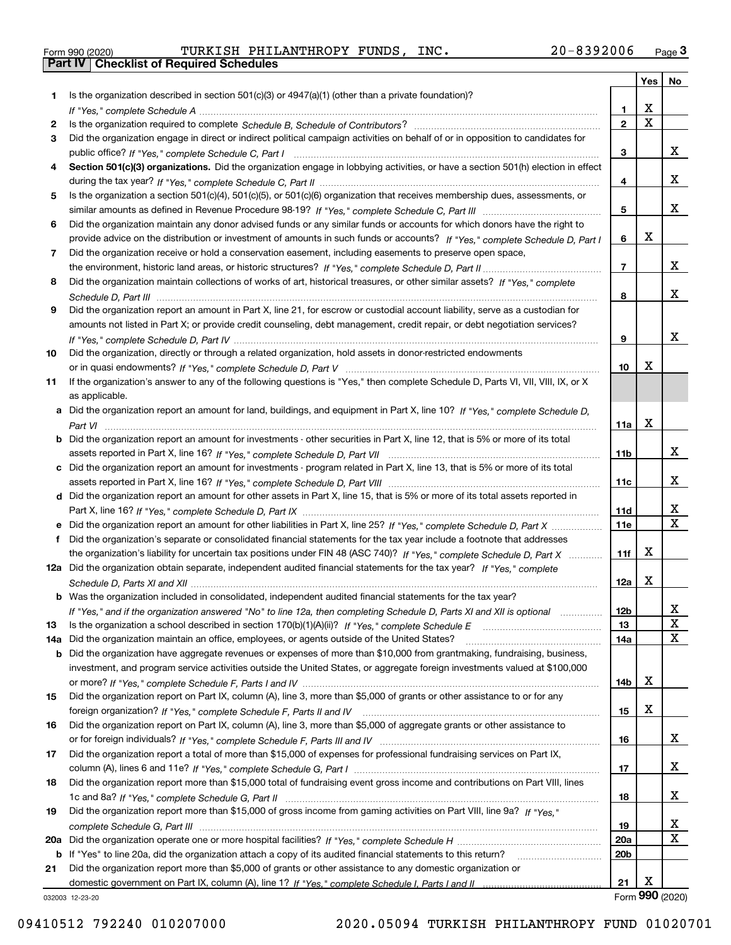|  | Form 990 (2020) |  |
|--|-----------------|--|

Form 990 (2020) TURKISH PHILANTHROPY FUNDS, INC**.** 20-8392006 <sub>Page</sub> 3<br>**Part IV | Checklist of Required Schedules** 

|     |                                                                                                                                                 |                 | <b>Yes</b>            | No                      |
|-----|-------------------------------------------------------------------------------------------------------------------------------------------------|-----------------|-----------------------|-------------------------|
| 1.  | Is the organization described in section $501(c)(3)$ or $4947(a)(1)$ (other than a private foundation)?                                         |                 |                       |                         |
|     |                                                                                                                                                 | 1               | х                     |                         |
| 2   |                                                                                                                                                 | $\mathbf{2}$    | $\overline{\text{x}}$ |                         |
| 3   | Did the organization engage in direct or indirect political campaign activities on behalf of or in opposition to candidates for                 |                 |                       |                         |
|     |                                                                                                                                                 | 3               |                       | x                       |
| 4   | Section 501(c)(3) organizations. Did the organization engage in lobbying activities, or have a section 501(h) election in effect                |                 |                       |                         |
|     |                                                                                                                                                 | 4               |                       | x                       |
| 5   | Is the organization a section 501(c)(4), 501(c)(5), or 501(c)(6) organization that receives membership dues, assessments, or                    |                 |                       |                         |
|     |                                                                                                                                                 | 5               |                       | x                       |
| 6   | Did the organization maintain any donor advised funds or any similar funds or accounts for which donors have the right to                       |                 |                       |                         |
|     | provide advice on the distribution or investment of amounts in such funds or accounts? If "Yes," complete Schedule D, Part I                    | 6               | х                     |                         |
| 7   | Did the organization receive or hold a conservation easement, including easements to preserve open space,                                       |                 |                       |                         |
|     |                                                                                                                                                 | $\overline{7}$  |                       | x                       |
| 8   | Did the organization maintain collections of works of art, historical treasures, or other similar assets? If "Yes," complete                    |                 |                       |                         |
|     |                                                                                                                                                 | 8               |                       | x                       |
| 9   | Did the organization report an amount in Part X, line 21, for escrow or custodial account liability, serve as a custodian for                   |                 |                       |                         |
|     | amounts not listed in Part X; or provide credit counseling, debt management, credit repair, or debt negotiation services?                       |                 |                       | x                       |
|     |                                                                                                                                                 | 9               |                       |                         |
| 10  | Did the organization, directly or through a related organization, hold assets in donor-restricted endowments                                    |                 | x                     |                         |
|     |                                                                                                                                                 | 10              |                       |                         |
| 11  | If the organization's answer to any of the following questions is "Yes," then complete Schedule D, Parts VI, VII, VIII, IX, or X                |                 |                       |                         |
|     | as applicable.<br>a Did the organization report an amount for land, buildings, and equipment in Part X, line 10? If "Yes," complete Schedule D. |                 |                       |                         |
|     |                                                                                                                                                 | 11a             | X                     |                         |
|     | <b>b</b> Did the organization report an amount for investments - other securities in Part X, line 12, that is 5% or more of its total           |                 |                       |                         |
|     |                                                                                                                                                 | 11b             |                       | x                       |
|     | c Did the organization report an amount for investments - program related in Part X, line 13, that is 5% or more of its total                   |                 |                       |                         |
|     |                                                                                                                                                 | 11c             |                       | x                       |
|     | d Did the organization report an amount for other assets in Part X, line 15, that is 5% or more of its total assets reported in                 |                 |                       |                         |
|     |                                                                                                                                                 | 11d             |                       | x                       |
|     | e Did the organization report an amount for other liabilities in Part X, line 25? If "Yes," complete Schedule D, Part X                         | 11e             |                       | $\overline{\mathbf{x}}$ |
| f   | Did the organization's separate or consolidated financial statements for the tax year include a footnote that addresses                         |                 |                       |                         |
|     | the organization's liability for uncertain tax positions under FIN 48 (ASC 740)? If "Yes," complete Schedule D, Part X                          | 11f             | х                     |                         |
|     | 12a Did the organization obtain separate, independent audited financial statements for the tax year? If "Yes," complete                         |                 |                       |                         |
|     |                                                                                                                                                 | 12a             | X                     |                         |
|     | <b>b</b> Was the organization included in consolidated, independent audited financial statements for the tax year?                              |                 |                       |                         |
|     | If "Yes," and if the organization answered "No" to line 12a, then completing Schedule D, Parts XI and XII is optional                           | 12b             |                       | A                       |
| 13  |                                                                                                                                                 | 13              |                       | $\mathbf X$             |
| 14a | Did the organization maintain an office, employees, or agents outside of the United States?                                                     | 14a             |                       | $\mathbf X$             |
|     | <b>b</b> Did the organization have aggregate revenues or expenses of more than \$10,000 from grantmaking, fundraising, business,                |                 |                       |                         |
|     | investment, and program service activities outside the United States, or aggregate foreign investments valued at \$100,000                      |                 |                       |                         |
|     |                                                                                                                                                 | 14b             | х                     |                         |
| 15  | Did the organization report on Part IX, column (A), line 3, more than \$5,000 of grants or other assistance to or for any                       |                 |                       |                         |
|     |                                                                                                                                                 | 15              | х                     |                         |
| 16  | Did the organization report on Part IX, column (A), line 3, more than \$5,000 of aggregate grants or other assistance to                        |                 |                       |                         |
|     |                                                                                                                                                 | 16              |                       | X                       |
| 17  | Did the organization report a total of more than \$15,000 of expenses for professional fundraising services on Part IX,                         |                 |                       |                         |
|     |                                                                                                                                                 | 17              |                       | x                       |
| 18  | Did the organization report more than \$15,000 total of fundraising event gross income and contributions on Part VIII, lines                    |                 |                       |                         |
|     |                                                                                                                                                 | 18              |                       | x                       |
| 19  | Did the organization report more than \$15,000 of gross income from gaming activities on Part VIII, line 9a? If "Yes."                          |                 |                       |                         |
|     |                                                                                                                                                 | 19              |                       | X                       |
|     |                                                                                                                                                 | 20a             |                       | X                       |
|     | b If "Yes" to line 20a, did the organization attach a copy of its audited financial statements to this return?                                  | 20 <sub>b</sub> |                       |                         |
| 21  | Did the organization report more than \$5,000 of grants or other assistance to any domestic organization or                                     |                 |                       |                         |
|     |                                                                                                                                                 | 21              | Х                     |                         |
|     | 032003 12-23-20                                                                                                                                 |                 | Form 990 (2020)       |                         |

032003 12-23-20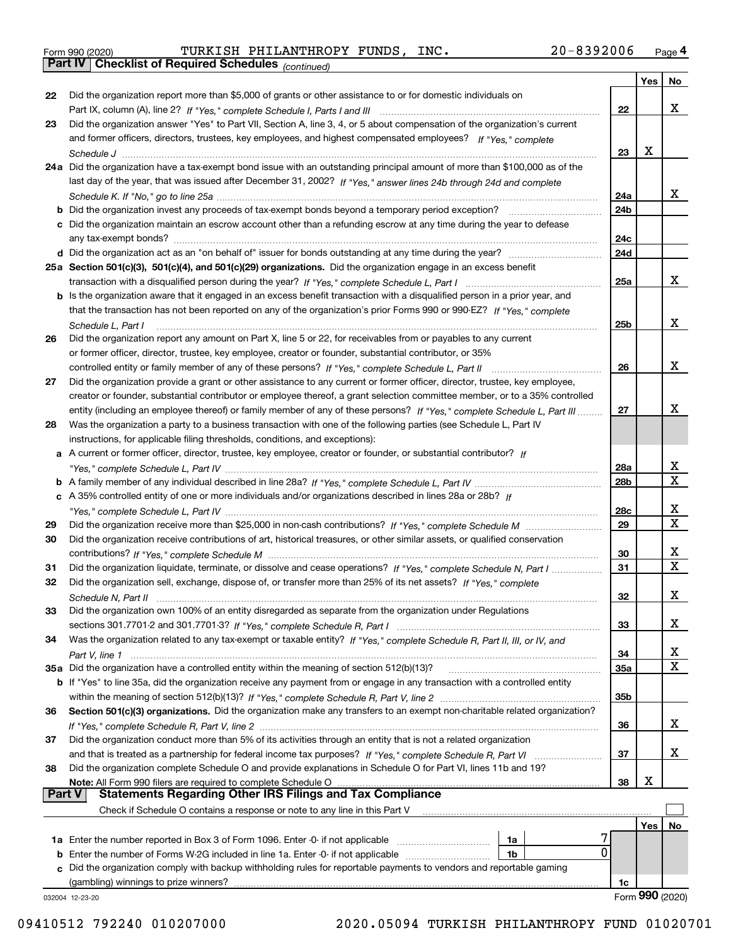|  | Form 990 (2020) |
|--|-----------------|
|  |                 |

*(continued)* Form 990 (2020) TURKISH PHILANTHROPY FUNDS, INC **.** 2 0-8 3 9 2 0 06 <sub>Page</sub> 4<br>**Part IV | Checklist of Required Schedules** <sub>(continued)</sub>

|               |                                                                                                                              |                 | Yes | No                      |
|---------------|------------------------------------------------------------------------------------------------------------------------------|-----------------|-----|-------------------------|
| 22            | Did the organization report more than \$5,000 of grants or other assistance to or for domestic individuals on                |                 |     |                         |
|               |                                                                                                                              | 22              |     | x                       |
| 23            | Did the organization answer "Yes" to Part VII, Section A, line 3, 4, or 5 about compensation of the organization's current   |                 |     |                         |
|               | and former officers, directors, trustees, key employees, and highest compensated employees? If "Yes," complete               |                 |     |                         |
|               |                                                                                                                              | 23              | х   |                         |
|               | 24a Did the organization have a tax-exempt bond issue with an outstanding principal amount of more than \$100,000 as of the  |                 |     |                         |
|               | last day of the year, that was issued after December 31, 2002? If "Yes," answer lines 24b through 24d and complete           |                 |     |                         |
|               |                                                                                                                              | 24a             |     | x                       |
|               | <b>b</b> Did the organization invest any proceeds of tax-exempt bonds beyond a temporary period exception?                   | 24 <sub>b</sub> |     |                         |
|               | c Did the organization maintain an escrow account other than a refunding escrow at any time during the year to defease       |                 |     |                         |
|               |                                                                                                                              | 24c             |     |                         |
|               |                                                                                                                              | 24d             |     |                         |
|               | 25a Section 501(c)(3), 501(c)(4), and 501(c)(29) organizations. Did the organization engage in an excess benefit             |                 |     |                         |
|               |                                                                                                                              | 25a             |     | x                       |
|               | b Is the organization aware that it engaged in an excess benefit transaction with a disqualified person in a prior year, and |                 |     |                         |
|               | that the transaction has not been reported on any of the organization's prior Forms 990 or 990-EZ? If "Yes," complete        |                 |     |                         |
|               | Schedule L, Part I                                                                                                           | 25b             |     | x                       |
| 26            | Did the organization report any amount on Part X, line 5 or 22, for receivables from or payables to any current              |                 |     |                         |
|               | or former officer, director, trustee, key employee, creator or founder, substantial contributor, or 35%                      |                 |     |                         |
|               | controlled entity or family member of any of these persons? If "Yes," complete Schedule L, Part II                           | 26              |     | x                       |
| 27            | Did the organization provide a grant or other assistance to any current or former officer, director, trustee, key employee,  |                 |     |                         |
|               | creator or founder, substantial contributor or employee thereof, a grant selection committee member, or to a 35% controlled  |                 |     | х                       |
|               | entity (including an employee thereof) or family member of any of these persons? If "Yes," complete Schedule L, Part III     | 27              |     |                         |
| 28            | Was the organization a party to a business transaction with one of the following parties (see Schedule L, Part IV            |                 |     |                         |
|               | instructions, for applicable filing thresholds, conditions, and exceptions):                                                 |                 |     |                         |
|               | a A current or former officer, director, trustee, key employee, creator or founder, or substantial contributor? If           | 28a             |     | X                       |
|               |                                                                                                                              | 28 <sub>b</sub> |     | $\overline{\mathtt{x}}$ |
|               | c A 35% controlled entity of one or more individuals and/or organizations described in lines 28a or 28b? If                  |                 |     |                         |
|               |                                                                                                                              | 28c             |     | x                       |
| 29            |                                                                                                                              | 29              |     | $\overline{\mathbf{x}}$ |
| 30            | Did the organization receive contributions of art, historical treasures, or other similar assets, or qualified conservation  |                 |     |                         |
|               |                                                                                                                              | 30              |     | x                       |
| 31            | Did the organization liquidate, terminate, or dissolve and cease operations? If "Yes," complete Schedule N. Part I           | 31              |     | $\overline{\mathbf{x}}$ |
| 32            | Did the organization sell, exchange, dispose of, or transfer more than 25% of its net assets? If "Yes," complete             |                 |     |                         |
|               |                                                                                                                              | 32              |     | х                       |
| 33            | Did the organization own 100% of an entity disregarded as separate from the organization under Regulations                   |                 |     |                         |
|               |                                                                                                                              | 33              |     | x                       |
| 34            | Was the organization related to any tax-exempt or taxable entity? If "Yes," complete Schedule R, Part II, III, or IV, and    |                 |     |                         |
|               |                                                                                                                              | 34              |     | X                       |
|               | 35a Did the organization have a controlled entity within the meaning of section 512(b)(13)?                                  | 35a             |     | X                       |
|               | b If "Yes" to line 35a, did the organization receive any payment from or engage in any transaction with a controlled entity  |                 |     |                         |
|               |                                                                                                                              | 35b             |     |                         |
| 36            | Section 501(c)(3) organizations. Did the organization make any transfers to an exempt non-charitable related organization?   |                 |     |                         |
|               |                                                                                                                              | 36              |     | X.                      |
| 37            | Did the organization conduct more than 5% of its activities through an entity that is not a related organization             |                 |     |                         |
|               | and that is treated as a partnership for federal income tax purposes? If "Yes," complete Schedule R, Part VI                 | 37              |     | X.                      |
| 38            | Did the organization complete Schedule O and provide explanations in Schedule O for Part VI, lines 11b and 19?               |                 |     |                         |
|               | Note: All Form 990 filers are required to complete Schedule O                                                                | 38              | x   |                         |
| <b>Part V</b> | <b>Statements Regarding Other IRS Filings and Tax Compliance</b>                                                             |                 |     |                         |
|               | Check if Schedule O contains a response or note to any line in this Part V                                                   |                 |     |                         |
|               |                                                                                                                              |                 | Yes | No                      |
|               | 1a Enter the number reported in Box 3 of Form 1096. Enter -0- if not applicable<br>1a                                        |                 |     |                         |
| b             | 0<br>Enter the number of Forms W-2G included in line 1a. Enter -0- if not applicable<br>1b                                   |                 |     |                         |
| c             | Did the organization comply with backup withholding rules for reportable payments to vendors and reportable gaming           |                 |     |                         |
|               | (gambling) winnings to prize winners?                                                                                        | 1c              |     |                         |
|               | 032004 12-23-20                                                                                                              |                 |     | Form 990 (2020)         |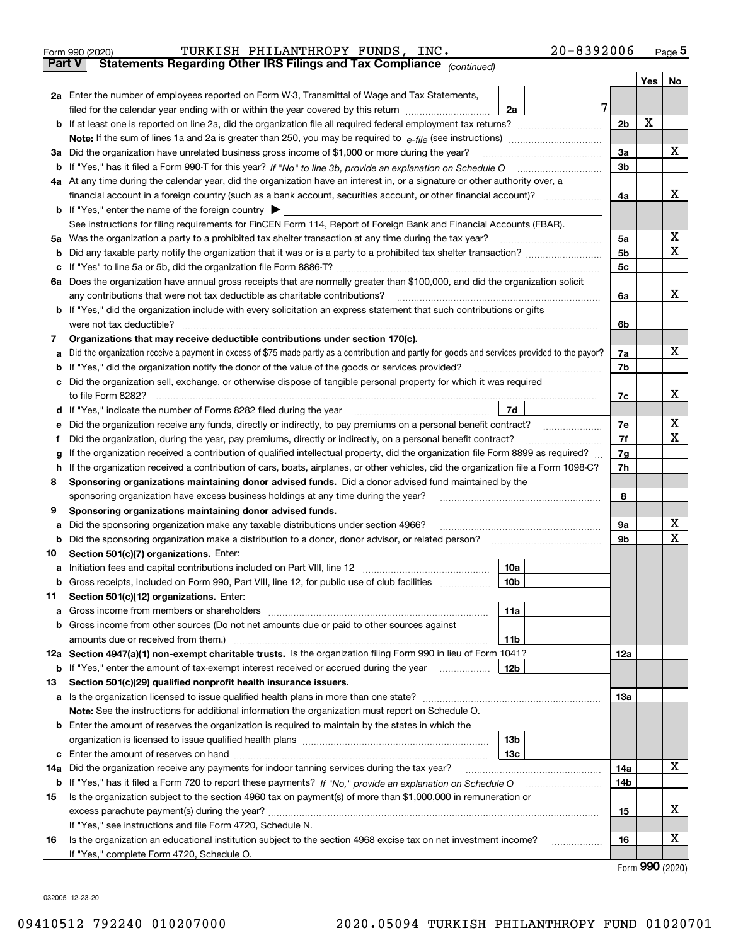| Form 990 (2020) |  | TURKISH PHILANTHROPY FUNDS, INC.                                                               |  | $20 - 8392006$ | Page 5 |
|-----------------|--|------------------------------------------------------------------------------------------------|--|----------------|--------|
|                 |  | <b>Part V</b> Statements Regarding Other IRS Filings and Tax Compliance <sub>(continued)</sub> |  |                |        |

| Part V | Statements Regarding Other IRS Fillings and Tax Compilance<br>(continued)                                                                                                                                                           |                |     |     |
|--------|-------------------------------------------------------------------------------------------------------------------------------------------------------------------------------------------------------------------------------------|----------------|-----|-----|
|        |                                                                                                                                                                                                                                     |                | Yes | No. |
|        | 2a Enter the number of employees reported on Form W-3, Transmittal of Wage and Tax Statements,                                                                                                                                      |                |     |     |
|        | 7<br>filed for the calendar year ending with or within the year covered by this return<br>2a                                                                                                                                        |                |     |     |
|        |                                                                                                                                                                                                                                     | 2 <sub>b</sub> | X   |     |
|        |                                                                                                                                                                                                                                     |                |     |     |
|        | 3a Did the organization have unrelated business gross income of \$1,000 or more during the year?                                                                                                                                    | За             |     | х   |
|        | b If "Yes," has it filed a Form 990-T for this year? If "No" to line 3b, provide an explanation on Schedule O                                                                                                                       | 3b             |     |     |
|        | 4a At any time during the calendar year, did the organization have an interest in, or a signature or other authority over, a                                                                                                        |                |     |     |
|        |                                                                                                                                                                                                                                     | 4a             |     | х   |
|        | <b>b</b> If "Yes," enter the name of the foreign country                                                                                                                                                                            |                |     |     |
|        | See instructions for filing requirements for FinCEN Form 114, Report of Foreign Bank and Financial Accounts (FBAR).                                                                                                                 |                |     | х   |
| 5а     | Was the organization a party to a prohibited tax shelter transaction at any time during the tax year?                                                                                                                               | 5a             |     | x   |
|        |                                                                                                                                                                                                                                     | 5b             |     |     |
|        |                                                                                                                                                                                                                                     | 5c             |     |     |
| 6а     | Does the organization have annual gross receipts that are normally greater than \$100,000, and did the organization solicit<br>any contributions that were not tax deductible as charitable contributions?                          |                |     | x   |
|        | <b>b</b> If "Yes," did the organization include with every solicitation an express statement that such contributions or gifts                                                                                                       | 6a             |     |     |
|        | were not tax deductible?                                                                                                                                                                                                            | 6b             |     |     |
| 7      | Organizations that may receive deductible contributions under section 170(c).                                                                                                                                                       |                |     |     |
| а      | Did the organization receive a payment in excess of \$75 made partly as a contribution and partly for goods and services provided to the payor?                                                                                     | 7a             |     | х   |
|        | <b>b</b> If "Yes," did the organization notify the donor of the value of the goods or services provided?                                                                                                                            | 7b             |     |     |
|        | c Did the organization sell, exchange, or otherwise dispose of tangible personal property for which it was required                                                                                                                 |                |     |     |
|        | to file Form 8282?                                                                                                                                                                                                                  | 7c             |     | х   |
|        | 7d<br>d If "Yes," indicate the number of Forms 8282 filed during the year                                                                                                                                                           |                |     |     |
| е      | Did the organization receive any funds, directly or indirectly, to pay premiums on a personal benefit contract?                                                                                                                     | 7е             |     | х   |
| f      | Did the organization, during the year, pay premiums, directly or indirectly, on a personal benefit contract?                                                                                                                        | 7f             |     | X   |
| g      | If the organization received a contribution of qualified intellectual property, did the organization file Form 8899 as required?                                                                                                    | 7g             |     |     |
| h      | If the organization received a contribution of cars, boats, airplanes, or other vehicles, did the organization file a Form 1098-C?                                                                                                  | 7h             |     |     |
| 8      | Sponsoring organizations maintaining donor advised funds. Did a donor advised fund maintained by the                                                                                                                                |                |     |     |
|        | sponsoring organization have excess business holdings at any time during the year?                                                                                                                                                  | 8              |     |     |
| 9      | Sponsoring organizations maintaining donor advised funds.                                                                                                                                                                           |                |     |     |
| а      | Did the sponsoring organization make any taxable distributions under section 4966?                                                                                                                                                  | 9а             |     | х   |
| b      | Did the sponsoring organization make a distribution to a donor, donor advisor, or related person?                                                                                                                                   | 9b             |     | х   |
| 10     | Section 501(c)(7) organizations. Enter:                                                                                                                                                                                             |                |     |     |
| a      | Initiation fees and capital contributions included on Part VIII, line 12<br>10a                                                                                                                                                     |                |     |     |
|        | b Gross receipts, included on Form 990, Part VIII, line 12, for public use of club facilities<br>10 <sub>b</sub>                                                                                                                    |                |     |     |
| 11.    | Section 501(c)(12) organizations. Enter:                                                                                                                                                                                            |                |     |     |
|        | 11a                                                                                                                                                                                                                                 |                |     |     |
|        | <b>b</b> Gross income from other sources (Do not net amounts due or paid to other sources against                                                                                                                                   |                |     |     |
|        | 11b                                                                                                                                                                                                                                 |                |     |     |
|        | 12a Section 4947(a)(1) non-exempt charitable trusts. Is the organization filing Form 990 in lieu of Form 1041?                                                                                                                      | 12a            |     |     |
|        | 12b<br><b>b</b> If "Yes," enter the amount of tax-exempt interest received or accrued during the year <i>manument</i>                                                                                                               |                |     |     |
| 13     | Section 501(c)(29) qualified nonprofit health insurance issuers.                                                                                                                                                                    |                |     |     |
|        | a Is the organization licensed to issue qualified health plans in more than one state?                                                                                                                                              | 13a            |     |     |
|        | Note: See the instructions for additional information the organization must report on Schedule O.                                                                                                                                   |                |     |     |
|        | <b>b</b> Enter the amount of reserves the organization is required to maintain by the states in which the                                                                                                                           |                |     |     |
|        | 13 <sub>b</sub>                                                                                                                                                                                                                     |                |     |     |
|        | 13 <sub>c</sub>                                                                                                                                                                                                                     |                |     | x   |
| 14a    | Did the organization receive any payments for indoor tanning services during the tax year?                                                                                                                                          | 14a            |     |     |
| 15     | <b>b</b> If "Yes," has it filed a Form 720 to report these payments? If "No," provide an explanation on Schedule O<br>Is the organization subject to the section 4960 tax on payment(s) of more than \$1,000,000 in remuneration or | 14b            |     |     |
|        |                                                                                                                                                                                                                                     | 15             |     | х   |
|        | If "Yes," see instructions and file Form 4720, Schedule N.                                                                                                                                                                          |                |     |     |
| 16     | Is the organization an educational institution subject to the section 4968 excise tax on net investment income?                                                                                                                     | 16             |     | х   |
|        | If "Yes," complete Form 4720, Schedule O.                                                                                                                                                                                           |                |     |     |
|        |                                                                                                                                                                                                                                     |                |     |     |

Form (2020) **990**

032005 12-23-20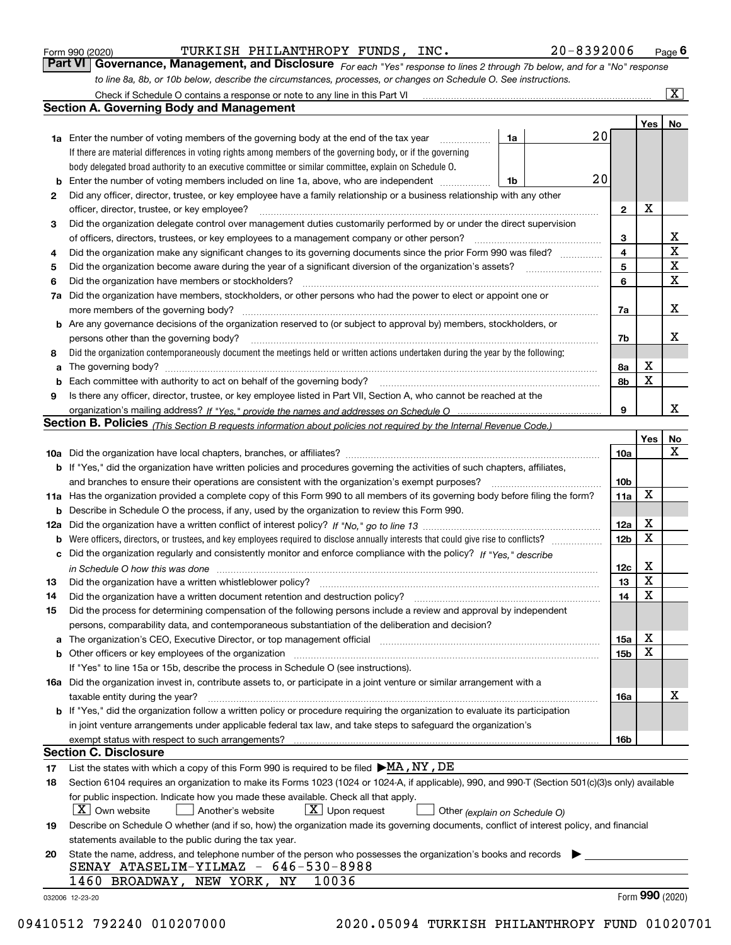|  | Form 990 (2020) |
|--|-----------------|
|  |                 |

TURKISH PHILANTHROPY FUNDS, INC. 20-8392006

*For each "Yes" response to lines 2 through 7b below, and for a "No" response to line 8a, 8b, or 10b below, describe the circumstances, processes, or changes on Schedule O. See instructions.* Form 990 (2020) **CONFERN BILLE PROGRET PROPERTY PERSONAL PROGRET PAGE 6 Fage 6**<br>**Part VI Governance, Management, and Disclosure** *For each "Yes" response to lines 2 through 7b below, and for a "No" response* 

|     | Check if Schedule O contains a response or note to any line in this Part VI                                                                                                                                                    |    |    |                         |     | $\mathbf{x}$    |
|-----|--------------------------------------------------------------------------------------------------------------------------------------------------------------------------------------------------------------------------------|----|----|-------------------------|-----|-----------------|
|     | Section A. Governing Body and Management                                                                                                                                                                                       |    |    |                         |     |                 |
|     |                                                                                                                                                                                                                                |    |    |                         | Yes | No              |
|     | <b>1a</b> Enter the number of voting members of the governing body at the end of the tax year                                                                                                                                  | 1a | 20 |                         |     |                 |
|     | If there are material differences in voting rights among members of the governing body, or if the governing                                                                                                                    |    |    |                         |     |                 |
|     | body delegated broad authority to an executive committee or similar committee, explain on Schedule O.                                                                                                                          |    |    |                         |     |                 |
| b   | Enter the number of voting members included on line 1a, above, who are independent                                                                                                                                             | 1b | 20 |                         |     |                 |
| 2   | Did any officer, director, trustee, or key employee have a family relationship or a business relationship with any other                                                                                                       |    |    |                         |     |                 |
|     | officer, director, trustee, or key employee?                                                                                                                                                                                   |    |    | $\mathbf{2}$            | х   |                 |
| 3   | Did the organization delegate control over management duties customarily performed by or under the direct supervision                                                                                                          |    |    |                         |     |                 |
|     | of officers, directors, trustees, or key employees to a management company or other person?                                                                                                                                    |    |    | 3                       |     | x               |
| 4   | Did the organization make any significant changes to its governing documents since the prior Form 990 was filed?                                                                                                               |    |    | $\overline{\mathbf{4}}$ |     | $\mathbf X$     |
| 5   |                                                                                                                                                                                                                                |    |    | 5                       |     | $\mathbf X$     |
| 6   | Did the organization have members or stockholders?                                                                                                                                                                             |    |    | 6                       |     | $\mathbf X$     |
| 7a  | Did the organization have members, stockholders, or other persons who had the power to elect or appoint one or                                                                                                                 |    |    |                         |     |                 |
|     | more members of the governing body?                                                                                                                                                                                            |    |    | 7a                      |     | х               |
|     | <b>b</b> Are any governance decisions of the organization reserved to (or subject to approval by) members, stockholders, or                                                                                                    |    |    |                         |     |                 |
|     | persons other than the governing body?                                                                                                                                                                                         |    |    | 7b                      |     | х               |
| 8   | Did the organization contemporaneously document the meetings held or written actions undertaken during the year by the following:                                                                                              |    |    |                         |     |                 |
|     |                                                                                                                                                                                                                                |    |    | 8а                      | х   |                 |
| a   | The governing body? [[11] matter and the contract of the contract of the contract of the contract of the contract of the contract of the contract of the contract of the contract of the contract of the contract of the contr |    |    | 8b                      | X   |                 |
| b   |                                                                                                                                                                                                                                |    |    |                         |     |                 |
| 9   | Is there any officer, director, trustee, or key employee listed in Part VII, Section A, who cannot be reached at the                                                                                                           |    |    | 9                       |     | x               |
|     |                                                                                                                                                                                                                                |    |    |                         |     |                 |
|     | Section B. Policies <sub>(This Section B requests information about policies not required by the Internal Revenue Code.)</sub>                                                                                                 |    |    |                         |     |                 |
|     |                                                                                                                                                                                                                                |    |    |                         | Yes | No<br>x         |
|     |                                                                                                                                                                                                                                |    |    | 10a                     |     |                 |
|     | <b>b</b> If "Yes," did the organization have written policies and procedures governing the activities of such chapters, affiliates,                                                                                            |    |    |                         |     |                 |
|     | and branches to ensure their operations are consistent with the organization's exempt purposes?                                                                                                                                |    |    | 10 <sub>b</sub>         | X   |                 |
|     | 11a Has the organization provided a complete copy of this Form 990 to all members of its governing body before filing the form?                                                                                                |    |    | 11a                     |     |                 |
| b   | Describe in Schedule O the process, if any, used by the organization to review this Form 990.                                                                                                                                  |    |    |                         |     |                 |
| 12a |                                                                                                                                                                                                                                |    |    | 12a                     | X   |                 |
| b   |                                                                                                                                                                                                                                |    |    | 12 <sub>b</sub>         | X   |                 |
| c   | Did the organization regularly and consistently monitor and enforce compliance with the policy? If "Yes." describe                                                                                                             |    |    |                         |     |                 |
|     | in Schedule O how this was done measured and contain an account of the state of the state of the state of the                                                                                                                  |    |    | 12c                     | х   |                 |
| 13  | Did the organization have a written whistleblower policy?                                                                                                                                                                      |    |    | 13                      | X   |                 |
| 14  | Did the organization have a written document retention and destruction policy?                                                                                                                                                 |    |    | 14                      | X   |                 |
| 15  | Did the process for determining compensation of the following persons include a review and approval by independent                                                                                                             |    |    |                         |     |                 |
|     | persons, comparability data, and contemporaneous substantiation of the deliberation and decision?                                                                                                                              |    |    |                         |     |                 |
| а   | The organization's CEO, Executive Director, or top management official manufactured content of the organization's CEO, Executive Director, or top management official                                                          |    |    | 15a                     | Χ   |                 |
| b   |                                                                                                                                                                                                                                |    |    | 15b                     | X   |                 |
|     | If "Yes" to line 15a or 15b, describe the process in Schedule O (see instructions).                                                                                                                                            |    |    |                         |     |                 |
|     | 16a Did the organization invest in, contribute assets to, or participate in a joint venture or similar arrangement with a                                                                                                      |    |    |                         |     |                 |
|     | taxable entity during the year?                                                                                                                                                                                                |    |    | 16a                     |     | х               |
|     | b If "Yes," did the organization follow a written policy or procedure requiring the organization to evaluate its participation                                                                                                 |    |    |                         |     |                 |
|     | in joint venture arrangements under applicable federal tax law, and take steps to safequard the organization's                                                                                                                 |    |    |                         |     |                 |
|     | exempt status with respect to such arrangements?                                                                                                                                                                               |    |    | 16b                     |     |                 |
|     | <b>Section C. Disclosure</b>                                                                                                                                                                                                   |    |    |                         |     |                 |
| 17  | List the states with which a copy of this Form 990 is required to be filed $\blacktriangleright$ MA, NY, DE                                                                                                                    |    |    |                         |     |                 |
| 18  | Section 6104 requires an organization to make its Forms 1023 (1024 or 1024-A, if applicable), 990, and 990-T (Section 501(c)(3)s only) available                                                                               |    |    |                         |     |                 |
|     | for public inspection. Indicate how you made these available. Check all that apply.                                                                                                                                            |    |    |                         |     |                 |
|     | $X$ Own website<br>$X$ Upon request<br>Another's website<br>Other (explain on Schedule O)                                                                                                                                      |    |    |                         |     |                 |
| 19  | Describe on Schedule O whether (and if so, how) the organization made its governing documents, conflict of interest policy, and financial                                                                                      |    |    |                         |     |                 |
|     | statements available to the public during the tax year.                                                                                                                                                                        |    |    |                         |     |                 |
| 20  | State the name, address, and telephone number of the person who possesses the organization's books and records                                                                                                                 |    |    |                         |     |                 |
|     | SENAY ATASELIM-YILMAZ - 646-530-8988                                                                                                                                                                                           |    |    |                         |     |                 |
|     | 1460 BROADWAY, NEW YORK,<br>NY<br>10036                                                                                                                                                                                        |    |    |                         |     |                 |
|     | 032006 12-23-20                                                                                                                                                                                                                |    |    |                         |     | Form 990 (2020) |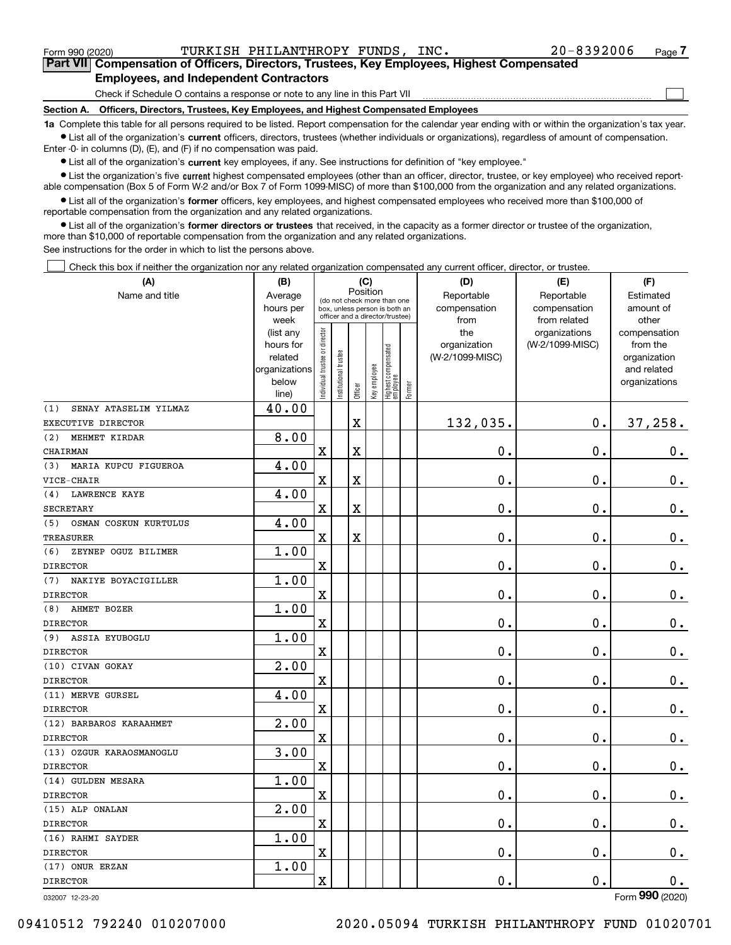$\mathcal{L}^{\text{max}}$ 

**7Part VII Compensation of Officers, Directors, Trustees, Key Employees, Highest Compensated Employees, and Independent Contractors**

Check if Schedule O contains a response or note to any line in this Part VII

**Section A. Officers, Directors, Trustees, Key Employees, and Highest Compensated Employees**

**1a**  Complete this table for all persons required to be listed. Report compensation for the calendar year ending with or within the organization's tax year. **•** List all of the organization's current officers, directors, trustees (whether individuals or organizations), regardless of amount of compensation.

Enter -0- in columns (D), (E), and (F) if no compensation was paid.

 $\bullet$  List all of the organization's  $\,$ current key employees, if any. See instructions for definition of "key employee."

**•** List the organization's five current highest compensated employees (other than an officer, director, trustee, or key employee) who received reportable compensation (Box 5 of Form W-2 and/or Box 7 of Form 1099-MISC) of more than \$100,000 from the organization and any related organizations.

**•** List all of the organization's former officers, key employees, and highest compensated employees who received more than \$100,000 of reportable compensation from the organization and any related organizations.

**former directors or trustees**  ¥ List all of the organization's that received, in the capacity as a former director or trustee of the organization, more than \$10,000 of reportable compensation from the organization and any related organizations.

See instructions for the order in which to list the persons above.

Check this box if neither the organization nor any related organization compensated any current officer, director, or trustee.  $\mathcal{L}^{\text{max}}$ 

| Position<br>Name and title<br>Reportable<br>Reportable<br>Average<br>Estimated<br>(do not check more than one<br>compensation<br>hours per<br>compensation<br>amount of<br>box, unless person is both an<br>officer and a director/trustee)<br>week<br>from<br>from related<br>other<br>ndividual trustee or director<br>the<br>organizations<br>(list any<br>compensation<br>(W-2/1099-MISC)<br>hours for<br>organization<br>from the<br>Highest compensated<br> employee<br>nstitutional trustee<br>(W-2/1099-MISC)<br>related<br>organization<br>Key employee<br>organizations<br>and related<br>below<br>organizations | 37,258.<br>$\mathbf 0$ . |
|----------------------------------------------------------------------------------------------------------------------------------------------------------------------------------------------------------------------------------------------------------------------------------------------------------------------------------------------------------------------------------------------------------------------------------------------------------------------------------------------------------------------------------------------------------------------------------------------------------------------------|--------------------------|
|                                                                                                                                                                                                                                                                                                                                                                                                                                                                                                                                                                                                                            |                          |
|                                                                                                                                                                                                                                                                                                                                                                                                                                                                                                                                                                                                                            |                          |
|                                                                                                                                                                                                                                                                                                                                                                                                                                                                                                                                                                                                                            |                          |
|                                                                                                                                                                                                                                                                                                                                                                                                                                                                                                                                                                                                                            |                          |
|                                                                                                                                                                                                                                                                                                                                                                                                                                                                                                                                                                                                                            |                          |
|                                                                                                                                                                                                                                                                                                                                                                                                                                                                                                                                                                                                                            |                          |
|                                                                                                                                                                                                                                                                                                                                                                                                                                                                                                                                                                                                                            |                          |
| Former<br>Officer<br>line)                                                                                                                                                                                                                                                                                                                                                                                                                                                                                                                                                                                                 |                          |
| 40.00<br>(1)<br>SENAY ATASELIM YILMAZ                                                                                                                                                                                                                                                                                                                                                                                                                                                                                                                                                                                      |                          |
| $\rm X$<br>132,035.<br>0.<br>EXECUTIVE DIRECTOR                                                                                                                                                                                                                                                                                                                                                                                                                                                                                                                                                                            |                          |
| 8.00<br>(2)<br>MEHMET KIRDAR                                                                                                                                                                                                                                                                                                                                                                                                                                                                                                                                                                                               |                          |
| 0.<br>$\overline{\text{X}}$<br>X<br>0.<br>CHAIRMAN                                                                                                                                                                                                                                                                                                                                                                                                                                                                                                                                                                         |                          |
| 4.00<br>MARIA KUPCU FIGUEROA<br>(3)                                                                                                                                                                                                                                                                                                                                                                                                                                                                                                                                                                                        |                          |
| $\mathbf 0$ .<br>0.<br>$\mathbf x$<br>X<br>VICE-CHAIR                                                                                                                                                                                                                                                                                                                                                                                                                                                                                                                                                                      | $\mathbf 0$ .            |
| 4.00<br><b>LAWRENCE KAYE</b><br>(4)                                                                                                                                                                                                                                                                                                                                                                                                                                                                                                                                                                                        |                          |
| 0.<br>$\mathbf 0$ .<br>X<br>X<br><b>SECRETARY</b>                                                                                                                                                                                                                                                                                                                                                                                                                                                                                                                                                                          | $\mathbf 0$ .            |
| 4.00<br>OSMAN COSKUN KURTULUS<br>(5)                                                                                                                                                                                                                                                                                                                                                                                                                                                                                                                                                                                       |                          |
| $\mathbf 0$ .<br>$\mathbf X$<br>X<br>$\mathbf 0$ .<br><b>TREASURER</b>                                                                                                                                                                                                                                                                                                                                                                                                                                                                                                                                                     | $\mathbf 0$ .            |
| 1.00<br>(6)<br>ZEYNEP OGUZ BILIMER                                                                                                                                                                                                                                                                                                                                                                                                                                                                                                                                                                                         |                          |
| X<br>$\mathbf 0$ .<br>$\mathbf 0$ .<br><b>DIRECTOR</b>                                                                                                                                                                                                                                                                                                                                                                                                                                                                                                                                                                     | 0.                       |
| 1.00<br>NAKIYE BOYACIGILLER<br>(7)                                                                                                                                                                                                                                                                                                                                                                                                                                                                                                                                                                                         |                          |
| $\mathbf 0$ .<br>0.<br>$\mathbf X$<br><b>DIRECTOR</b>                                                                                                                                                                                                                                                                                                                                                                                                                                                                                                                                                                      | $0$ .                    |
| 1.00<br>AHMET BOZER<br>(8)                                                                                                                                                                                                                                                                                                                                                                                                                                                                                                                                                                                                 |                          |
| X<br>0.<br>$\mathbf 0$ .<br><b>DIRECTOR</b>                                                                                                                                                                                                                                                                                                                                                                                                                                                                                                                                                                                | $\mathbf 0$ .            |
| 1.00<br>ASSIA EYUBOGLU<br>(9)                                                                                                                                                                                                                                                                                                                                                                                                                                                                                                                                                                                              |                          |
| $\mathbf X$<br>$\mathbf 0$ .<br>$\mathbf 0$ .<br><b>DIRECTOR</b>                                                                                                                                                                                                                                                                                                                                                                                                                                                                                                                                                           | $\mathbf 0$ .            |
| 2.00<br>(10) CIVAN GOKAY                                                                                                                                                                                                                                                                                                                                                                                                                                                                                                                                                                                                   |                          |
| $\mathbf 0$ .<br>X<br>$\mathbf 0$ .<br><b>DIRECTOR</b>                                                                                                                                                                                                                                                                                                                                                                                                                                                                                                                                                                     | 0.                       |
| 4.00<br>(11) MERVE GURSEL                                                                                                                                                                                                                                                                                                                                                                                                                                                                                                                                                                                                  |                          |
| $\mathbf 0$ .<br>X<br>0.<br><b>DIRECTOR</b>                                                                                                                                                                                                                                                                                                                                                                                                                                                                                                                                                                                | $\mathbf 0$ .            |
| 2.00<br>(12) BARBAROS KARAAHMET                                                                                                                                                                                                                                                                                                                                                                                                                                                                                                                                                                                            |                          |
| X<br>0.<br>$\mathbf 0$ .<br><b>DIRECTOR</b>                                                                                                                                                                                                                                                                                                                                                                                                                                                                                                                                                                                | $\mathbf 0$ .            |
| 3.00<br>(13) OZGUR KARAOSMANOGLU                                                                                                                                                                                                                                                                                                                                                                                                                                                                                                                                                                                           |                          |
| $\rm X$<br>$\mathbf 0$ .<br>$\mathbf 0$ .<br><b>DIRECTOR</b>                                                                                                                                                                                                                                                                                                                                                                                                                                                                                                                                                               | $0_{.}$                  |
| 1.00<br>(14) GULDEN MESARA                                                                                                                                                                                                                                                                                                                                                                                                                                                                                                                                                                                                 |                          |
| $\overline{\text{X}}$<br>$\mathbf 0$ .<br>$\mathbf 0$ .<br><b>DIRECTOR</b>                                                                                                                                                                                                                                                                                                                                                                                                                                                                                                                                                 | $0$ .                    |
| 2.00<br>(15) ALP ONALAN                                                                                                                                                                                                                                                                                                                                                                                                                                                                                                                                                                                                    |                          |
| $\rm X$<br>0.<br>$\mathbf 0$ .<br><b>DIRECTOR</b>                                                                                                                                                                                                                                                                                                                                                                                                                                                                                                                                                                          | $0_{.}$                  |
| 1.00<br>(16) RAHMI SAYDER                                                                                                                                                                                                                                                                                                                                                                                                                                                                                                                                                                                                  |                          |
| $\mathbf 0$ .<br>X<br>$\mathbf 0$ .<br><b>DIRECTOR</b>                                                                                                                                                                                                                                                                                                                                                                                                                                                                                                                                                                     | $\mathbf 0$ .            |
| 1.00<br>(17) ONUR ERZAN                                                                                                                                                                                                                                                                                                                                                                                                                                                                                                                                                                                                    |                          |
| $\overline{\mathbf{X}}$<br>$\mathbf 0$ .<br>$\mathbf 0$ .<br><b>DIRECTOR</b>                                                                                                                                                                                                                                                                                                                                                                                                                                                                                                                                               | $\mathbf 0$ .            |

032007 12-23-20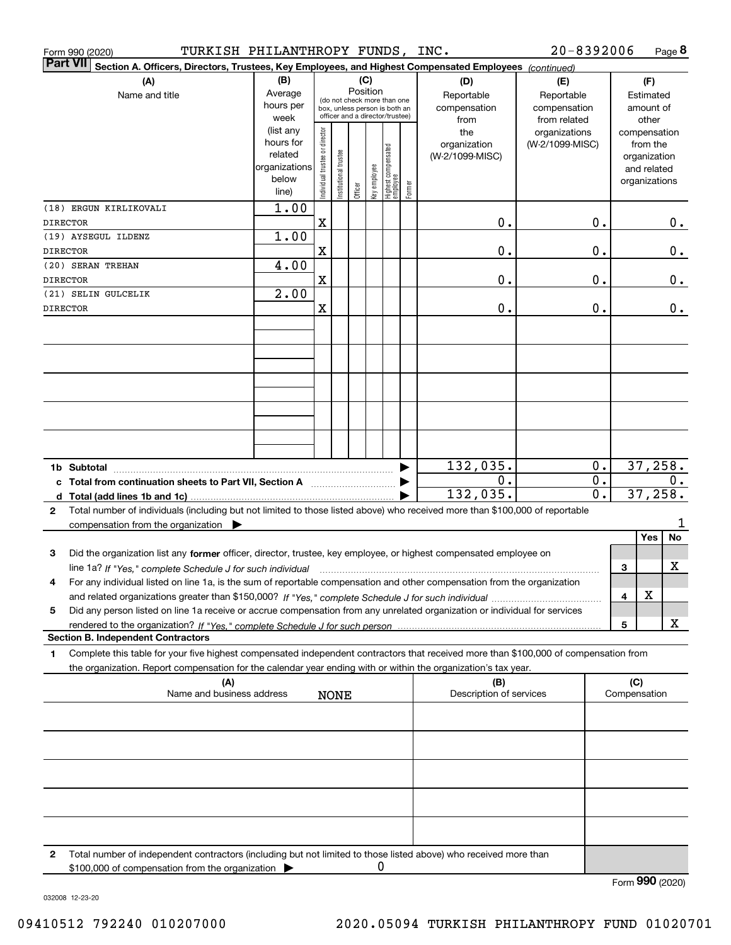| Form 990 (2020)                        | TURKISH PHILANTHROPY FUNDS, INC.                                                                                                                                                                                                                       |                                                                      |                                                                                                                                            |                        |             |              |                                  |        |                                           | $20 - 8392006$                                    |          |                                        | Page 8                                                                   |
|----------------------------------------|--------------------------------------------------------------------------------------------------------------------------------------------------------------------------------------------------------------------------------------------------------|----------------------------------------------------------------------|--------------------------------------------------------------------------------------------------------------------------------------------|------------------------|-------------|--------------|----------------------------------|--------|-------------------------------------------|---------------------------------------------------|----------|----------------------------------------|--------------------------------------------------------------------------|
| <b>Part VII</b>                        | Section A. Officers, Directors, Trustees, Key Employees, and Highest Compensated Employees (continued)                                                                                                                                                 | (B)                                                                  |                                                                                                                                            |                        |             |              |                                  |        |                                           |                                                   |          |                                        |                                                                          |
|                                        | (A)<br>Name and title                                                                                                                                                                                                                                  |                                                                      | (C)<br>Position<br>Average<br>(do not check more than one<br>hours per<br>box, unless person is both an<br>officer and a director/trustee) |                        |             |              |                                  |        | (D)<br>Reportable<br>compensation<br>from | (E)<br>Reportable<br>compensation<br>from related |          | (F)<br>Estimated<br>amount of<br>other |                                                                          |
|                                        |                                                                                                                                                                                                                                                        | (list any<br>hours for<br>related<br>organizations<br>below<br>line) | Individual trustee or director                                                                                                             | In stitutional trustee | Officer     | Key employee | Highest compensated<br> employee | Former | the<br>organization<br>(W-2/1099-MISC)    | organizations<br>(W-2/1099-MISC)                  |          |                                        | compensation<br>from the<br>organization<br>and related<br>organizations |
| (18) ERGUN KIRLIKOVALI<br>DIRECTOR     |                                                                                                                                                                                                                                                        | 1.00                                                                 | X                                                                                                                                          |                        |             |              |                                  |        | 0.                                        |                                                   | 0.       |                                        | 0.                                                                       |
| (19) AYSEGUL ILDENZ<br><b>DIRECTOR</b> |                                                                                                                                                                                                                                                        | 1.00                                                                 | $\mathbf X$                                                                                                                                |                        |             |              |                                  |        | 0.                                        |                                                   | 0.       |                                        | 0.                                                                       |
| (20) SERAN TREHAN<br><b>DIRECTOR</b>   |                                                                                                                                                                                                                                                        | 4.00                                                                 | $\mathbf X$                                                                                                                                |                        |             |              |                                  |        | 0.                                        |                                                   | 0.       |                                        | 0.                                                                       |
| (21) SELIN GULCELIK                    |                                                                                                                                                                                                                                                        | 2.00                                                                 |                                                                                                                                            |                        |             |              |                                  |        |                                           |                                                   |          |                                        |                                                                          |
| <b>DIRECTOR</b>                        |                                                                                                                                                                                                                                                        |                                                                      | X                                                                                                                                          |                        |             |              |                                  |        | 0.                                        |                                                   | 0.       |                                        | 0.                                                                       |
|                                        |                                                                                                                                                                                                                                                        |                                                                      |                                                                                                                                            |                        |             |              |                                  |        |                                           |                                                   |          |                                        |                                                                          |
|                                        |                                                                                                                                                                                                                                                        |                                                                      |                                                                                                                                            |                        |             |              |                                  |        |                                           |                                                   |          |                                        |                                                                          |
|                                        |                                                                                                                                                                                                                                                        |                                                                      |                                                                                                                                            |                        |             |              |                                  |        |                                           |                                                   |          |                                        |                                                                          |
|                                        |                                                                                                                                                                                                                                                        |                                                                      |                                                                                                                                            |                        |             |              |                                  |        |                                           |                                                   |          |                                        |                                                                          |
| 1b Subtotal                            |                                                                                                                                                                                                                                                        |                                                                      |                                                                                                                                            |                        |             |              |                                  |        | 132,035.                                  |                                                   | 0.       |                                        | 37,258.                                                                  |
|                                        |                                                                                                                                                                                                                                                        |                                                                      |                                                                                                                                            |                        |             |              |                                  |        | 0.<br>132,035.                            |                                                   | 0.<br>0. |                                        | 0.<br>37,258.                                                            |
| $\mathbf{2}$                           | Total number of individuals (including but not limited to those listed above) who received more than \$100,000 of reportable<br>compensation from the organization $\blacktriangleright$                                                               |                                                                      |                                                                                                                                            |                        |             |              |                                  |        |                                           |                                                   |          |                                        |                                                                          |
| 3                                      | Did the organization list any former officer, director, trustee, key employee, or highest compensated employee on                                                                                                                                      |                                                                      |                                                                                                                                            |                        |             |              |                                  |        |                                           |                                                   |          |                                        | No<br><b>Yes</b>                                                         |
|                                        |                                                                                                                                                                                                                                                        |                                                                      |                                                                                                                                            |                        |             |              |                                  |        |                                           |                                                   |          | 3                                      | x                                                                        |
| 4                                      | For any individual listed on line 1a, is the sum of reportable compensation and other compensation from the organization                                                                                                                               |                                                                      |                                                                                                                                            |                        |             |              |                                  |        |                                           |                                                   |          | 4                                      | х                                                                        |
| 5                                      | Did any person listed on line 1a receive or accrue compensation from any unrelated organization or individual for services                                                                                                                             |                                                                      |                                                                                                                                            |                        |             |              |                                  |        |                                           |                                                   |          | 5                                      | x                                                                        |
|                                        | <b>Section B. Independent Contractors</b>                                                                                                                                                                                                              |                                                                      |                                                                                                                                            |                        |             |              |                                  |        |                                           |                                                   |          |                                        |                                                                          |
| 1                                      | Complete this table for your five highest compensated independent contractors that received more than \$100,000 of compensation from<br>the organization. Report compensation for the calendar year ending with or within the organization's tax year. |                                                                      |                                                                                                                                            |                        |             |              |                                  |        |                                           |                                                   |          |                                        |                                                                          |
|                                        | (A)<br>Name and business address                                                                                                                                                                                                                       |                                                                      |                                                                                                                                            |                        | <b>NONE</b> |              |                                  |        | (B)<br>Description of services            |                                                   |          | (C)<br>Compensation                    |                                                                          |
|                                        |                                                                                                                                                                                                                                                        |                                                                      |                                                                                                                                            |                        |             |              |                                  |        |                                           |                                                   |          |                                        |                                                                          |
|                                        |                                                                                                                                                                                                                                                        |                                                                      |                                                                                                                                            |                        |             |              |                                  |        |                                           |                                                   |          |                                        |                                                                          |
|                                        |                                                                                                                                                                                                                                                        |                                                                      |                                                                                                                                            |                        |             |              |                                  |        |                                           |                                                   |          |                                        |                                                                          |
|                                        |                                                                                                                                                                                                                                                        |                                                                      |                                                                                                                                            |                        |             |              |                                  |        |                                           |                                                   |          |                                        |                                                                          |
|                                        |                                                                                                                                                                                                                                                        |                                                                      |                                                                                                                                            |                        |             |              |                                  |        |                                           |                                                   |          |                                        |                                                                          |
| 2                                      | Total number of independent contractors (including but not limited to those listed above) who received more than<br>\$100,000 of compensation from the organization                                                                                    |                                                                      |                                                                                                                                            |                        |             | 0            |                                  |        |                                           |                                                   |          |                                        |                                                                          |

032008 12-23-20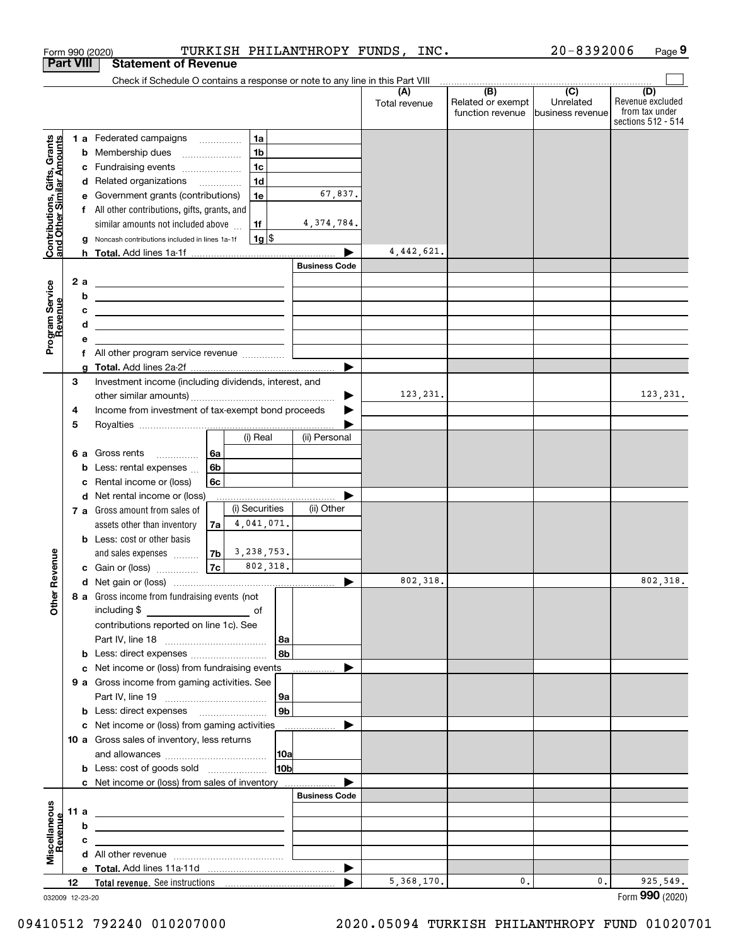|                                                           |      |                                             | Form 990 (2020)                                                                                                       |    |                |                 |                      | TURKISH PHILANTHROPY FUNDS, INC. |                                                                                              | $20 - 8392006$                | Page 9                                                          |
|-----------------------------------------------------------|------|---------------------------------------------|-----------------------------------------------------------------------------------------------------------------------|----|----------------|-----------------|----------------------|----------------------------------|----------------------------------------------------------------------------------------------|-------------------------------|-----------------------------------------------------------------|
| <b>Part VIII</b>                                          |      |                                             | <b>Statement of Revenue</b>                                                                                           |    |                |                 |                      |                                  |                                                                                              |                               |                                                                 |
|                                                           |      |                                             | Check if Schedule O contains a response or note to any line in this Part VIII                                         |    |                |                 |                      |                                  |                                                                                              |                               |                                                                 |
|                                                           |      |                                             |                                                                                                                       |    |                |                 |                      | (A)<br>Total revenue             | $\overline{(\mathsf{B})}$ $\overline{(\mathsf{C})}$<br>Related or exempt<br>function revenue | Unrelated<br>business revenue | (D)<br>Revenue excluded<br>from tax under<br>sections 512 - 514 |
|                                                           |      |                                             | 1 a Federated campaigns                                                                                               |    | 1a             |                 |                      |                                  |                                                                                              |                               |                                                                 |
| Contributions, Gifts, Grants<br>and Other Similar Amounts |      |                                             | <b>b</b> Membership dues                                                                                              |    | 1 <sub>b</sub> |                 |                      |                                  |                                                                                              |                               |                                                                 |
|                                                           |      |                                             | c Fundraising events                                                                                                  |    | 1 <sub>c</sub> |                 |                      |                                  |                                                                                              |                               |                                                                 |
|                                                           |      |                                             | d Related organizations                                                                                               |    | 1 <sub>d</sub> |                 |                      |                                  |                                                                                              |                               |                                                                 |
|                                                           |      | е                                           | Government grants (contributions)                                                                                     |    | 1e             |                 | 67,837.              |                                  |                                                                                              |                               |                                                                 |
|                                                           |      |                                             | f All other contributions, gifts, grants, and                                                                         |    |                |                 |                      |                                  |                                                                                              |                               |                                                                 |
|                                                           |      |                                             | similar amounts not included above                                                                                    |    | 1f             |                 | 4, 374, 784.         |                                  |                                                                                              |                               |                                                                 |
|                                                           |      | g                                           | Noncash contributions included in lines 1a-1f                                                                         |    | $1g$ \$        |                 |                      |                                  |                                                                                              |                               |                                                                 |
|                                                           |      |                                             |                                                                                                                       |    |                |                 |                      | 4,442,621.                       |                                                                                              |                               |                                                                 |
|                                                           |      |                                             |                                                                                                                       |    |                |                 | <b>Business Code</b> |                                  |                                                                                              |                               |                                                                 |
|                                                           |      | 2 a                                         |                                                                                                                       |    |                |                 |                      |                                  |                                                                                              |                               |                                                                 |
| Program Service<br>Revenue                                |      | b                                           | <u> 1989 - Johann Harry Harry Harry Harry Harry Harry Harry Harry Harry Harry Harry Harry Harry Harry Harry Harry</u> |    |                |                 |                      |                                  |                                                                                              |                               |                                                                 |
|                                                           |      | с                                           | <u> 1989 - Johann Barbara, martin amerikan basar dan berasal dan berasal dalam basar dalam basar dalam basar dala</u> |    |                |                 |                      |                                  |                                                                                              |                               |                                                                 |
|                                                           |      | d                                           | <u> Alexandria de la contrada de la contrada de la contrada de la contrada de la contrada de la contrada de la c</u>  |    |                |                 |                      |                                  |                                                                                              |                               |                                                                 |
|                                                           |      |                                             | <u> 1989 - Johann Stein, mars an de Frankryk († 1958)</u>                                                             |    |                |                 |                      |                                  |                                                                                              |                               |                                                                 |
|                                                           |      | е                                           |                                                                                                                       |    |                |                 |                      |                                  |                                                                                              |                               |                                                                 |
|                                                           |      |                                             |                                                                                                                       |    |                |                 |                      |                                  |                                                                                              |                               |                                                                 |
|                                                           | 3    | g                                           | Investment income (including dividends, interest, and                                                                 |    |                |                 |                      |                                  |                                                                                              |                               |                                                                 |
|                                                           |      |                                             |                                                                                                                       |    |                |                 | ▶                    | 123, 231.                        |                                                                                              |                               | 123, 231.                                                       |
|                                                           | 4    |                                             | Income from investment of tax-exempt bond proceeds                                                                    |    |                |                 |                      |                                  |                                                                                              |                               |                                                                 |
|                                                           | 5    |                                             |                                                                                                                       |    |                |                 |                      |                                  |                                                                                              |                               |                                                                 |
|                                                           |      |                                             |                                                                                                                       |    | (i) Real       |                 | (ii) Personal        |                                  |                                                                                              |                               |                                                                 |
|                                                           |      |                                             |                                                                                                                       | 6a |                |                 |                      |                                  |                                                                                              |                               |                                                                 |
|                                                           |      |                                             | 6 a Gross rents                                                                                                       | 6b |                |                 |                      |                                  |                                                                                              |                               |                                                                 |
|                                                           |      | b                                           | Less: rental expenses<br>Rental income or (loss)                                                                      | 6с |                |                 |                      |                                  |                                                                                              |                               |                                                                 |
|                                                           |      | c                                           | d Net rental income or (loss)                                                                                         |    |                |                 |                      |                                  |                                                                                              |                               |                                                                 |
|                                                           |      |                                             | 7 a Gross amount from sales of                                                                                        |    | (i) Securities |                 | (ii) Other           |                                  |                                                                                              |                               |                                                                 |
|                                                           |      |                                             | assets other than inventory                                                                                           | 7a | 4,041,071.     |                 |                      |                                  |                                                                                              |                               |                                                                 |
|                                                           |      |                                             | <b>b</b> Less: cost or other basis                                                                                    |    |                |                 |                      |                                  |                                                                                              |                               |                                                                 |
|                                                           |      |                                             | and sales expenses                                                                                                    | 7b | 3,238,753.     |                 |                      |                                  |                                                                                              |                               |                                                                 |
| evenue                                                    |      |                                             | c Gain or (loss)                                                                                                      | 7c | 802,318.       |                 |                      |                                  |                                                                                              |                               |                                                                 |
|                                                           |      |                                             |                                                                                                                       |    |                |                 |                      | 802,318.                         |                                                                                              |                               | 802,318.                                                        |
| œ                                                         |      |                                             | 8 a Gross income from fundraising events (not                                                                         |    |                |                 |                      |                                  |                                                                                              |                               |                                                                 |
| Other                                                     |      |                                             | including \$                                                                                                          |    |                |                 |                      |                                  |                                                                                              |                               |                                                                 |
|                                                           |      |                                             | contributions reported on line 1c). See                                                                               |    |                |                 |                      |                                  |                                                                                              |                               |                                                                 |
|                                                           |      |                                             |                                                                                                                       |    |                | 8a              |                      |                                  |                                                                                              |                               |                                                                 |
|                                                           |      |                                             | <b>b</b> Less: direct expenses                                                                                        |    |                | l 8b l          |                      |                                  |                                                                                              |                               |                                                                 |
|                                                           |      |                                             | <b>c</b> Net income or (loss) from fundraising events                                                                 |    |                |                 |                      |                                  |                                                                                              |                               |                                                                 |
|                                                           |      |                                             | 9 a Gross income from gaming activities. See                                                                          |    |                |                 |                      |                                  |                                                                                              |                               |                                                                 |
|                                                           |      |                                             |                                                                                                                       |    |                | ∣9a             |                      |                                  |                                                                                              |                               |                                                                 |
|                                                           |      |                                             | <b>b</b> Less: direct expenses <b>manually</b>                                                                        |    |                | 9b l            |                      |                                  |                                                                                              |                               |                                                                 |
|                                                           |      |                                             | c Net income or (loss) from gaming activities                                                                         |    |                |                 |                      |                                  |                                                                                              |                               |                                                                 |
|                                                           |      |                                             |                                                                                                                       |    |                |                 |                      |                                  |                                                                                              |                               |                                                                 |
|                                                           |      | 10 a Gross sales of inventory, less returns |                                                                                                                       |    |                |                 |                      |                                  |                                                                                              |                               |                                                                 |
|                                                           |      |                                             | <b>b</b> Less: cost of goods sold                                                                                     |    |                | 10 <sub>b</sub> |                      |                                  |                                                                                              |                               |                                                                 |
|                                                           |      |                                             | c Net income or (loss) from sales of inventory                                                                        |    |                |                 |                      |                                  |                                                                                              |                               |                                                                 |
|                                                           |      |                                             |                                                                                                                       |    |                |                 | <b>Business Code</b> |                                  |                                                                                              |                               |                                                                 |
|                                                           | 11 a |                                             |                                                                                                                       |    |                |                 |                      |                                  |                                                                                              |                               |                                                                 |
|                                                           |      | b                                           | <u> 1989 - Johann John Stein, fransk politik (f. 1989)</u>                                                            |    |                |                 |                      |                                  |                                                                                              |                               |                                                                 |
| evenue                                                    |      |                                             | the contract of the contract of the contract of the contract of the contract of                                       |    |                |                 |                      |                                  |                                                                                              |                               |                                                                 |
| Miscellaneous                                             |      | с                                           | the control of the control of the control of the control of the control of                                            |    |                |                 |                      |                                  |                                                                                              |                               |                                                                 |
|                                                           |      |                                             |                                                                                                                       |    |                |                 |                      |                                  |                                                                                              |                               |                                                                 |
|                                                           | 12   |                                             |                                                                                                                       |    |                |                 | ▶                    | 5,368,170.                       | $\mathbf{0}$ .                                                                               | 0.                            | 925,549.                                                        |
|                                                           |      |                                             |                                                                                                                       |    |                |                 |                      |                                  |                                                                                              |                               |                                                                 |

032009 12-23-20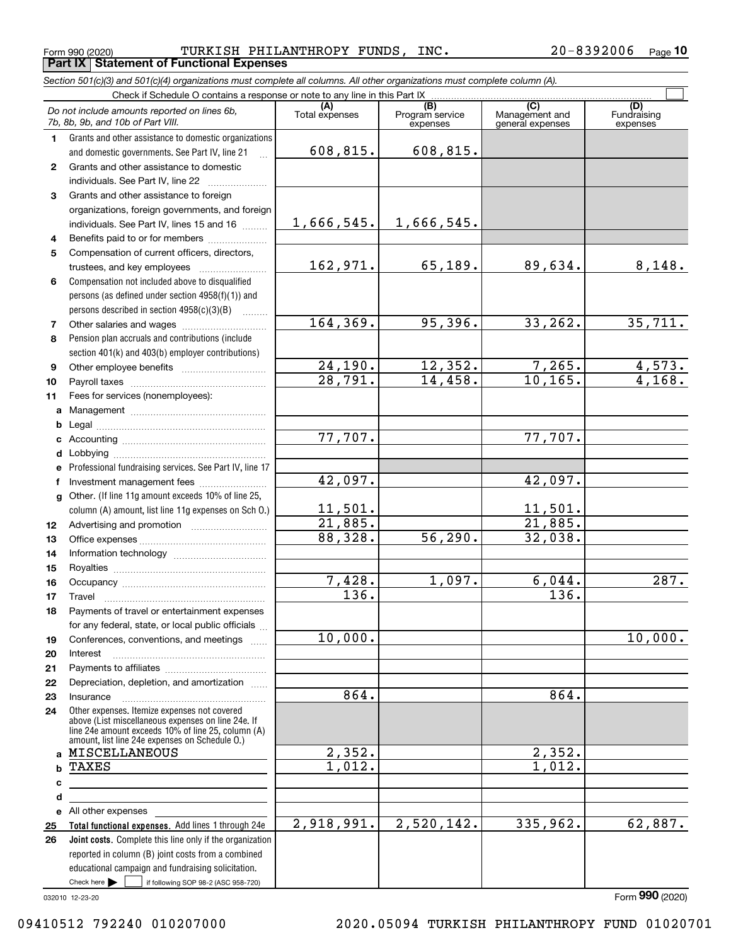<code>Form</code> 990 (2020) TURKISH <code>PHILANTHROPY FUNDS</code> , <code>INC</code> .  $20-8392006$  <code>Page</code> **Part IX Statement of Functional Expenses**

*Section 501(c)(3) and 501(c)(4) organizations must complete all columns. All other organizations must complete column (A).*

|                  | Check if Schedule O contains a response or note to any line in this Part IX                                                                              |                         |                                    |                                           |                                |  |  |  |  |  |  |  |
|------------------|----------------------------------------------------------------------------------------------------------------------------------------------------------|-------------------------|------------------------------------|-------------------------------------------|--------------------------------|--|--|--|--|--|--|--|
|                  | Do not include amounts reported on lines 6b,<br>7b, 8b, 9b, and 10b of Part VIII.                                                                        | Total expenses          | (B)<br>Program service<br>expenses | (C)<br>Management and<br>general expenses | (D)<br>Fundraising<br>expenses |  |  |  |  |  |  |  |
| 1.               | Grants and other assistance to domestic organizations                                                                                                    |                         |                                    |                                           |                                |  |  |  |  |  |  |  |
|                  | and domestic governments. See Part IV, line 21                                                                                                           | 608,815.                | 608,815.                           |                                           |                                |  |  |  |  |  |  |  |
| $\mathbf{2}$     | Grants and other assistance to domestic                                                                                                                  |                         |                                    |                                           |                                |  |  |  |  |  |  |  |
|                  | individuals. See Part IV, line 22                                                                                                                        |                         |                                    |                                           |                                |  |  |  |  |  |  |  |
| 3                | Grants and other assistance to foreign                                                                                                                   |                         |                                    |                                           |                                |  |  |  |  |  |  |  |
|                  | organizations, foreign governments, and foreign                                                                                                          |                         |                                    |                                           |                                |  |  |  |  |  |  |  |
|                  | individuals. See Part IV, lines 15 and 16                                                                                                                | 1,666,545.              | 1,666,545.                         |                                           |                                |  |  |  |  |  |  |  |
| 4                | Benefits paid to or for members                                                                                                                          |                         |                                    |                                           |                                |  |  |  |  |  |  |  |
| 5                | Compensation of current officers, directors,                                                                                                             |                         |                                    |                                           |                                |  |  |  |  |  |  |  |
|                  |                                                                                                                                                          | 162,971.                | 65, 189.                           | 89,634.                                   | 8,148.                         |  |  |  |  |  |  |  |
| 6                | Compensation not included above to disqualified                                                                                                          |                         |                                    |                                           |                                |  |  |  |  |  |  |  |
|                  | persons (as defined under section 4958(f)(1)) and                                                                                                        |                         |                                    |                                           |                                |  |  |  |  |  |  |  |
|                  | persons described in section 4958(c)(3)(B)                                                                                                               |                         |                                    |                                           |                                |  |  |  |  |  |  |  |
| 7                |                                                                                                                                                          | 164, 369.               | 95,396.                            | 33, 262.                                  | 35,711.                        |  |  |  |  |  |  |  |
| 8                | Pension plan accruals and contributions (include                                                                                                         |                         |                                    |                                           |                                |  |  |  |  |  |  |  |
|                  | section 401(k) and 403(b) employer contributions)                                                                                                        |                         |                                    |                                           |                                |  |  |  |  |  |  |  |
| 9                |                                                                                                                                                          | 24,190.                 | 12,352.                            | 7,265.                                    | $\frac{4,573.}{4,168.}$        |  |  |  |  |  |  |  |
| 10               |                                                                                                                                                          | 28,791.                 | 14,458.                            | 10, 165.                                  |                                |  |  |  |  |  |  |  |
| 11               | Fees for services (nonemployees):                                                                                                                        |                         |                                    |                                           |                                |  |  |  |  |  |  |  |
| a                |                                                                                                                                                          |                         |                                    |                                           |                                |  |  |  |  |  |  |  |
| b                |                                                                                                                                                          | 77,707.                 |                                    | 77,707.                                   |                                |  |  |  |  |  |  |  |
| c                |                                                                                                                                                          |                         |                                    |                                           |                                |  |  |  |  |  |  |  |
| d                |                                                                                                                                                          |                         |                                    |                                           |                                |  |  |  |  |  |  |  |
| е                | Professional fundraising services. See Part IV, line 17                                                                                                  | 42,097.                 |                                    | 42,097.                                   |                                |  |  |  |  |  |  |  |
| f                | Investment management fees<br>Other. (If line 11g amount exceeds 10% of line 25,                                                                         |                         |                                    |                                           |                                |  |  |  |  |  |  |  |
| $\mathbf{q}$     | column (A) amount, list line 11g expenses on Sch O.)                                                                                                     |                         |                                    | 11,501.                                   |                                |  |  |  |  |  |  |  |
| 12 <sup>12</sup> |                                                                                                                                                          | $\frac{11,501}{21,885}$ |                                    | 21,885.                                   |                                |  |  |  |  |  |  |  |
| 13               |                                                                                                                                                          | 88,328.                 | 56, 290.                           | 32,038.                                   |                                |  |  |  |  |  |  |  |
| 14               |                                                                                                                                                          |                         |                                    |                                           |                                |  |  |  |  |  |  |  |
| 15               |                                                                                                                                                          |                         |                                    |                                           |                                |  |  |  |  |  |  |  |
| 16               |                                                                                                                                                          | 7,428.                  | 1,097.                             | 6,044.                                    | 287.                           |  |  |  |  |  |  |  |
| 17               | Travel                                                                                                                                                   | $\overline{136}$ .      |                                    | $\overline{136}$ .                        |                                |  |  |  |  |  |  |  |
| 18               | Payments of travel or entertainment expenses                                                                                                             |                         |                                    |                                           |                                |  |  |  |  |  |  |  |
|                  | for any federal, state, or local public officials                                                                                                        |                         |                                    |                                           |                                |  |  |  |  |  |  |  |
| 19               | Conferences, conventions, and meetings                                                                                                                   | 10,000.                 |                                    |                                           | 10,000.                        |  |  |  |  |  |  |  |
| 20               | Interest                                                                                                                                                 |                         |                                    |                                           |                                |  |  |  |  |  |  |  |
| 21               |                                                                                                                                                          |                         |                                    |                                           |                                |  |  |  |  |  |  |  |
| 22               | Depreciation, depletion, and amortization                                                                                                                |                         |                                    |                                           |                                |  |  |  |  |  |  |  |
| 23               | Insurance                                                                                                                                                | 864.                    |                                    | 864.                                      |                                |  |  |  |  |  |  |  |
| 24               | Other expenses. Itemize expenses not covered<br>above (List miscellaneous expenses on line 24e. If<br>line 24e amount exceeds 10% of line 25, column (A) |                         |                                    |                                           |                                |  |  |  |  |  |  |  |
| a                | amount, list line 24e expenses on Schedule O.)<br>MISCELLANEOUS                                                                                          | 2,352.                  |                                    | 2,352.                                    |                                |  |  |  |  |  |  |  |
| b                | <b>TAXES</b>                                                                                                                                             | 1,012.                  |                                    | 1,012.                                    |                                |  |  |  |  |  |  |  |
| c                |                                                                                                                                                          |                         |                                    |                                           |                                |  |  |  |  |  |  |  |
| d                |                                                                                                                                                          |                         |                                    |                                           |                                |  |  |  |  |  |  |  |
| е                | All other expenses                                                                                                                                       |                         |                                    |                                           |                                |  |  |  |  |  |  |  |
| 25               | Total functional expenses. Add lines 1 through 24e                                                                                                       | 2,918,991.              | 2,520,142.                         | 335,962.                                  | 62,887.                        |  |  |  |  |  |  |  |
| 26               | Joint costs. Complete this line only if the organization                                                                                                 |                         |                                    |                                           |                                |  |  |  |  |  |  |  |
|                  | reported in column (B) joint costs from a combined                                                                                                       |                         |                                    |                                           |                                |  |  |  |  |  |  |  |
|                  | educational campaign and fundraising solicitation.                                                                                                       |                         |                                    |                                           |                                |  |  |  |  |  |  |  |
|                  | Check here $\blacktriangleright$<br>if following SOP 98-2 (ASC 958-720)                                                                                  |                         |                                    |                                           |                                |  |  |  |  |  |  |  |

032010 12-23-20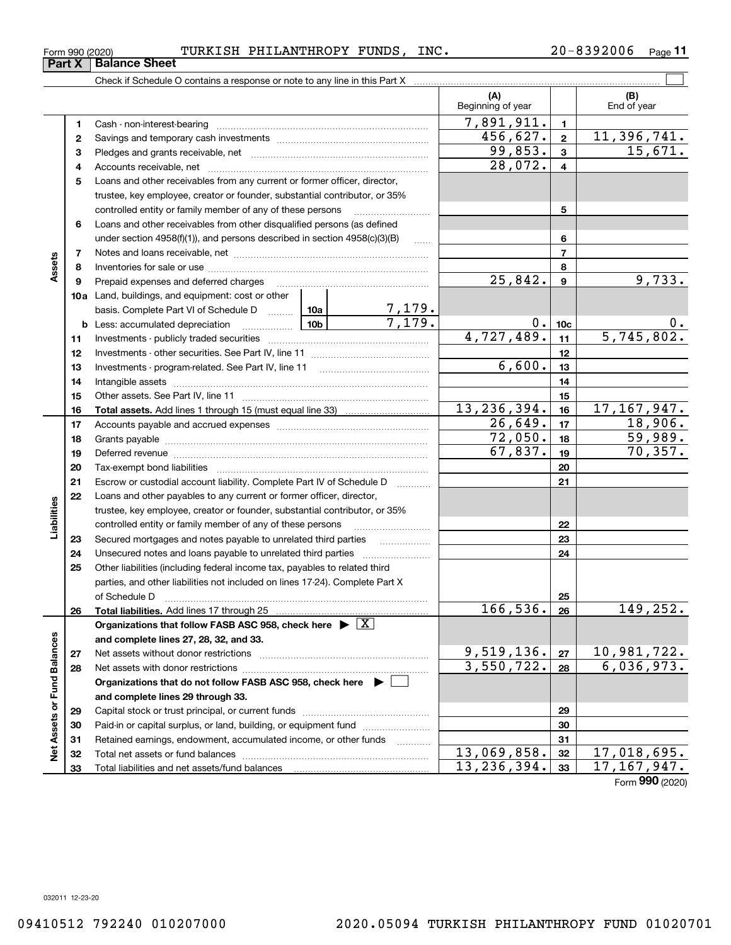## <code>Form</code> 990 (2020) TURKISH <code>PHILANTHROPY FUNDS</code> , <code>INC</code> .  $20-8392006$  <code>Page</code>

**11**

|                             |    | Check if Schedule O contains a response or note to any line in this Part X                                                                                                                                                     |         |                         |                          |                 |                    |
|-----------------------------|----|--------------------------------------------------------------------------------------------------------------------------------------------------------------------------------------------------------------------------------|---------|-------------------------|--------------------------|-----------------|--------------------|
|                             |    |                                                                                                                                                                                                                                |         |                         | (A)<br>Beginning of year |                 | (B)<br>End of year |
|                             | 1  |                                                                                                                                                                                                                                |         |                         | 7,891,911.               | $\mathbf{1}$    |                    |
|                             | 2  |                                                                                                                                                                                                                                |         |                         | 456,627.                 | $\mathbf{2}$    | 11,396,741.        |
|                             | з  |                                                                                                                                                                                                                                |         |                         | 99,853.                  | $\mathbf{3}$    | 15,671.            |
|                             | 4  |                                                                                                                                                                                                                                | 28,072. | $\overline{4}$          |                          |                 |                    |
|                             | 5  | Loans and other receivables from any current or former officer, director,                                                                                                                                                      |         |                         |                          |                 |                    |
|                             |    | trustee, key employee, creator or founder, substantial contributor, or 35%                                                                                                                                                     |         |                         |                          |                 |                    |
|                             |    | controlled entity or family member of any of these persons                                                                                                                                                                     |         |                         |                          | 5               |                    |
|                             | 6  | Loans and other receivables from other disqualified persons (as defined                                                                                                                                                        |         |                         |                          |                 |                    |
|                             |    | under section $4958(f)(1)$ , and persons described in section $4958(c)(3)(B)$                                                                                                                                                  |         | $\ldots$                |                          | 6               |                    |
|                             | 7  |                                                                                                                                                                                                                                |         |                         | $\overline{7}$           |                 |                    |
| Assets                      | 8  |                                                                                                                                                                                                                                |         |                         | $\overline{25,842}$ .    | 8               |                    |
|                             | 9  | Prepaid expenses and deferred charges                                                                                                                                                                                          |         |                         |                          |                 | 9,733.             |
|                             |    | <b>10a</b> Land, buildings, and equipment: cost or other                                                                                                                                                                       |         |                         |                          |                 |                    |
|                             |    | basis. Complete Part VI of Schedule D  10a                                                                                                                                                                                     |         | $\frac{7,179.}{7,179.}$ |                          |                 |                    |
|                             |    | <b>b</b> Less: accumulated depreciation                                                                                                                                                                                        |         |                         | $0$ .                    | 10 <sub>c</sub> | 0.                 |
|                             | 11 |                                                                                                                                                                                                                                |         |                         | 4,727,489.               | 11              | 5,745,802.         |
|                             | 12 |                                                                                                                                                                                                                                |         | 12                      |                          |                 |                    |
|                             | 13 |                                                                                                                                                                                                                                |         | 6,600.                  | 13                       |                 |                    |
|                             | 14 |                                                                                                                                                                                                                                |         |                         |                          | 14              |                    |
|                             | 15 |                                                                                                                                                                                                                                |         |                         | 15                       |                 |                    |
|                             | 16 |                                                                                                                                                                                                                                |         |                         | 13, 236, 394.            | 16              | 17, 167, 947.      |
|                             | 17 |                                                                                                                                                                                                                                |         | 26,649.                 | 17                       | 18,906.         |                    |
|                             | 18 |                                                                                                                                                                                                                                | 72,050. | 18                      | 59,989.                  |                 |                    |
|                             | 19 | Deferred revenue manual contracts and contracts are contracted and contract and contract are contracted and contract are contracted and contract are contracted and contract are contracted and contract are contracted and co | 67,837. | 19                      | 70, 357.                 |                 |                    |
|                             | 20 |                                                                                                                                                                                                                                |         |                         |                          | 20              |                    |
|                             | 21 | Escrow or custodial account liability. Complete Part IV of Schedule D                                                                                                                                                          |         |                         |                          | 21              |                    |
|                             | 22 | Loans and other payables to any current or former officer, director,                                                                                                                                                           |         |                         |                          |                 |                    |
| Liabilities                 |    | trustee, key employee, creator or founder, substantial contributor, or 35%                                                                                                                                                     |         |                         |                          |                 |                    |
|                             |    | controlled entity or family member of any of these persons                                                                                                                                                                     |         |                         |                          | 22              |                    |
|                             | 23 | Secured mortgages and notes payable to unrelated third parties                                                                                                                                                                 |         |                         |                          | 23              |                    |
|                             | 24 |                                                                                                                                                                                                                                |         |                         |                          | 24              |                    |
|                             | 25 | Other liabilities (including federal income tax, payables to related third                                                                                                                                                     |         |                         |                          |                 |                    |
|                             |    | parties, and other liabilities not included on lines 17-24). Complete Part X<br>of Schedule D                                                                                                                                  |         |                         |                          | 25              |                    |
|                             | 26 | Total liabilities. Add lines 17 through 25                                                                                                                                                                                     |         |                         | 166, 536.                | 26              | 149, 252.          |
|                             |    | Organizations that follow FASB ASC 958, check here $\triangleright \lfloor X \rfloor$                                                                                                                                          |         |                         |                          |                 |                    |
|                             |    | and complete lines 27, 28, 32, and 33.                                                                                                                                                                                         |         |                         |                          |                 |                    |
|                             | 27 |                                                                                                                                                                                                                                |         |                         | 9,519,136.               | 27              | 10, 981, 722.      |
|                             | 28 |                                                                                                                                                                                                                                |         |                         | 3,550,722.               | 28              | 6,036,973.         |
|                             |    | Organizations that do not follow FASB ASC 958, check here $\triangleright$                                                                                                                                                     |         |                         |                          |                 |                    |
|                             |    | and complete lines 29 through 33.                                                                                                                                                                                              |         |                         |                          |                 |                    |
|                             | 29 |                                                                                                                                                                                                                                |         |                         |                          | 29              |                    |
|                             | 30 | Paid-in or capital surplus, or land, building, or equipment fund                                                                                                                                                               |         |                         |                          | 30              |                    |
|                             | 31 | Retained earnings, endowment, accumulated income, or other funds                                                                                                                                                               |         |                         |                          | 31              |                    |
| Net Assets or Fund Balances | 32 |                                                                                                                                                                                                                                |         |                         | 13,069,858.              | 32              | 17,018,695.        |
|                             | 33 |                                                                                                                                                                                                                                |         |                         | 13, 236, 394.            | 33              | 17, 167, 947.      |
|                             |    |                                                                                                                                                                                                                                |         |                         |                          |                 |                    |

Form (2020) **990**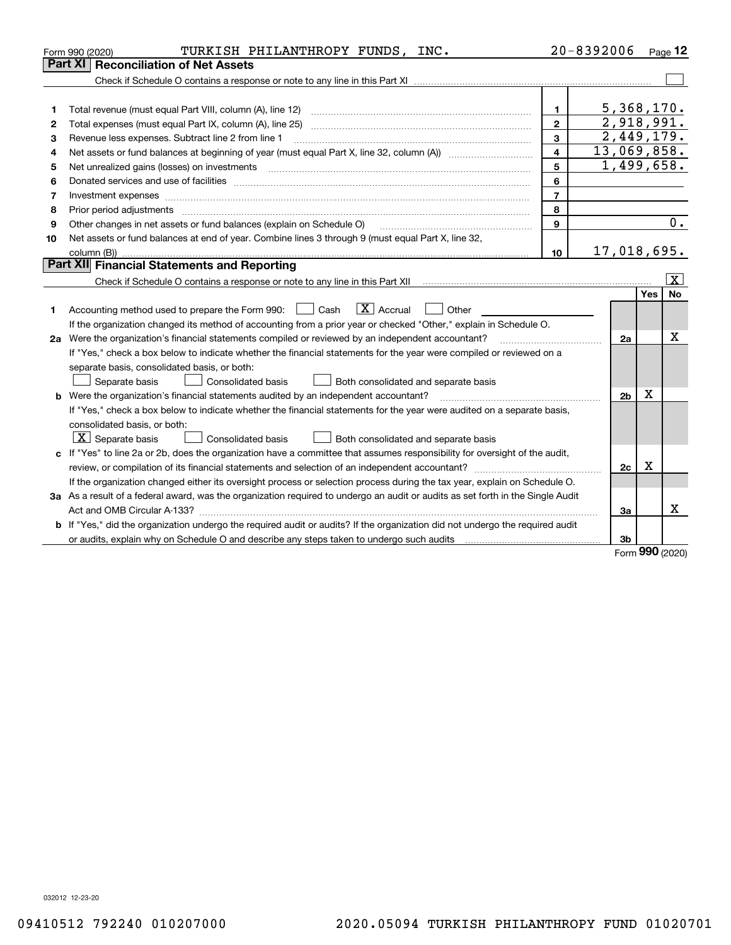|    | TURKISH PHILANTHROPY FUNDS, INC.<br>Form 990 (2020)                                                                                                                                                                            |                         | $20 - 8392006$ |     | $P_{\text{aqe}}$ 12     |
|----|--------------------------------------------------------------------------------------------------------------------------------------------------------------------------------------------------------------------------------|-------------------------|----------------|-----|-------------------------|
|    | <b>Part XI   Reconciliation of Net Assets</b>                                                                                                                                                                                  |                         |                |     |                         |
|    |                                                                                                                                                                                                                                |                         |                |     |                         |
|    |                                                                                                                                                                                                                                |                         |                |     |                         |
| 1  | Total revenue (must equal Part VIII, column (A), line 12)                                                                                                                                                                      | $\mathbf{1}$            | 5,368,170.     |     |                         |
| 2  | Total expenses (must equal Part IX, column (A), line 25)                                                                                                                                                                       | $\mathbf{2}$            | 2,918,991.     |     |                         |
| з  | Revenue less expenses. Subtract line 2 from line 1                                                                                                                                                                             | 3                       | 2,449,179.     |     |                         |
| 4  |                                                                                                                                                                                                                                | $\overline{\mathbf{4}}$ | 13,069,858.    |     |                         |
| 5  | Net unrealized gains (losses) on investments                                                                                                                                                                                   | 5                       | 1,499,658.     |     |                         |
| 6  | Donated services and use of facilities [111] matter contracts and the service of facilities [11] matter contracts and use of facilities [11] matter contracts and the service of facilities [11] matter contracts and the serv | 6                       |                |     |                         |
| 7  | Investment expenses www.communication.com/www.communication.com/www.communication.com/www.com                                                                                                                                  | $\overline{7}$          |                |     |                         |
| 8  | Prior period adjustments                                                                                                                                                                                                       | 8                       |                |     |                         |
| 9  | Other changes in net assets or fund balances (explain on Schedule O)                                                                                                                                                           | $\mathbf{Q}$            |                |     | 0.                      |
| 10 | Net assets or fund balances at end of year. Combine lines 3 through 9 (must equal Part X, line 32,                                                                                                                             |                         |                |     |                         |
|    | column (B))                                                                                                                                                                                                                    | 10                      | 17,018,695.    |     |                         |
|    | Part XII Financial Statements and Reporting                                                                                                                                                                                    |                         |                |     |                         |
|    | Check if Schedule O contains a response or note to any line in this Part XII [11] [12] Check if Schedule O contains a response or note to any line in this Part XII                                                            |                         |                |     | $\overline{\mathbf{X}}$ |
|    |                                                                                                                                                                                                                                |                         |                | Yes | No                      |
| 1  | $\boxed{\mathbf{X}}$ Accrual<br>Accounting method used to prepare the Form 990: <u>I</u> Cash<br>Other                                                                                                                         |                         |                |     |                         |
|    | If the organization changed its method of accounting from a prior year or checked "Other," explain in Schedule O.                                                                                                              |                         |                |     |                         |
|    | 2a Were the organization's financial statements compiled or reviewed by an independent accountant?                                                                                                                             |                         | 2a             |     | x                       |
|    | If "Yes," check a box below to indicate whether the financial statements for the year were compiled or reviewed on a                                                                                                           |                         |                |     |                         |
|    | separate basis, consolidated basis, or both:                                                                                                                                                                                   |                         |                |     |                         |
|    | Separate basis<br><b>Consolidated basis</b><br>Both consolidated and separate basis                                                                                                                                            |                         |                |     |                         |
|    | <b>b</b> Were the organization's financial statements audited by an independent accountant?                                                                                                                                    |                         | 2 <sub>b</sub> | X   |                         |
|    | If "Yes," check a box below to indicate whether the financial statements for the year were audited on a separate basis,                                                                                                        |                         |                |     |                         |
|    | consolidated basis, or both:                                                                                                                                                                                                   |                         |                |     |                         |
|    | $\mid$ $\rm X\mid$ Separate basis<br>Consolidated basis<br>Both consolidated and separate basis                                                                                                                                |                         |                |     |                         |
|    | c If "Yes" to line 2a or 2b, does the organization have a committee that assumes responsibility for oversight of the audit,                                                                                                    |                         |                |     |                         |
|    | review, or compilation of its financial statements and selection of an independent accountant?                                                                                                                                 |                         | 2c             | x   |                         |
|    | If the organization changed either its oversight process or selection process during the tax year, explain on Schedule O.                                                                                                      |                         |                |     |                         |
|    | 3a As a result of a federal award, was the organization required to undergo an audit or audits as set forth in the Single Audit                                                                                                |                         |                |     |                         |
|    |                                                                                                                                                                                                                                |                         | 3a             |     | x                       |
|    | b If "Yes," did the organization undergo the required audit or audits? If the organization did not undergo the required audit                                                                                                  |                         |                |     |                         |
|    | or audits, explain why on Schedule O and describe any steps taken to undergo such audits [11] connection-connection-                                                                                                           |                         | 3b             | nnn |                         |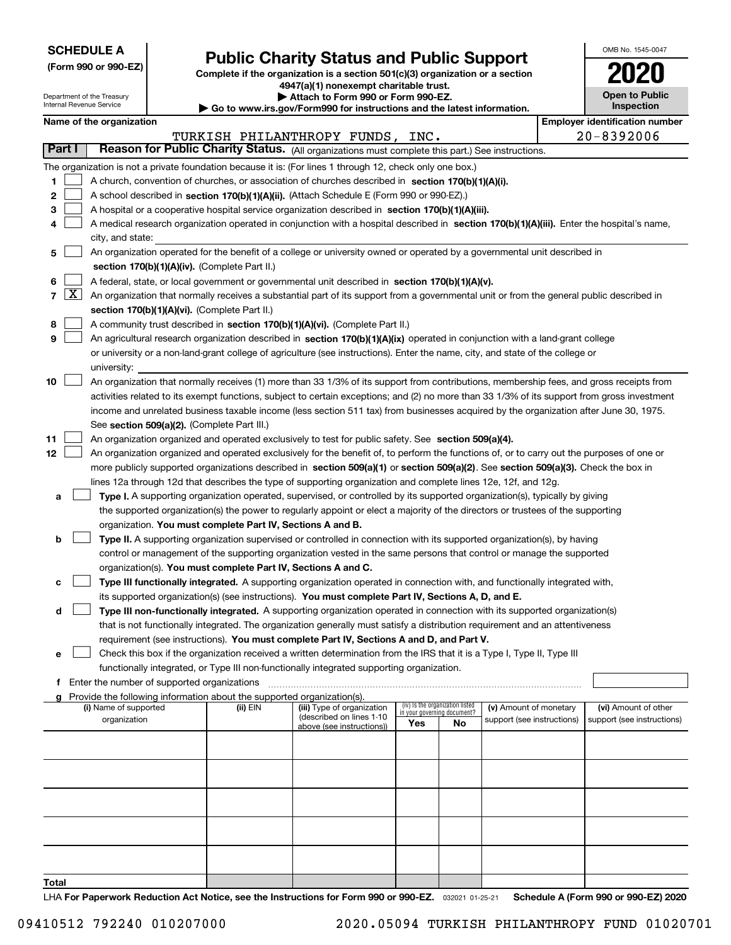| <b>SCHEDULE A</b> |  |
|-------------------|--|
|-------------------|--|

Department of the Treasury

| (Form 990 or 990-EZ) |  |  |  |  |
|----------------------|--|--|--|--|
|----------------------|--|--|--|--|

# **Public Charity Status and Public Support**

**Complete if the organization is a section 501(c)(3) organization or a section 4947(a)(1) nonexempt charitable trust.**

| Attach to Form 990 or Form 990-EZ. |  |
|------------------------------------|--|
|------------------------------------|--|

| OMB No 1545-0047                    |
|-------------------------------------|
| U20                                 |
| <b>Open to Public</b><br>Inspection |

|                | Internal Revenue Service<br>Inspection<br>Go to www.irs.gov/Form990 for instructions and the latest information. |                          |                                             |                                                                                    |                                                                                                                                              |     |                                   |                            |  |                                       |  |  |
|----------------|------------------------------------------------------------------------------------------------------------------|--------------------------|---------------------------------------------|------------------------------------------------------------------------------------|----------------------------------------------------------------------------------------------------------------------------------------------|-----|-----------------------------------|----------------------------|--|---------------------------------------|--|--|
|                |                                                                                                                  | Name of the organization |                                             |                                                                                    |                                                                                                                                              |     |                                   |                            |  | <b>Employer identification number</b> |  |  |
|                |                                                                                                                  |                          |                                             |                                                                                    | TURKISH PHILANTHROPY FUNDS, INC.                                                                                                             |     |                                   |                            |  | $20 - 8392006$                        |  |  |
|                | Part I                                                                                                           |                          |                                             |                                                                                    | Reason for Public Charity Status. (All organizations must complete this part.) See instructions.                                             |     |                                   |                            |  |                                       |  |  |
|                |                                                                                                                  |                          |                                             |                                                                                    | The organization is not a private foundation because it is: (For lines 1 through 12, check only one box.)                                    |     |                                   |                            |  |                                       |  |  |
| 1              |                                                                                                                  |                          |                                             |                                                                                    | A church, convention of churches, or association of churches described in section 170(b)(1)(A)(i).                                           |     |                                   |                            |  |                                       |  |  |
| 2              |                                                                                                                  |                          |                                             |                                                                                    | A school described in section 170(b)(1)(A)(ii). (Attach Schedule E (Form 990 or 990-EZ).)                                                    |     |                                   |                            |  |                                       |  |  |
| з              |                                                                                                                  |                          |                                             |                                                                                    | A hospital or a cooperative hospital service organization described in section 170(b)(1)(A)(iii).                                            |     |                                   |                            |  |                                       |  |  |
| 4              |                                                                                                                  |                          |                                             |                                                                                    | A medical research organization operated in conjunction with a hospital described in section 170(b)(1)(A)(iii). Enter the hospital's name,   |     |                                   |                            |  |                                       |  |  |
|                |                                                                                                                  | city, and state:         |                                             |                                                                                    |                                                                                                                                              |     |                                   |                            |  |                                       |  |  |
| 5              |                                                                                                                  |                          |                                             |                                                                                    | An organization operated for the benefit of a college or university owned or operated by a governmental unit described in                    |     |                                   |                            |  |                                       |  |  |
|                |                                                                                                                  |                          |                                             | section 170(b)(1)(A)(iv). (Complete Part II.)                                      |                                                                                                                                              |     |                                   |                            |  |                                       |  |  |
| 6              |                                                                                                                  |                          |                                             |                                                                                    | A federal, state, or local government or governmental unit described in section 170(b)(1)(A)(v).                                             |     |                                   |                            |  |                                       |  |  |
| $\overline{7}$ | $\lfloor x \rfloor$                                                                                              |                          |                                             |                                                                                    | An organization that normally receives a substantial part of its support from a governmental unit or from the general public described in    |     |                                   |                            |  |                                       |  |  |
|                |                                                                                                                  |                          |                                             | section 170(b)(1)(A)(vi). (Complete Part II.)                                      |                                                                                                                                              |     |                                   |                            |  |                                       |  |  |
| 8              |                                                                                                                  |                          |                                             |                                                                                    | A community trust described in section 170(b)(1)(A)(vi). (Complete Part II.)                                                                 |     |                                   |                            |  |                                       |  |  |
| 9              |                                                                                                                  |                          |                                             |                                                                                    | An agricultural research organization described in section 170(b)(1)(A)(ix) operated in conjunction with a land-grant college                |     |                                   |                            |  |                                       |  |  |
|                |                                                                                                                  |                          |                                             |                                                                                    | or university or a non-land-grant college of agriculture (see instructions). Enter the name, city, and state of the college or               |     |                                   |                            |  |                                       |  |  |
|                |                                                                                                                  | university:              |                                             |                                                                                    |                                                                                                                                              |     |                                   |                            |  |                                       |  |  |
| 10             |                                                                                                                  |                          |                                             |                                                                                    | An organization that normally receives (1) more than 33 1/3% of its support from contributions, membership fees, and gross receipts from     |     |                                   |                            |  |                                       |  |  |
|                |                                                                                                                  |                          |                                             |                                                                                    | activities related to its exempt functions, subject to certain exceptions; and (2) no more than 33 1/3% of its support from gross investment |     |                                   |                            |  |                                       |  |  |
|                |                                                                                                                  |                          |                                             |                                                                                    | income and unrelated business taxable income (less section 511 tax) from businesses acquired by the organization after June 30, 1975.        |     |                                   |                            |  |                                       |  |  |
|                |                                                                                                                  |                          |                                             | See section 509(a)(2). (Complete Part III.)                                        |                                                                                                                                              |     |                                   |                            |  |                                       |  |  |
| 11             |                                                                                                                  |                          |                                             |                                                                                    | An organization organized and operated exclusively to test for public safety. See section 509(a)(4).                                         |     |                                   |                            |  |                                       |  |  |
| 12             |                                                                                                                  |                          |                                             |                                                                                    | An organization organized and operated exclusively for the benefit of, to perform the functions of, or to carry out the purposes of one or   |     |                                   |                            |  |                                       |  |  |
|                |                                                                                                                  |                          |                                             |                                                                                    | more publicly supported organizations described in section 509(a)(1) or section 509(a)(2). See section 509(a)(3). Check the box in           |     |                                   |                            |  |                                       |  |  |
|                |                                                                                                                  |                          |                                             |                                                                                    | lines 12a through 12d that describes the type of supporting organization and complete lines 12e, 12f, and 12g.                               |     |                                   |                            |  |                                       |  |  |
| а              |                                                                                                                  |                          |                                             |                                                                                    | Type I. A supporting organization operated, supervised, or controlled by its supported organization(s), typically by giving                  |     |                                   |                            |  |                                       |  |  |
|                |                                                                                                                  |                          |                                             |                                                                                    | the supported organization(s) the power to regularly appoint or elect a majority of the directors or trustees of the supporting              |     |                                   |                            |  |                                       |  |  |
|                |                                                                                                                  |                          |                                             | organization. You must complete Part IV, Sections A and B.                         |                                                                                                                                              |     |                                   |                            |  |                                       |  |  |
| b              |                                                                                                                  |                          |                                             |                                                                                    | Type II. A supporting organization supervised or controlled in connection with its supported organization(s), by having                      |     |                                   |                            |  |                                       |  |  |
|                |                                                                                                                  |                          |                                             |                                                                                    | control or management of the supporting organization vested in the same persons that control or manage the supported                         |     |                                   |                            |  |                                       |  |  |
|                |                                                                                                                  |                          |                                             | organization(s). You must complete Part IV, Sections A and C.                      |                                                                                                                                              |     |                                   |                            |  |                                       |  |  |
| с              |                                                                                                                  |                          |                                             |                                                                                    | Type III functionally integrated. A supporting organization operated in connection with, and functionally integrated with,                   |     |                                   |                            |  |                                       |  |  |
|                |                                                                                                                  |                          |                                             |                                                                                    | its supported organization(s) (see instructions). You must complete Part IV, Sections A, D, and E.                                           |     |                                   |                            |  |                                       |  |  |
| d              |                                                                                                                  |                          |                                             |                                                                                    | Type III non-functionally integrated. A supporting organization operated in connection with its supported organization(s)                    |     |                                   |                            |  |                                       |  |  |
|                |                                                                                                                  |                          |                                             |                                                                                    | that is not functionally integrated. The organization generally must satisfy a distribution requirement and an attentiveness                 |     |                                   |                            |  |                                       |  |  |
|                |                                                                                                                  |                          |                                             |                                                                                    | requirement (see instructions). You must complete Part IV, Sections A and D, and Part V.                                                     |     |                                   |                            |  |                                       |  |  |
| e              |                                                                                                                  |                          |                                             |                                                                                    | Check this box if the organization received a written determination from the IRS that it is a Type I, Type II, Type III                      |     |                                   |                            |  |                                       |  |  |
|                |                                                                                                                  |                          |                                             |                                                                                    | functionally integrated, or Type III non-functionally integrated supporting organization.                                                    |     |                                   |                            |  |                                       |  |  |
| f              |                                                                                                                  |                          | Enter the number of supported organizations |                                                                                    |                                                                                                                                              |     |                                   |                            |  |                                       |  |  |
|                |                                                                                                                  | (i) Name of supported    |                                             | Provide the following information about the supported organization(s).<br>(ii) EIN | (iii) Type of organization                                                                                                                   |     | (iv) Is the organization listed   | (v) Amount of monetary     |  | (vi) Amount of other                  |  |  |
|                |                                                                                                                  | organization             |                                             |                                                                                    | (described on lines 1-10                                                                                                                     | Yes | in your governing document?<br>No | support (see instructions) |  | support (see instructions)            |  |  |
|                |                                                                                                                  |                          |                                             |                                                                                    | above (see instructions))                                                                                                                    |     |                                   |                            |  |                                       |  |  |
|                |                                                                                                                  |                          |                                             |                                                                                    |                                                                                                                                              |     |                                   |                            |  |                                       |  |  |
|                |                                                                                                                  |                          |                                             |                                                                                    |                                                                                                                                              |     |                                   |                            |  |                                       |  |  |
|                |                                                                                                                  |                          |                                             |                                                                                    |                                                                                                                                              |     |                                   |                            |  |                                       |  |  |
|                |                                                                                                                  |                          |                                             |                                                                                    |                                                                                                                                              |     |                                   |                            |  |                                       |  |  |
|                |                                                                                                                  |                          |                                             |                                                                                    |                                                                                                                                              |     |                                   |                            |  |                                       |  |  |
|                |                                                                                                                  |                          |                                             |                                                                                    |                                                                                                                                              |     |                                   |                            |  |                                       |  |  |
|                |                                                                                                                  |                          |                                             |                                                                                    |                                                                                                                                              |     |                                   |                            |  |                                       |  |  |
|                |                                                                                                                  |                          |                                             |                                                                                    |                                                                                                                                              |     |                                   |                            |  |                                       |  |  |
|                |                                                                                                                  |                          |                                             |                                                                                    |                                                                                                                                              |     |                                   |                            |  |                                       |  |  |

**Total**

LHA For Paperwork Reduction Act Notice, see the Instructions for Form 990 or 990-EZ. <sub>032021</sub> o1-25-21 Schedule A (Form 990 or 990-EZ) 2020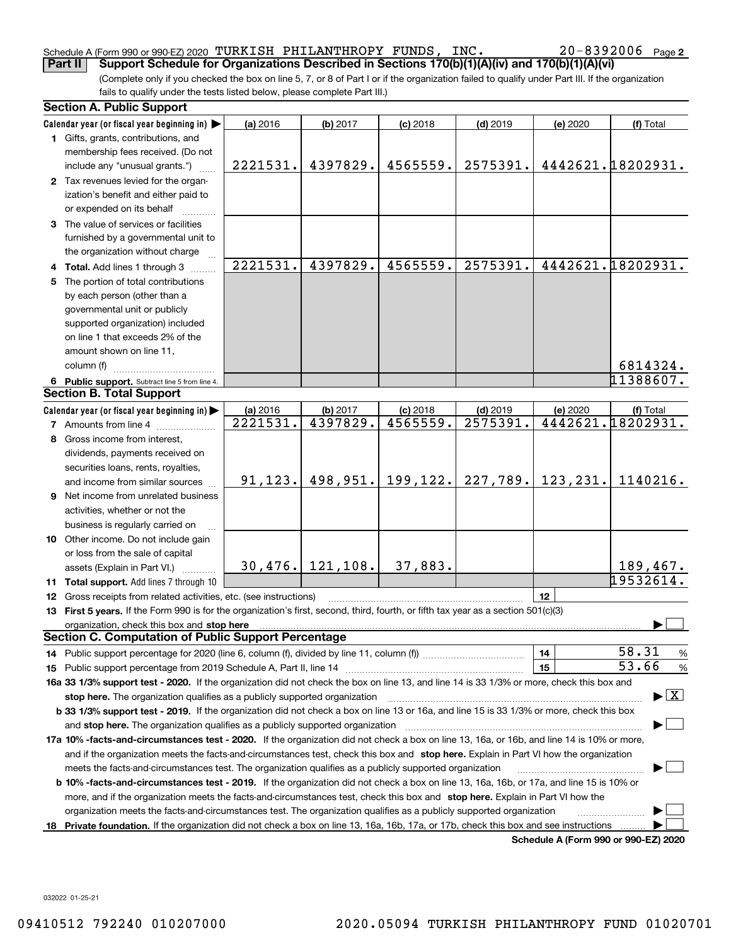#### Schedule A (Form 990 or 990-EZ) 2020 Page TURKISH PHILANTHROPY FUNDS, INC. 20-8392006

(Complete only if you checked the box on line 5, 7, or 8 of Part I or if the organization failed to qualify under Part III. If the organization fails to qualify under the tests listed below, please complete Part III.) **Part II Support Schedule for Organizations Described in Sections 170(b)(1)(A)(iv) and 170(b)(1)(A)(vi)**

|    | <b>Section A. Public Support</b>                                                                                                               |          |                    |            |            |          |                                      |
|----|------------------------------------------------------------------------------------------------------------------------------------------------|----------|--------------------|------------|------------|----------|--------------------------------------|
|    | Calendar year (or fiscal year beginning in)                                                                                                    | (a) 2016 | (b) 2017           | $(c)$ 2018 | $(d)$ 2019 | (e) 2020 | (f) Total                            |
|    | 1 Gifts, grants, contributions, and                                                                                                            |          |                    |            |            |          |                                      |
|    | membership fees received. (Do not                                                                                                              |          |                    |            |            |          |                                      |
|    | include any "unusual grants.")                                                                                                                 | 2221531. | 4397829.           | 4565559.   | 2575391.   |          | 4442621.18202931.                    |
|    | 2 Tax revenues levied for the organ-                                                                                                           |          |                    |            |            |          |                                      |
|    | ization's benefit and either paid to                                                                                                           |          |                    |            |            |          |                                      |
|    | or expended on its behalf                                                                                                                      |          |                    |            |            |          |                                      |
|    | 3 The value of services or facilities                                                                                                          |          |                    |            |            |          |                                      |
|    | furnished by a governmental unit to                                                                                                            |          |                    |            |            |          |                                      |
|    | the organization without charge                                                                                                                |          |                    |            |            |          |                                      |
|    | 4 Total. Add lines 1 through 3                                                                                                                 | 2221531. | 4397829.           | 4565559.   | 2575391.   |          | 4442621.18202931.                    |
|    | 5 The portion of total contributions                                                                                                           |          |                    |            |            |          |                                      |
|    | by each person (other than a                                                                                                                   |          |                    |            |            |          |                                      |
|    | governmental unit or publicly                                                                                                                  |          |                    |            |            |          |                                      |
|    | supported organization) included                                                                                                               |          |                    |            |            |          |                                      |
|    | on line 1 that exceeds 2% of the                                                                                                               |          |                    |            |            |          |                                      |
|    | amount shown on line 11,                                                                                                                       |          |                    |            |            |          |                                      |
|    | column (f)                                                                                                                                     |          |                    |            |            |          | 6814324.                             |
|    | 6 Public support. Subtract line 5 from line 4.                                                                                                 |          |                    |            |            |          | 11388607.                            |
|    | <b>Section B. Total Support</b>                                                                                                                |          |                    |            |            |          |                                      |
|    | Calendar year (or fiscal year beginning in)                                                                                                    | (a) 2016 | (b) 2017           | $(c)$ 2018 | $(d)$ 2019 | (e) 2020 | (f) Total                            |
|    | <b>7</b> Amounts from line 4                                                                                                                   | 2221531. | 4397829.           | 4565559.   | 2575391.   |          | 4442621.18202931.                    |
|    | 8 Gross income from interest,                                                                                                                  |          |                    |            |            |          |                                      |
|    | dividends, payments received on                                                                                                                |          |                    |            |            |          |                                      |
|    | securities loans, rents, royalties,                                                                                                            |          |                    |            |            |          |                                      |
|    | and income from similar sources                                                                                                                | 91, 123. | 498,951.           | 199,122.   | 227,789.   | 123,231. | 1140216.                             |
|    | 9 Net income from unrelated business                                                                                                           |          |                    |            |            |          |                                      |
|    | activities, whether or not the                                                                                                                 |          |                    |            |            |          |                                      |
|    | business is regularly carried on                                                                                                               |          |                    |            |            |          |                                      |
|    | 10 Other income. Do not include gain                                                                                                           |          |                    |            |            |          |                                      |
|    | or loss from the sale of capital                                                                                                               |          |                    |            |            |          |                                      |
|    | assets (Explain in Part VI.) <b>Constant</b>                                                                                                   |          | $30,476.$ 121,108. | 37,883.    |            |          | 189,467.                             |
|    | 11 Total support. Add lines 7 through 10                                                                                                       |          |                    |            |            |          | 19532614.                            |
|    | 12 Gross receipts from related activities, etc. (see instructions)                                                                             |          |                    |            |            | 12       |                                      |
|    | 13 First 5 years. If the Form 990 is for the organization's first, second, third, fourth, or fifth tax year as a section 501(c)(3)             |          |                    |            |            |          |                                      |
|    |                                                                                                                                                |          |                    |            |            |          |                                      |
|    | <b>Section C. Computation of Public Support Percentage</b>                                                                                     |          |                    |            |            |          |                                      |
|    |                                                                                                                                                |          |                    |            |            | 14       | 58.31<br>$\frac{9}{6}$               |
|    |                                                                                                                                                |          |                    |            |            | 15       | 53.66<br>%                           |
|    | 16a 33 1/3% support test - 2020. If the organization did not check the box on line 13, and line 14 is 33 1/3% or more, check this box and      |          |                    |            |            |          |                                      |
|    | stop here. The organization qualifies as a publicly supported organization                                                                     |          |                    |            |            |          | $\blacktriangleright$ $\vert$ X      |
|    | b 33 1/3% support test - 2019. If the organization did not check a box on line 13 or 16a, and line 15 is 33 1/3% or more, check this box       |          |                    |            |            |          |                                      |
|    | and stop here. The organization qualifies as a publicly supported organization                                                                 |          |                    |            |            |          |                                      |
|    | 17a 10% -facts-and-circumstances test - 2020. If the organization did not check a box on line 13, 16a, or 16b, and line 14 is 10% or more,     |          |                    |            |            |          |                                      |
|    | and if the organization meets the facts-and-circumstances test, check this box and stop here. Explain in Part VI how the organization          |          |                    |            |            |          |                                      |
|    | meets the facts-and-circumstances test. The organization qualifies as a publicly supported organization                                        |          |                    |            |            |          |                                      |
|    | <b>b 10% -facts-and-circumstances test - 2019.</b> If the organization did not check a box on line 13, 16a, 16b, or 17a, and line 15 is 10% or |          |                    |            |            |          |                                      |
|    | more, and if the organization meets the facts-and-circumstances test, check this box and stop here. Explain in Part VI how the                 |          |                    |            |            |          |                                      |
|    | organization meets the facts-and-circumstances test. The organization qualifies as a publicly supported organization                           |          |                    |            |            |          |                                      |
| 18 | Private foundation. If the organization did not check a box on line 13, 16a, 16b, 17a, or 17b, check this box and see instructions             |          |                    |            |            |          |                                      |
|    |                                                                                                                                                |          |                    |            |            |          | Schedule A (Form 990 or 990-F7) 2020 |

**Schedule A (Form 990 or 990-EZ) 2020**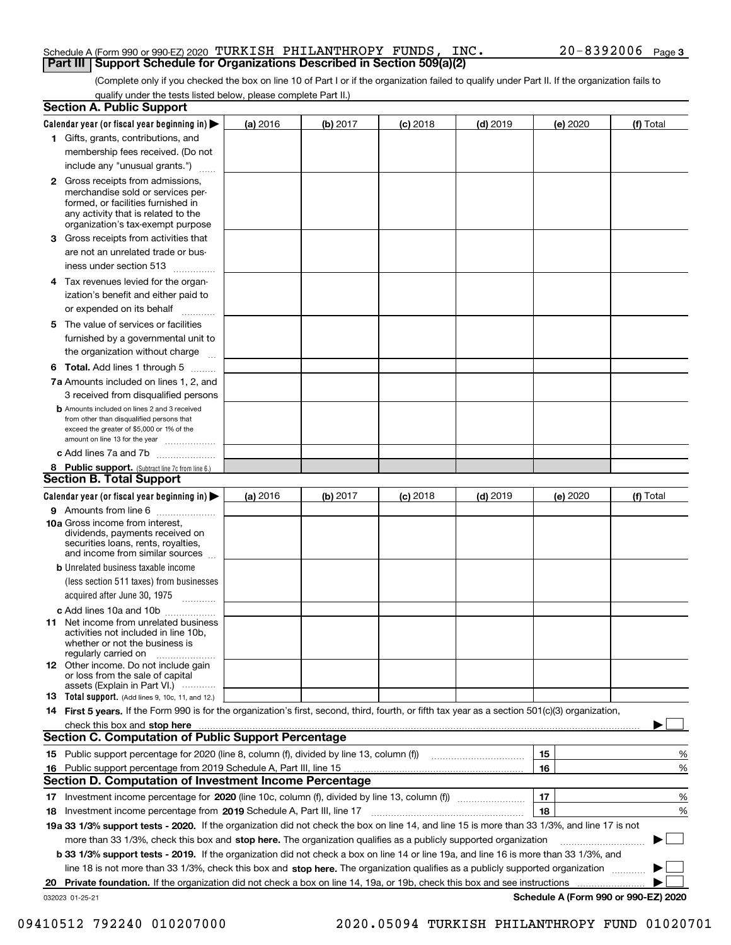### Schedule A (Form 990 or 990-EZ) 2020 Page TURKISH PHILANTHROPY FUNDS, INC. 20-8392006 **Part III Support Schedule for Organizations Described in Section 509(a)(2)**

(Complete only if you checked the box on line 10 of Part I or if the organization failed to qualify under Part II. If the organization fails to qualify under the tests listed below, please complete Part II.)

|    | <b>Section A. Public Support</b>                                                                                                                                                                                               |          |          |            |            |          |                                      |
|----|--------------------------------------------------------------------------------------------------------------------------------------------------------------------------------------------------------------------------------|----------|----------|------------|------------|----------|--------------------------------------|
|    | Calendar year (or fiscal year beginning in) $\blacktriangleright$                                                                                                                                                              | (a) 2016 | (b) 2017 | $(c)$ 2018 | $(d)$ 2019 | (e) 2020 | (f) Total                            |
|    | 1 Gifts, grants, contributions, and                                                                                                                                                                                            |          |          |            |            |          |                                      |
|    | membership fees received. (Do not                                                                                                                                                                                              |          |          |            |            |          |                                      |
|    | include any "unusual grants.")                                                                                                                                                                                                 |          |          |            |            |          |                                      |
|    | <b>2</b> Gross receipts from admissions,<br>merchandise sold or services per-<br>formed, or facilities furnished in<br>any activity that is related to the<br>organization's tax-exempt purpose                                |          |          |            |            |          |                                      |
|    | <b>3</b> Gross receipts from activities that<br>are not an unrelated trade or bus-                                                                                                                                             |          |          |            |            |          |                                      |
|    | iness under section 513                                                                                                                                                                                                        |          |          |            |            |          |                                      |
|    | 4 Tax revenues levied for the organ-<br>ization's benefit and either paid to<br>or expended on its behalf<br>.                                                                                                                 |          |          |            |            |          |                                      |
| 5  | The value of services or facilities                                                                                                                                                                                            |          |          |            |            |          |                                      |
|    | furnished by a governmental unit to<br>the organization without charge                                                                                                                                                         |          |          |            |            |          |                                      |
|    | <b>6 Total.</b> Add lines 1 through 5                                                                                                                                                                                          |          |          |            |            |          |                                      |
|    | 7a Amounts included on lines 1, 2, and                                                                                                                                                                                         |          |          |            |            |          |                                      |
|    | 3 received from disqualified persons                                                                                                                                                                                           |          |          |            |            |          |                                      |
|    | <b>b</b> Amounts included on lines 2 and 3 received<br>from other than disqualified persons that<br>exceed the greater of \$5,000 or 1% of the<br>amount on line 13 for the year                                               |          |          |            |            |          |                                      |
|    | c Add lines 7a and 7b                                                                                                                                                                                                          |          |          |            |            |          |                                      |
|    | 8 Public support. (Subtract line 7c from line 6.)                                                                                                                                                                              |          |          |            |            |          |                                      |
|    | <b>Section B. Total Support</b>                                                                                                                                                                                                |          |          |            |            |          |                                      |
|    | Calendar year (or fiscal year beginning in)                                                                                                                                                                                    | (a) 2016 | (b) 2017 | $(c)$ 2018 | $(d)$ 2019 | (e) 2020 | (f) Total                            |
|    | 9 Amounts from line 6                                                                                                                                                                                                          |          |          |            |            |          |                                      |
|    | <b>10a</b> Gross income from interest,<br>dividends, payments received on<br>securities loans, rents, royalties,<br>and income from similar sources                                                                            |          |          |            |            |          |                                      |
|    | <b>b</b> Unrelated business taxable income                                                                                                                                                                                     |          |          |            |            |          |                                      |
|    | (less section 511 taxes) from businesses                                                                                                                                                                                       |          |          |            |            |          |                                      |
|    | acquired after June 30, 1975 [10001]                                                                                                                                                                                           |          |          |            |            |          |                                      |
|    | c Add lines 10a and 10b<br>11 Net income from unrelated business<br>activities not included in line 10b,<br>whether or not the business is<br>regularly carried on                                                             |          |          |            |            |          |                                      |
|    | 12 Other income. Do not include gain<br>or loss from the sale of capital<br>assets (Explain in Part VI.)                                                                                                                       |          |          |            |            |          |                                      |
|    | 13 Total support. (Add lines 9, 10c, 11, and 12.)                                                                                                                                                                              |          |          |            |            |          |                                      |
|    | 14 First 5 years. If the Form 990 is for the organization's first, second, third, fourth, or fifth tax year as a section 501(c)(3) organization,                                                                               |          |          |            |            |          |                                      |
|    | check this box and stop here with the continuum control of the state of the state of the state of the state of the state of the state of the state of the state of the state of the state of the state of the state of the sta |          |          |            |            |          |                                      |
|    | <b>Section C. Computation of Public Support Percentage</b>                                                                                                                                                                     |          |          |            |            |          |                                      |
|    |                                                                                                                                                                                                                                |          |          |            |            | 15       | %                                    |
|    | 16 Public support percentage from 2019 Schedule A, Part III, line 15                                                                                                                                                           |          |          |            |            | 16       | %                                    |
|    | <b>Section D. Computation of Investment Income Percentage</b>                                                                                                                                                                  |          |          |            |            |          |                                      |
| 17 | Investment income percentage for 2020 (line 10c, column (f), divided by line 13, column (f))                                                                                                                                   |          |          |            |            | 17       | %                                    |
| 18 | Investment income percentage from 2019 Schedule A, Part III, line 17                                                                                                                                                           |          |          |            |            | 18       | %                                    |
|    | 19a 33 1/3% support tests - 2020. If the organization did not check the box on line 14, and line 15 is more than 33 1/3%, and line 17 is not                                                                                   |          |          |            |            |          |                                      |
|    | more than 33 1/3%, check this box and stop here. The organization qualifies as a publicly supported organization                                                                                                               |          |          |            |            |          |                                      |
|    | b 33 1/3% support tests - 2019. If the organization did not check a box on line 14 or line 19a, and line 16 is more than 33 1/3%, and                                                                                          |          |          |            |            |          |                                      |
|    | line 18 is not more than 33 1/3%, check this box and stop here. The organization qualifies as a publicly supported organization                                                                                                |          |          |            |            |          |                                      |
| 20 | Private foundation. If the organization did not check a box on line 14, 19a, or 19b, check this box and see instructions                                                                                                       |          |          |            |            |          |                                      |
|    | 032023 01-25-21                                                                                                                                                                                                                |          |          |            |            |          | Schedule A (Form 990 or 990-EZ) 2020 |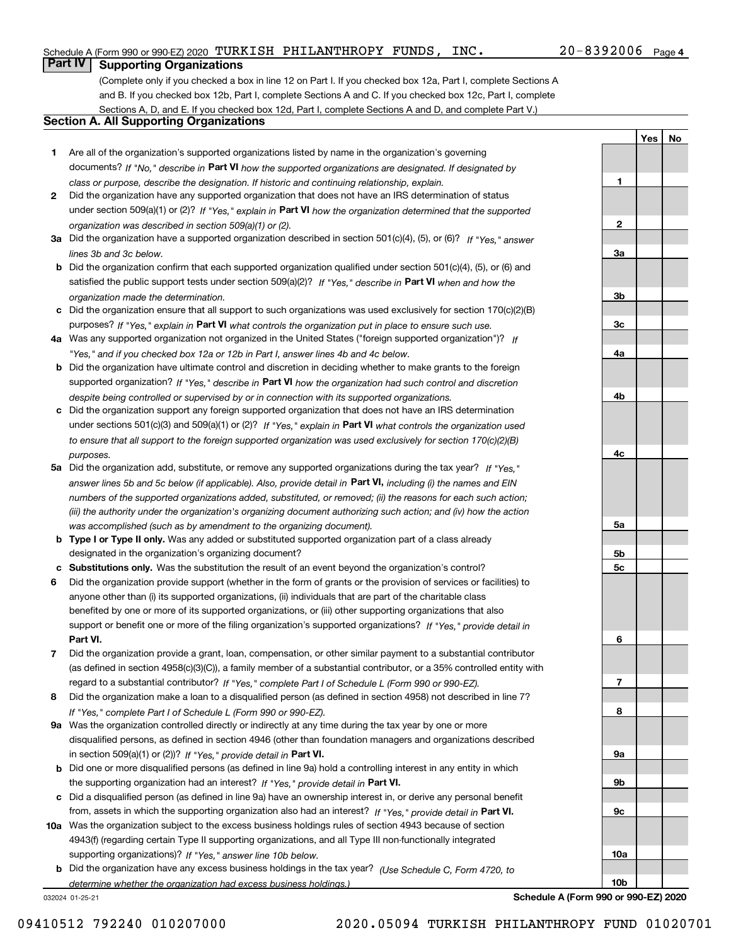## Schedule A (Form 990 or 990-EZ) 2020 Page TURKISH PHILANTHROPY FUNDS, INC. 20-8392006

## 20-8392006 Page 4

**1**

**2**

**3a**

**3b**

**3c**

**4a**

**4b**

**4c**

**5a**

**5b5c**

**6**

**7**

**8**

**9a**

**9b**

**9c**

**10a**

**10b**

**YesNo**

## **Part IV Supporting Organizations**

(Complete only if you checked a box in line 12 on Part I. If you checked box 12a, Part I, complete Sections A and B. If you checked box 12b, Part I, complete Sections A and C. If you checked box 12c, Part I, complete Sections A, D, and E. If you checked box 12d, Part I, complete Sections A and D, and complete Part V.)

## **Section A. All Supporting Organizations**

- **1** Are all of the organization's supported organizations listed by name in the organization's governing documents? If "No," describe in **Part VI** how the supported organizations are designated. If designated by *class or purpose, describe the designation. If historic and continuing relationship, explain.*
- **2** Did the organization have any supported organization that does not have an IRS determination of status under section 509(a)(1) or (2)? If "Yes," explain in Part VI how the organization determined that the supported *organization was described in section 509(a)(1) or (2).*
- **3a** Did the organization have a supported organization described in section 501(c)(4), (5), or (6)? If "Yes," answer *lines 3b and 3c below.*
- **b** Did the organization confirm that each supported organization qualified under section 501(c)(4), (5), or (6) and satisfied the public support tests under section 509(a)(2)? If "Yes," describe in **Part VI** when and how the *organization made the determination.*
- **c**Did the organization ensure that all support to such organizations was used exclusively for section 170(c)(2)(B) purposes? If "Yes," explain in **Part VI** what controls the organization put in place to ensure such use.
- **4a***If* Was any supported organization not organized in the United States ("foreign supported organization")? *"Yes," and if you checked box 12a or 12b in Part I, answer lines 4b and 4c below.*
- **b** Did the organization have ultimate control and discretion in deciding whether to make grants to the foreign supported organization? If "Yes," describe in **Part VI** how the organization had such control and discretion *despite being controlled or supervised by or in connection with its supported organizations.*
- **c** Did the organization support any foreign supported organization that does not have an IRS determination under sections 501(c)(3) and 509(a)(1) or (2)? If "Yes," explain in **Part VI** what controls the organization used *to ensure that all support to the foreign supported organization was used exclusively for section 170(c)(2)(B) purposes.*
- **5a** Did the organization add, substitute, or remove any supported organizations during the tax year? If "Yes," answer lines 5b and 5c below (if applicable). Also, provide detail in **Part VI,** including (i) the names and EIN *numbers of the supported organizations added, substituted, or removed; (ii) the reasons for each such action; (iii) the authority under the organization's organizing document authorizing such action; and (iv) how the action was accomplished (such as by amendment to the organizing document).*
- **b** Type I or Type II only. Was any added or substituted supported organization part of a class already designated in the organization's organizing document?
- **cSubstitutions only.**  Was the substitution the result of an event beyond the organization's control?
- **6** Did the organization provide support (whether in the form of grants or the provision of services or facilities) to **Part VI.** *If "Yes," provide detail in* support or benefit one or more of the filing organization's supported organizations? anyone other than (i) its supported organizations, (ii) individuals that are part of the charitable class benefited by one or more of its supported organizations, or (iii) other supporting organizations that also
- **7**Did the organization provide a grant, loan, compensation, or other similar payment to a substantial contributor *If "Yes," complete Part I of Schedule L (Form 990 or 990-EZ).* regard to a substantial contributor? (as defined in section 4958(c)(3)(C)), a family member of a substantial contributor, or a 35% controlled entity with
- **8** Did the organization make a loan to a disqualified person (as defined in section 4958) not described in line 7? *If "Yes," complete Part I of Schedule L (Form 990 or 990-EZ).*
- **9a** Was the organization controlled directly or indirectly at any time during the tax year by one or more in section 509(a)(1) or (2))? If "Yes," *provide detail in* <code>Part VI.</code> disqualified persons, as defined in section 4946 (other than foundation managers and organizations described
- **b** Did one or more disqualified persons (as defined in line 9a) hold a controlling interest in any entity in which the supporting organization had an interest? If "Yes," provide detail in P**art VI**.
- **c**Did a disqualified person (as defined in line 9a) have an ownership interest in, or derive any personal benefit from, assets in which the supporting organization also had an interest? If "Yes," provide detail in P**art VI.**
- **10a** Was the organization subject to the excess business holdings rules of section 4943 because of section supporting organizations)? If "Yes," answer line 10b below. 4943(f) (regarding certain Type II supporting organizations, and all Type III non-functionally integrated
- **b** Did the organization have any excess business holdings in the tax year? (Use Schedule C, Form 4720, to *determine whether the organization had excess business holdings.)*

032024 01-25-21

**Schedule A (Form 990 or 990-EZ) 2020**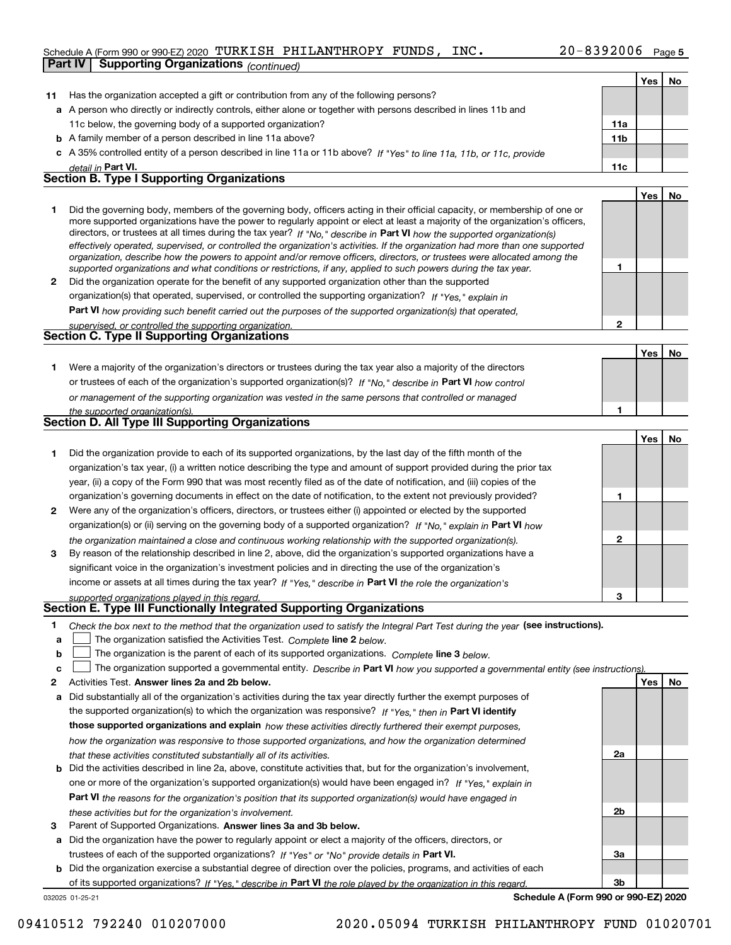## Schedule A (Form 990 or 990-EZ) 2020 Page TURKISH PHILANTHROPY FUNDS, INC. 20-8392006 **Part IV Supporting Organizations** *(continued)*

|              |                                                                                                                                                                                                                                                            |                 | Yes   No   |    |
|--------------|------------------------------------------------------------------------------------------------------------------------------------------------------------------------------------------------------------------------------------------------------------|-----------------|------------|----|
| 11           | Has the organization accepted a gift or contribution from any of the following persons?                                                                                                                                                                    |                 |            |    |
|              | a A person who directly or indirectly controls, either alone or together with persons described in lines 11b and                                                                                                                                           |                 |            |    |
|              | 11c below, the governing body of a supported organization?                                                                                                                                                                                                 | 11a             |            |    |
|              | <b>b</b> A family member of a person described in line 11a above?                                                                                                                                                                                          | 11 <sub>b</sub> |            |    |
|              | c A 35% controlled entity of a person described in line 11a or 11b above? If "Yes" to line 11a, 11b, or 11c, provide                                                                                                                                       |                 |            |    |
|              | detail in Part VI.                                                                                                                                                                                                                                         | 11c             |            |    |
|              | <b>Section B. Type I Supporting Organizations</b>                                                                                                                                                                                                          |                 |            |    |
|              |                                                                                                                                                                                                                                                            |                 | Yes        | No |
| 1.           | Did the governing body, members of the governing body, officers acting in their official capacity, or membership of one or                                                                                                                                 |                 |            |    |
|              | more supported organizations have the power to regularly appoint or elect at least a majority of the organization's officers,                                                                                                                              |                 |            |    |
|              | directors, or trustees at all times during the tax year? If "No," describe in Part VI how the supported organization(s)                                                                                                                                    |                 |            |    |
|              | effectively operated, supervised, or controlled the organization's activities. If the organization had more than one supported<br>organization, describe how the powers to appoint and/or remove officers, directors, or trustees were allocated among the |                 |            |    |
|              | supported organizations and what conditions or restrictions, if any, applied to such powers during the tax year.                                                                                                                                           | 1               |            |    |
| $\mathbf{2}$ | Did the organization operate for the benefit of any supported organization other than the supported                                                                                                                                                        |                 |            |    |
|              | organization(s) that operated, supervised, or controlled the supporting organization? If "Yes," explain in                                                                                                                                                 |                 |            |    |
|              | Part VI how providing such benefit carried out the purposes of the supported organization(s) that operated,                                                                                                                                                |                 |            |    |
|              | supervised, or controlled the supporting organization.                                                                                                                                                                                                     | 2               |            |    |
|              | <b>Section C. Type II Supporting Organizations</b>                                                                                                                                                                                                         |                 |            |    |
|              |                                                                                                                                                                                                                                                            |                 | Yes        | No |
| 1.           | Were a majority of the organization's directors or trustees during the tax year also a majority of the directors                                                                                                                                           |                 |            |    |
|              | or trustees of each of the organization's supported organization(s)? If "No." describe in Part VI how control                                                                                                                                              |                 |            |    |
|              | or management of the supporting organization was vested in the same persons that controlled or managed                                                                                                                                                     |                 |            |    |
|              | the supported organization(s).                                                                                                                                                                                                                             | 1               |            |    |
|              | <b>Section D. All Type III Supporting Organizations</b>                                                                                                                                                                                                    |                 |            |    |
|              |                                                                                                                                                                                                                                                            |                 | Yes        | No |
| 1.           | Did the organization provide to each of its supported organizations, by the last day of the fifth month of the                                                                                                                                             |                 |            |    |
|              | organization's tax year, (i) a written notice describing the type and amount of support provided during the prior tax                                                                                                                                      |                 |            |    |
|              | year, (ii) a copy of the Form 990 that was most recently filed as of the date of notification, and (iii) copies of the                                                                                                                                     |                 |            |    |
|              | organization's governing documents in effect on the date of notification, to the extent not previously provided?                                                                                                                                           | 1               |            |    |
| 2            | Were any of the organization's officers, directors, or trustees either (i) appointed or elected by the supported                                                                                                                                           |                 |            |    |
|              | organization(s) or (ii) serving on the governing body of a supported organization? If "No," explain in Part VI how                                                                                                                                         |                 |            |    |
|              | the organization maintained a close and continuous working relationship with the supported organization(s).                                                                                                                                                | 2               |            |    |
| 3            | By reason of the relationship described in line 2, above, did the organization's supported organizations have a                                                                                                                                            |                 |            |    |
|              | significant voice in the organization's investment policies and in directing the use of the organization's                                                                                                                                                 |                 |            |    |
|              | income or assets at all times during the tax year? If "Yes," describe in Part VI the role the organization's                                                                                                                                               |                 |            |    |
|              | supported organizations played in this regard.                                                                                                                                                                                                             | 3               |            |    |
|              | <b>Section E. Type III Functionally Integrated Supporting Organizations</b>                                                                                                                                                                                |                 |            |    |
| 1            | Check the box next to the method that the organization used to satisfy the Integral Part Test during the year (see instructions).                                                                                                                          |                 |            |    |
| a            | The organization satisfied the Activities Test. Complete line 2 below.                                                                                                                                                                                     |                 |            |    |
| b            | The organization is the parent of each of its supported organizations. Complete line 3 below.                                                                                                                                                              |                 |            |    |
| c            | The organization supported a governmental entity. Describe in Part VI how you supported a governmental entity (see instructions).                                                                                                                          |                 |            |    |
| 2            | Activities Test. Answer lines 2a and 2b below.                                                                                                                                                                                                             |                 | <b>Yes</b> | No |
| a            | Did substantially all of the organization's activities during the tax year directly further the exempt purposes of                                                                                                                                         |                 |            |    |
|              | the supported organization(s) to which the organization was responsive? If "Yes," then in Part VI identify                                                                                                                                                 |                 |            |    |
|              | those supported organizations and explain how these activities directly furthered their exempt purposes,                                                                                                                                                   |                 |            |    |
|              | how the organization was responsive to those supported organizations, and how the organization determined                                                                                                                                                  |                 |            |    |
|              | that these activities constituted substantially all of its activities.                                                                                                                                                                                     | 2a              |            |    |
|              | <b>b</b> Did the activities described in line 2a, above, constitute activities that, but for the organization's involvement,                                                                                                                               |                 |            |    |
|              | one or more of the organization's supported organization(s) would have been engaged in? If "Yes," explain in                                                                                                                                               |                 |            |    |
|              | <b>Part VI</b> the reasons for the organization's position that its supported organization(s) would have engaged in                                                                                                                                        |                 |            |    |
|              | these activities but for the organization's involvement.                                                                                                                                                                                                   | 2b              |            |    |
| з            | Parent of Supported Organizations. Answer lines 3a and 3b below.                                                                                                                                                                                           |                 |            |    |
|              | a Did the organization have the power to regularly appoint or elect a majority of the officers, directors, or                                                                                                                                              |                 |            |    |
|              | trustees of each of the supported organizations? If "Yes" or "No" provide details in Part VI.                                                                                                                                                              | За              |            |    |

032025 01-25-21 **b** Did the organization exercise a substantial degree of direction over the policies, programs, and activities of each of its supported organizations? If "Yes," describe in Part VI the role played by the organization in this regard.

**Schedule A (Form 990 or 990-EZ) 2020**

**3b**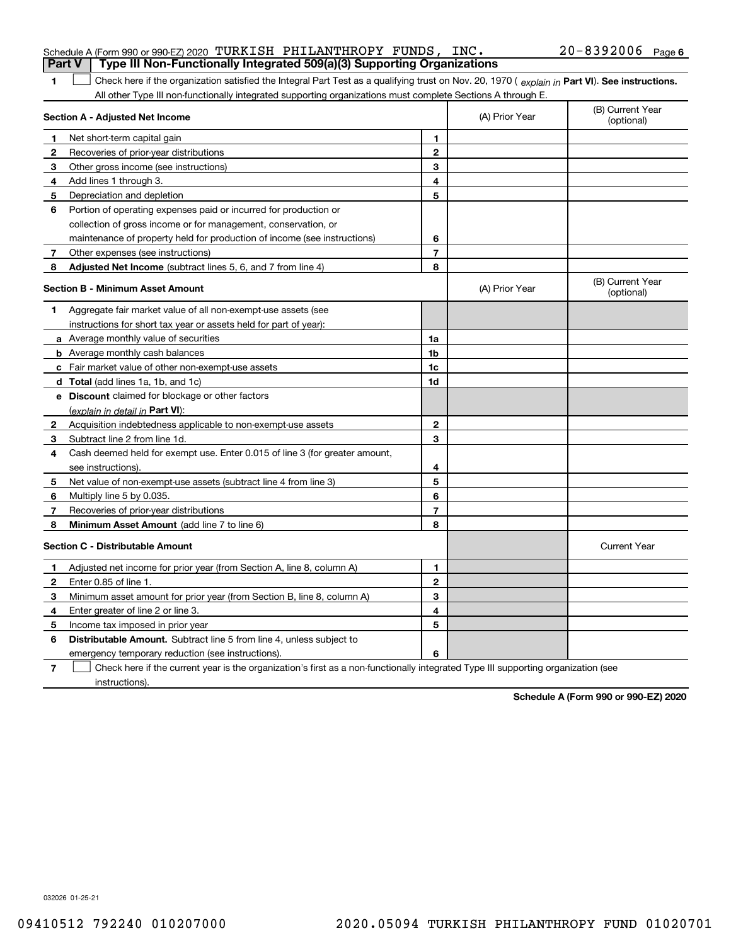| <b>Part V</b> | Schedule A (Form 990 or 990-EZ) 2020 TURKISH PHILANTHROPY FUNDS, INC.<br>Type III Non-Functionally Integrated 509(a)(3) Supporting Organizations                                                                                                              |                |                | $20 - 8392006$ Page 6          |
|---------------|---------------------------------------------------------------------------------------------------------------------------------------------------------------------------------------------------------------------------------------------------------------|----------------|----------------|--------------------------------|
|               |                                                                                                                                                                                                                                                               |                |                |                                |
| 1             | Check here if the organization satisfied the Integral Part Test as a qualifying trust on Nov. 20, 1970 (explain in Part VI). See instructions.<br>All other Type III non-functionally integrated supporting organizations must complete Sections A through E. |                |                |                                |
|               | Section A - Adjusted Net Income                                                                                                                                                                                                                               |                | (A) Prior Year | (B) Current Year<br>(optional) |
| 1             | Net short-term capital gain                                                                                                                                                                                                                                   | 1              |                |                                |
| 2             | Recoveries of prior-year distributions                                                                                                                                                                                                                        | $\mathbf{2}$   |                |                                |
| З             | Other gross income (see instructions)                                                                                                                                                                                                                         | 3              |                |                                |
| 4             | Add lines 1 through 3.                                                                                                                                                                                                                                        | 4              |                |                                |
| 5             | Depreciation and depletion                                                                                                                                                                                                                                    | 5              |                |                                |
| 6             | Portion of operating expenses paid or incurred for production or                                                                                                                                                                                              |                |                |                                |
|               | collection of gross income or for management, conservation, or                                                                                                                                                                                                |                |                |                                |
|               | maintenance of property held for production of income (see instructions)                                                                                                                                                                                      | 6              |                |                                |
| 7             | Other expenses (see instructions)                                                                                                                                                                                                                             | $\overline{7}$ |                |                                |
| 8             | Adjusted Net Income (subtract lines 5, 6, and 7 from line 4)                                                                                                                                                                                                  | 8              |                |                                |
|               | <b>Section B - Minimum Asset Amount</b>                                                                                                                                                                                                                       |                | (A) Prior Year | (B) Current Year<br>(optional) |
| 1             | Aggregate fair market value of all non-exempt-use assets (see                                                                                                                                                                                                 |                |                |                                |
|               | instructions for short tax year or assets held for part of year):                                                                                                                                                                                             |                |                |                                |
|               | <b>a</b> Average monthly value of securities                                                                                                                                                                                                                  | 1a             |                |                                |
|               | <b>b</b> Average monthly cash balances                                                                                                                                                                                                                        | 1b             |                |                                |
|               | <b>c</b> Fair market value of other non-exempt-use assets                                                                                                                                                                                                     | 1c             |                |                                |
|               | d Total (add lines 1a, 1b, and 1c)                                                                                                                                                                                                                            | 1d             |                |                                |
|               | <b>e</b> Discount claimed for blockage or other factors                                                                                                                                                                                                       |                |                |                                |
|               | (explain in detail in Part VI):                                                                                                                                                                                                                               |                |                |                                |
| 2             | Acquisition indebtedness applicable to non-exempt-use assets                                                                                                                                                                                                  | $\mathbf{2}$   |                |                                |
| 3             | Subtract line 2 from line 1d.                                                                                                                                                                                                                                 | 3              |                |                                |
| 4             | Cash deemed held for exempt use. Enter 0.015 of line 3 (for greater amount,                                                                                                                                                                                   |                |                |                                |
|               | see instructions).                                                                                                                                                                                                                                            | 4              |                |                                |
| 5             | Net value of non-exempt-use assets (subtract line 4 from line 3)                                                                                                                                                                                              | 5              |                |                                |
| 6             | Multiply line 5 by 0.035.                                                                                                                                                                                                                                     | 6              |                |                                |
| 7             | Recoveries of prior-year distributions                                                                                                                                                                                                                        | $\overline{7}$ |                |                                |
| 8             | Minimum Asset Amount (add line 7 to line 6)                                                                                                                                                                                                                   | 8              |                |                                |
|               | <b>Section C - Distributable Amount</b>                                                                                                                                                                                                                       |                |                | <b>Current Year</b>            |
|               | Adjusted net income for prior year (from Section A, line 8, column A)                                                                                                                                                                                         | 1              |                |                                |
|               | Enter 0.85 of line 1.                                                                                                                                                                                                                                         | 2              |                |                                |
| 3             | Minimum asset amount for prior year (from Section B, line 8, column A)                                                                                                                                                                                        | 3              |                |                                |
| 4             | Enter greater of line 2 or line 3.                                                                                                                                                                                                                            | 4              |                |                                |
| 5             | Income tax imposed in prior year                                                                                                                                                                                                                              | 5              |                |                                |
| 6             | <b>Distributable Amount.</b> Subtract line 5 from line 4, unless subject to                                                                                                                                                                                   |                |                |                                |
|               | emergency temporary reduction (see instructions).                                                                                                                                                                                                             | 6              |                |                                |
| 7             | Check here if the current year is the organization's first as a non-functionally integrated Type III supporting organization (see                                                                                                                             |                |                |                                |

instructions).

**Schedule A (Form 990 or 990-EZ) 2020**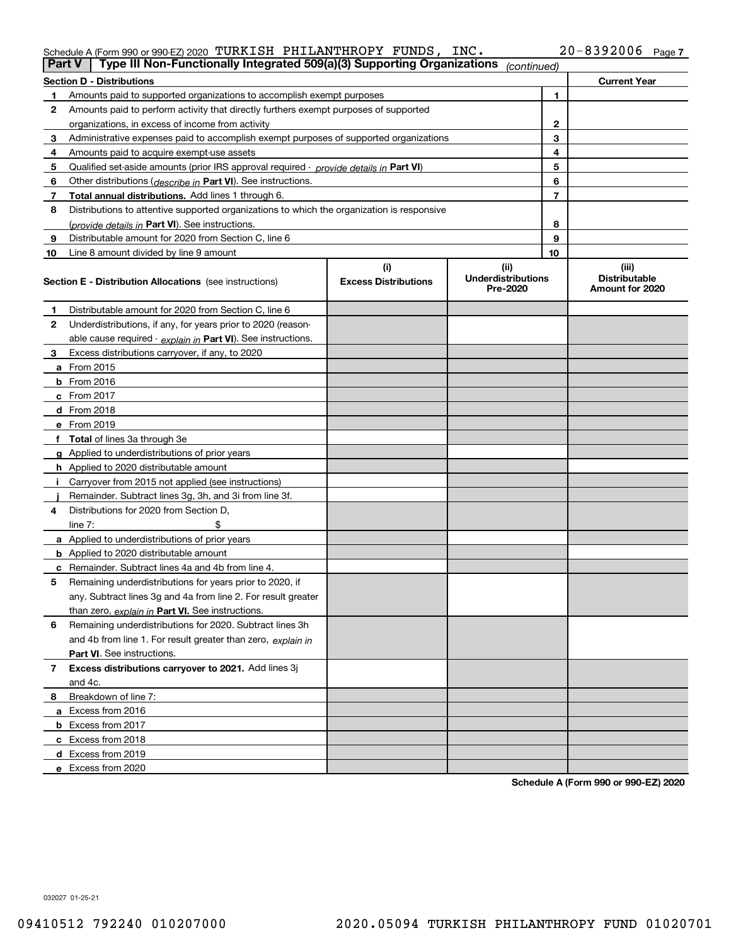## Schedule A (Form 990 or 990-EZ) 2020 Page TURKISH PHILANTHROPY FUNDS, INC. 20-8392006

|                | Type III Non-Functionally Integrated 509(a)(3) Supporting Organizations<br><b>Part V</b><br>(continued) |                             |                                       |              |                                         |  |
|----------------|---------------------------------------------------------------------------------------------------------|-----------------------------|---------------------------------------|--------------|-----------------------------------------|--|
|                | <b>Section D - Distributions</b>                                                                        |                             |                                       |              | <b>Current Year</b>                     |  |
| 1.             | Amounts paid to supported organizations to accomplish exempt purposes                                   |                             |                                       | 1            |                                         |  |
| 2              | Amounts paid to perform activity that directly furthers exempt purposes of supported                    |                             |                                       |              |                                         |  |
|                | organizations, in excess of income from activity                                                        |                             |                                       | $\mathbf{2}$ |                                         |  |
| 3              | Administrative expenses paid to accomplish exempt purposes of supported organizations                   |                             |                                       | 3            |                                         |  |
| 4              | Amounts paid to acquire exempt-use assets                                                               |                             |                                       | 4            |                                         |  |
| 5              | Qualified set-aside amounts (prior IRS approval required - provide details in Part VI)                  |                             |                                       | 5            |                                         |  |
| 6              | Other distributions ( <i>describe in</i> Part VI). See instructions.                                    |                             |                                       | 6            |                                         |  |
| 7              | Total annual distributions. Add lines 1 through 6.                                                      |                             |                                       | 7            |                                         |  |
| 8              | Distributions to attentive supported organizations to which the organization is responsive              |                             |                                       |              |                                         |  |
|                | (provide details in Part VI). See instructions.                                                         |                             |                                       | 8            |                                         |  |
| 9              | Distributable amount for 2020 from Section C, line 6                                                    |                             |                                       | 9            |                                         |  |
| 10             | Line 8 amount divided by line 9 amount                                                                  |                             |                                       | 10           |                                         |  |
|                |                                                                                                         | (i)                         | (ii)                                  |              | (iii)                                   |  |
|                | <b>Section E - Distribution Allocations</b> (see instructions)                                          | <b>Excess Distributions</b> | <b>Underdistributions</b><br>Pre-2020 |              | <b>Distributable</b><br>Amount for 2020 |  |
| 1              | Distributable amount for 2020 from Section C, line 6                                                    |                             |                                       |              |                                         |  |
| 2              | Underdistributions, if any, for years prior to 2020 (reason-                                            |                             |                                       |              |                                         |  |
|                | able cause required - explain in Part VI). See instructions.                                            |                             |                                       |              |                                         |  |
| 3              | Excess distributions carryover, if any, to 2020                                                         |                             |                                       |              |                                         |  |
|                | a From 2015                                                                                             |                             |                                       |              |                                         |  |
|                | <b>b</b> From 2016                                                                                      |                             |                                       |              |                                         |  |
|                | $c$ From 2017                                                                                           |                             |                                       |              |                                         |  |
|                | d From 2018                                                                                             |                             |                                       |              |                                         |  |
|                | e From 2019                                                                                             |                             |                                       |              |                                         |  |
|                | f Total of lines 3a through 3e                                                                          |                             |                                       |              |                                         |  |
|                | g Applied to underdistributions of prior years                                                          |                             |                                       |              |                                         |  |
|                | <b>h</b> Applied to 2020 distributable amount                                                           |                             |                                       |              |                                         |  |
|                | Carryover from 2015 not applied (see instructions)                                                      |                             |                                       |              |                                         |  |
|                | Remainder. Subtract lines 3g, 3h, and 3i from line 3f.                                                  |                             |                                       |              |                                         |  |
| 4              | Distributions for 2020 from Section D,                                                                  |                             |                                       |              |                                         |  |
|                | line $7:$                                                                                               |                             |                                       |              |                                         |  |
|                | a Applied to underdistributions of prior years                                                          |                             |                                       |              |                                         |  |
|                | <b>b</b> Applied to 2020 distributable amount                                                           |                             |                                       |              |                                         |  |
|                | c Remainder. Subtract lines 4a and 4b from line 4.                                                      |                             |                                       |              |                                         |  |
| 5              | Remaining underdistributions for years prior to 2020, if                                                |                             |                                       |              |                                         |  |
|                | any. Subtract lines 3g and 4a from line 2. For result greater                                           |                             |                                       |              |                                         |  |
|                | than zero, explain in Part VI. See instructions.                                                        |                             |                                       |              |                                         |  |
| 6              | Remaining underdistributions for 2020. Subtract lines 3h                                                |                             |                                       |              |                                         |  |
|                | and 4b from line 1. For result greater than zero, explain in                                            |                             |                                       |              |                                         |  |
|                | Part VI. See instructions.                                                                              |                             |                                       |              |                                         |  |
| $\overline{7}$ | Excess distributions carryover to 2021. Add lines 3j                                                    |                             |                                       |              |                                         |  |
|                | and 4c.                                                                                                 |                             |                                       |              |                                         |  |
| 8              | Breakdown of line 7:                                                                                    |                             |                                       |              |                                         |  |
|                | a Excess from 2016                                                                                      |                             |                                       |              |                                         |  |
|                | <b>b</b> Excess from 2017                                                                               |                             |                                       |              |                                         |  |
|                | c Excess from 2018                                                                                      |                             |                                       |              |                                         |  |
|                | d Excess from 2019                                                                                      |                             |                                       |              |                                         |  |
|                | e Excess from 2020                                                                                      |                             |                                       |              |                                         |  |

**Schedule A (Form 990 or 990-EZ) 2020**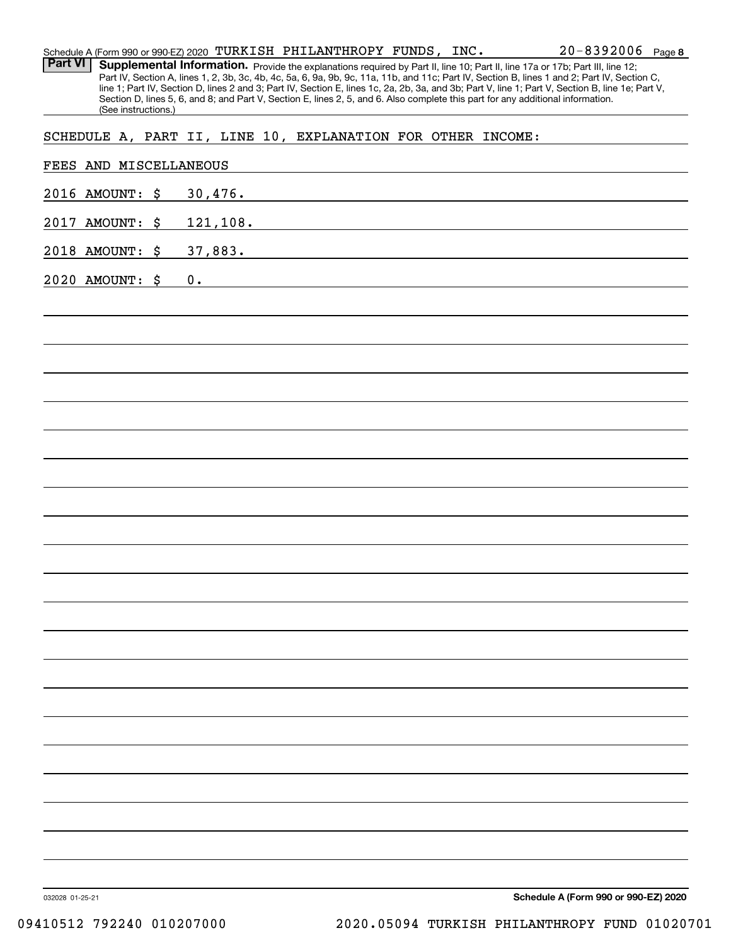| Schedule A (Form 990 or 990-EZ) 2020 TURKISH PHILANTHROPY FUNDS, INC. |                     |    |           |  |  |  | $20 - 8392006$ Page 8                                                                                                                                                                                                                                                         |  |
|-----------------------------------------------------------------------|---------------------|----|-----------|--|--|--|-------------------------------------------------------------------------------------------------------------------------------------------------------------------------------------------------------------------------------------------------------------------------------|--|
| <b>Part VI</b>                                                        |                     |    |           |  |  |  | Supplemental Information. Provide the explanations required by Part II, line 10; Part II, line 17a or 17b; Part III, line 12;<br>Part IV, Section A, lines 1, 2, 3b, 3c, 4b, 4c, 5a, 6, 9a, 9b, 9c, 11a, 11b, and 11c; Part IV, Section B, lines 1 and 2; Part IV, Section C, |  |
|                                                                       |                     |    |           |  |  |  | line 1; Part IV, Section D, lines 2 and 3; Part IV, Section E, lines 1c, 2a, 2b, 3a, and 3b; Part V, line 1; Part V, Section B, line 1e; Part V,                                                                                                                              |  |
|                                                                       | (See instructions.) |    |           |  |  |  | Section D, lines 5, 6, and 8; and Part V, Section E, lines 2, 5, and 6. Also complete this part for any additional information.                                                                                                                                               |  |
| SCHEDULE A, PART II, LINE 10, EXPLANATION FOR OTHER INCOME:           |                     |    |           |  |  |  |                                                                                                                                                                                                                                                                               |  |
|                                                                       |                     |    |           |  |  |  |                                                                                                                                                                                                                                                                               |  |
| FEES AND MISCELLANEOUS                                                |                     |    |           |  |  |  |                                                                                                                                                                                                                                                                               |  |
| 2016 AMOUNT:                                                          | \$                  |    | 30,476.   |  |  |  |                                                                                                                                                                                                                                                                               |  |
| 2017 AMOUNT:                                                          | \$                  |    | 121, 108. |  |  |  |                                                                                                                                                                                                                                                                               |  |
| 2018 AMOUNT:                                                          | \$                  |    | 37,883.   |  |  |  |                                                                                                                                                                                                                                                                               |  |
| 2020 AMOUNT: \$                                                       |                     | 0. |           |  |  |  |                                                                                                                                                                                                                                                                               |  |
|                                                                       |                     |    |           |  |  |  |                                                                                                                                                                                                                                                                               |  |
|                                                                       |                     |    |           |  |  |  |                                                                                                                                                                                                                                                                               |  |
|                                                                       |                     |    |           |  |  |  |                                                                                                                                                                                                                                                                               |  |
|                                                                       |                     |    |           |  |  |  |                                                                                                                                                                                                                                                                               |  |
|                                                                       |                     |    |           |  |  |  |                                                                                                                                                                                                                                                                               |  |
|                                                                       |                     |    |           |  |  |  |                                                                                                                                                                                                                                                                               |  |
|                                                                       |                     |    |           |  |  |  |                                                                                                                                                                                                                                                                               |  |
|                                                                       |                     |    |           |  |  |  |                                                                                                                                                                                                                                                                               |  |
|                                                                       |                     |    |           |  |  |  |                                                                                                                                                                                                                                                                               |  |
|                                                                       |                     |    |           |  |  |  |                                                                                                                                                                                                                                                                               |  |
|                                                                       |                     |    |           |  |  |  |                                                                                                                                                                                                                                                                               |  |
|                                                                       |                     |    |           |  |  |  |                                                                                                                                                                                                                                                                               |  |
|                                                                       |                     |    |           |  |  |  |                                                                                                                                                                                                                                                                               |  |
|                                                                       |                     |    |           |  |  |  |                                                                                                                                                                                                                                                                               |  |
|                                                                       |                     |    |           |  |  |  |                                                                                                                                                                                                                                                                               |  |
|                                                                       |                     |    |           |  |  |  |                                                                                                                                                                                                                                                                               |  |
|                                                                       |                     |    |           |  |  |  |                                                                                                                                                                                                                                                                               |  |
|                                                                       |                     |    |           |  |  |  |                                                                                                                                                                                                                                                                               |  |
|                                                                       |                     |    |           |  |  |  |                                                                                                                                                                                                                                                                               |  |
|                                                                       |                     |    |           |  |  |  |                                                                                                                                                                                                                                                                               |  |
|                                                                       |                     |    |           |  |  |  |                                                                                                                                                                                                                                                                               |  |
|                                                                       |                     |    |           |  |  |  |                                                                                                                                                                                                                                                                               |  |
|                                                                       |                     |    |           |  |  |  |                                                                                                                                                                                                                                                                               |  |
|                                                                       |                     |    |           |  |  |  |                                                                                                                                                                                                                                                                               |  |
|                                                                       |                     |    |           |  |  |  |                                                                                                                                                                                                                                                                               |  |
|                                                                       |                     |    |           |  |  |  |                                                                                                                                                                                                                                                                               |  |
|                                                                       |                     |    |           |  |  |  |                                                                                                                                                                                                                                                                               |  |
|                                                                       |                     |    |           |  |  |  |                                                                                                                                                                                                                                                                               |  |

**Schedule A (Form 990 or 990-EZ) 2020**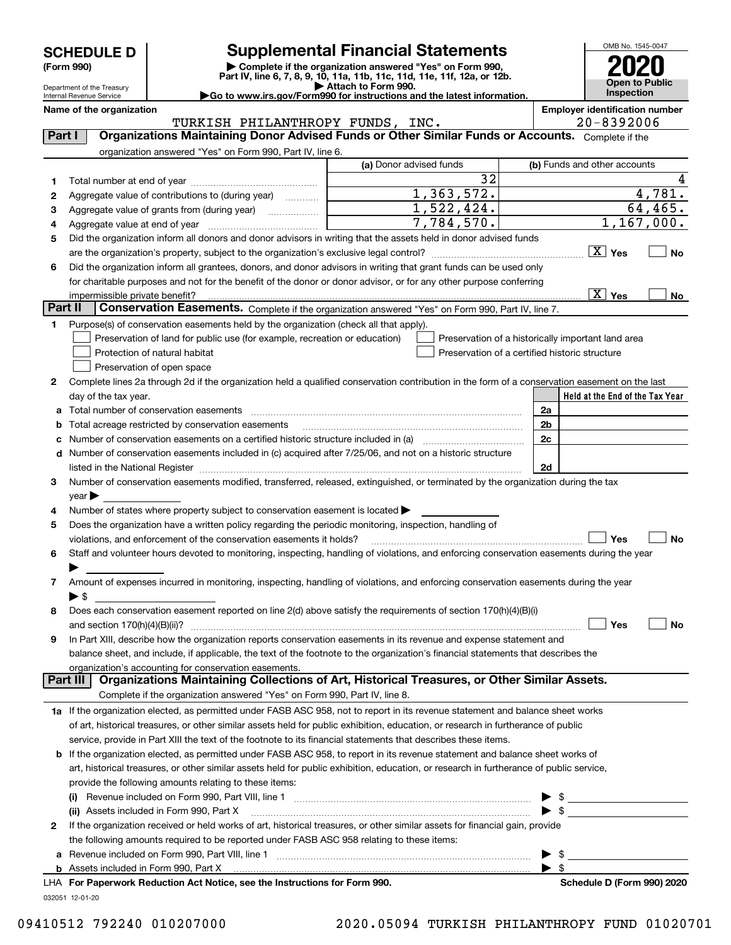| <b>SCHEDULE D</b> |  |
|-------------------|--|
|-------------------|--|

| (Form 990) |  |
|------------|--|
|------------|--|

## **SCHEDULE D Supplemental Financial Statements**

**(Form 990)** (**Form 990,**<br>Part IV, line 6, 7, 8, 9, 10, 11a, 11b, 11c, 11d, 11e, 11f, 12a, or 12b.<br>Department of the Treasury **and Exercise Connect Connect Connect Connect Connect Connect Connect Connect Connect** 

OMB No. 1545-0047 **Open to Public Inspection 2020**

Department of the Treasury Internal Revenue Service

| Attach to Form 990.                                                    |  |
|------------------------------------------------------------------------|--|
| Go to www.irs.gov/Form990 for instructions and the latest information. |  |

|          | Name of the organization<br>TURKISH PHILANTHROPY FUNDS, INC.                                                                                                           |                         | <b>Employer identification number</b><br>$20 - 8392006$ |
|----------|------------------------------------------------------------------------------------------------------------------------------------------------------------------------|-------------------------|---------------------------------------------------------|
| Part I   | Organizations Maintaining Donor Advised Funds or Other Similar Funds or Accounts. Complete if the                                                                      |                         |                                                         |
|          | organization answered "Yes" on Form 990, Part IV, line 6.                                                                                                              |                         |                                                         |
|          |                                                                                                                                                                        | (a) Donor advised funds | (b) Funds and other accounts                            |
|          |                                                                                                                                                                        | 32                      |                                                         |
| 1        |                                                                                                                                                                        | $\overline{1,363},572.$ | 4,781.                                                  |
| 2        | Aggregate value of contributions to (during year)                                                                                                                      | $\overline{1,522},424.$ | 64, 465.                                                |
| з        | Aggregate value of grants from (during year)                                                                                                                           | 7,784,570.              | 1,167,000.                                              |
| 4        |                                                                                                                                                                        |                         |                                                         |
| 5        | Did the organization inform all donors and donor advisors in writing that the assets held in donor advised funds                                                       |                         | $\boxed{\text{X}}$ Yes                                  |
|          |                                                                                                                                                                        |                         | <b>No</b>                                               |
| 6        | Did the organization inform all grantees, donors, and donor advisors in writing that grant funds can be used only                                                      |                         |                                                         |
|          | for charitable purposes and not for the benefit of the donor or donor advisor, or for any other purpose conferring                                                     |                         | $\boxed{\text{X}}$ Yes                                  |
| Part II  | impermissible private benefit?<br>Conservation Easements. Complete if the organization answered "Yes" on Form 990, Part IV, line 7.                                    |                         | No                                                      |
|          |                                                                                                                                                                        |                         |                                                         |
| 1        | Purpose(s) of conservation easements held by the organization (check all that apply).                                                                                  |                         |                                                         |
|          | Preservation of land for public use (for example, recreation or education)<br>Protection of natural habitat                                                            |                         | Preservation of a historically important land area      |
|          |                                                                                                                                                                        |                         | Preservation of a certified historic structure          |
|          | Preservation of open space                                                                                                                                             |                         |                                                         |
| 2        | Complete lines 2a through 2d if the organization held a qualified conservation contribution in the form of a conservation easement on the last<br>day of the tax year. |                         | Held at the End of the Tax Year                         |
|          | Total number of conservation easements                                                                                                                                 |                         | 2a                                                      |
| а        |                                                                                                                                                                        |                         |                                                         |
| b        | Total acreage restricted by conservation easements                                                                                                                     |                         | 2b<br>2c                                                |
| c        |                                                                                                                                                                        |                         |                                                         |
| d        | Number of conservation easements included in (c) acquired after 7/25/06, and not on a historic structure                                                               |                         |                                                         |
|          | Number of conservation easements modified, transferred, released, extinguished, or terminated by the organization during the tax                                       |                         | 2d                                                      |
| 3        | $\gamma$ ear $\blacktriangleright$                                                                                                                                     |                         |                                                         |
| 4        | Number of states where property subject to conservation easement is located >                                                                                          |                         |                                                         |
| 5        | Does the organization have a written policy regarding the periodic monitoring, inspection, handling of                                                                 |                         |                                                         |
|          | violations, and enforcement of the conservation easements it holds?                                                                                                    |                         | Yes<br><b>No</b>                                        |
| 6        | Staff and volunteer hours devoted to monitoring, inspecting, handling of violations, and enforcing conservation easements during the year                              |                         |                                                         |
|          |                                                                                                                                                                        |                         |                                                         |
| 7        | Amount of expenses incurred in monitoring, inspecting, handling of violations, and enforcing conservation easements during the year                                    |                         |                                                         |
|          | $\blacktriangleright$ \$                                                                                                                                               |                         |                                                         |
| 8        | Does each conservation easement reported on line 2(d) above satisfy the requirements of section 170(h)(4)(B)(i)                                                        |                         |                                                         |
|          |                                                                                                                                                                        |                         | Yes<br>No                                               |
|          | In Part XIII, describe how the organization reports conservation easements in its revenue and expense statement and                                                    |                         |                                                         |
|          | balance sheet, and include, if applicable, the text of the footnote to the organization's financial statements that describes the                                      |                         |                                                         |
|          | organization's accounting for conservation easements.                                                                                                                  |                         |                                                         |
| Part III | Organizations Maintaining Collections of Art, Historical Treasures, or Other Similar Assets.                                                                           |                         |                                                         |
|          | Complete if the organization answered "Yes" on Form 990, Part IV, line 8.                                                                                              |                         |                                                         |
|          | 1a If the organization elected, as permitted under FASB ASC 958, not to report in its revenue statement and balance sheet works                                        |                         |                                                         |
|          | of art, historical treasures, or other similar assets held for public exhibition, education, or research in furtherance of public                                      |                         |                                                         |
|          | service, provide in Part XIII the text of the footnote to its financial statements that describes these items.                                                         |                         |                                                         |
| b        | If the organization elected, as permitted under FASB ASC 958, to report in its revenue statement and balance sheet works of                                            |                         |                                                         |
|          | art, historical treasures, or other similar assets held for public exhibition, education, or research in furtherance of public service,                                |                         |                                                         |
|          | provide the following amounts relating to these items:                                                                                                                 |                         |                                                         |
|          | (i)                                                                                                                                                                    |                         | $\frac{1}{2}$                                           |
|          | (ii) Assets included in Form 990, Part X                                                                                                                               |                         | $\sim$                                                  |
| 2        | If the organization received or held works of art, historical treasures, or other similar assets for financial gain, provide                                           |                         |                                                         |
|          | the following amounts required to be reported under FASB ASC 958 relating to these items:                                                                              |                         |                                                         |
| а        |                                                                                                                                                                        |                         | $\blacktriangleright$ \$                                |

| <b>b</b> Assets included in Form 990, Part X |
|----------------------------------------------|
|----------------------------------------------|

032051 12-01-20 **For Paperwork Reduction Act Notice, see the Instructions for Form 990. Schedule D (Form 990) 2020** LHA

 $\blacktriangleright$  \$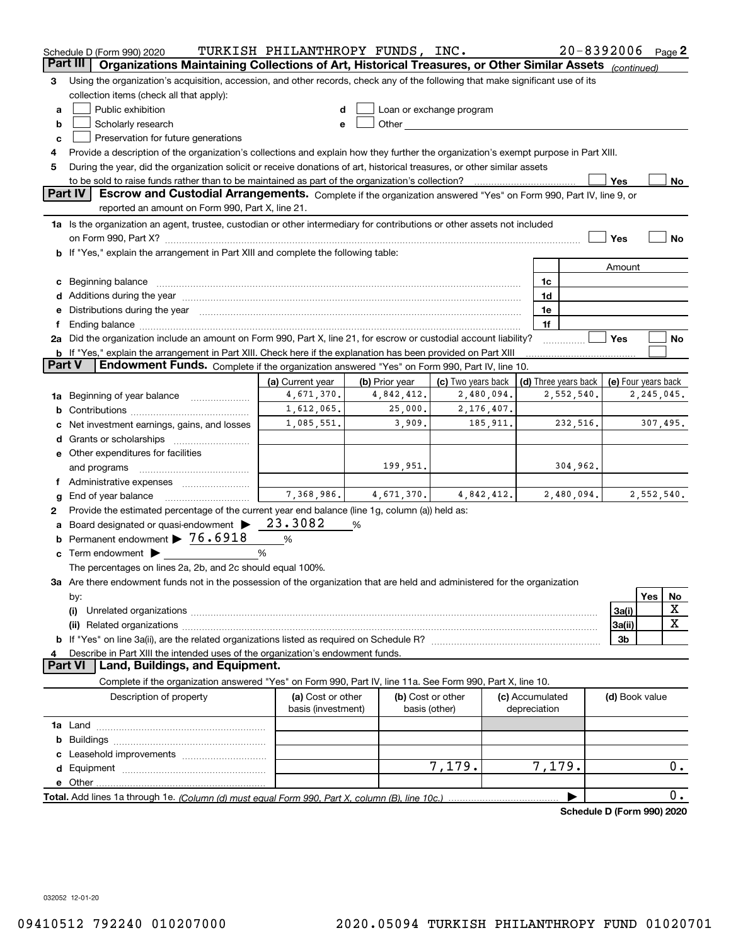|               | Schedule D (Form 990) 2020                                                                                                                                                                                                     | TURKISH PHILANTHROPY FUNDS, INC.                          |                |                                                                                                                                                                                                                                     |            |                 | $20 - 8392006$ Page 2      |                     |            |             |
|---------------|--------------------------------------------------------------------------------------------------------------------------------------------------------------------------------------------------------------------------------|-----------------------------------------------------------|----------------|-------------------------------------------------------------------------------------------------------------------------------------------------------------------------------------------------------------------------------------|------------|-----------------|----------------------------|---------------------|------------|-------------|
|               | Part III<br>Organizations Maintaining Collections of Art, Historical Treasures, or Other Similar Assets (continued)                                                                                                            |                                                           |                |                                                                                                                                                                                                                                     |            |                 |                            |                     |            |             |
| 3             | Using the organization's acquisition, accession, and other records, check any of the following that make significant use of its                                                                                                |                                                           |                |                                                                                                                                                                                                                                     |            |                 |                            |                     |            |             |
|               | collection items (check all that apply):                                                                                                                                                                                       |                                                           |                |                                                                                                                                                                                                                                     |            |                 |                            |                     |            |             |
| a             | Public exhibition                                                                                                                                                                                                              |                                                           |                | Loan or exchange program                                                                                                                                                                                                            |            |                 |                            |                     |            |             |
| b             | Scholarly research                                                                                                                                                                                                             |                                                           |                | Other <b>Community</b> Change of the Community of the Community of the Community of the Community of the Community of the Community of the Community of the Community of the Community of the Community of the Community of the Com |            |                 |                            |                     |            |             |
| с             | Preservation for future generations                                                                                                                                                                                            |                                                           |                |                                                                                                                                                                                                                                     |            |                 |                            |                     |            |             |
| 4             | Provide a description of the organization's collections and explain how they further the organization's exempt purpose in Part XIII.                                                                                           |                                                           |                |                                                                                                                                                                                                                                     |            |                 |                            |                     |            |             |
| 5             | During the year, did the organization solicit or receive donations of art, historical treasures, or other similar assets                                                                                                       |                                                           |                |                                                                                                                                                                                                                                     |            |                 |                            |                     |            |             |
|               | Yes<br>No                                                                                                                                                                                                                      |                                                           |                |                                                                                                                                                                                                                                     |            |                 |                            |                     |            |             |
|               | <b>Part IV</b><br>Escrow and Custodial Arrangements. Complete if the organization answered "Yes" on Form 990, Part IV, line 9, or<br>reported an amount on Form 990, Part X, line 21.                                          |                                                           |                |                                                                                                                                                                                                                                     |            |                 |                            |                     |            |             |
|               | 1a Is the organization an agent, trustee, custodian or other intermediary for contributions or other assets not included                                                                                                       |                                                           |                |                                                                                                                                                                                                                                     |            |                 |                            |                     |            |             |
|               |                                                                                                                                                                                                                                |                                                           |                |                                                                                                                                                                                                                                     |            |                 |                            | Yes                 |            | No          |
|               | <b>b</b> If "Yes," explain the arrangement in Part XIII and complete the following table:                                                                                                                                      |                                                           |                |                                                                                                                                                                                                                                     |            |                 |                            |                     |            |             |
|               |                                                                                                                                                                                                                                |                                                           |                |                                                                                                                                                                                                                                     |            |                 |                            | Amount              |            |             |
|               | c Beginning balance measurements and the state of the state of the state of the state of the state of the state of the state of the state of the state of the state of the state of the state of the state of the state of the |                                                           |                |                                                                                                                                                                                                                                     |            | 1c              |                            |                     |            |             |
|               |                                                                                                                                                                                                                                |                                                           |                |                                                                                                                                                                                                                                     |            | 1d              |                            |                     |            |             |
|               | e Distributions during the year manufactured and contained and contained and contained and contained and contained and contained and contained and contained and contained and contained and contained and contained and conta |                                                           |                |                                                                                                                                                                                                                                     |            | 1e              |                            |                     |            |             |
| f.            |                                                                                                                                                                                                                                |                                                           |                |                                                                                                                                                                                                                                     |            | 1f              |                            |                     |            |             |
|               | 2a Did the organization include an amount on Form 990, Part X, line 21, for escrow or custodial account liability?                                                                                                             |                                                           |                |                                                                                                                                                                                                                                     |            |                 |                            | Yes                 |            | No          |
|               | b If "Yes," explain the arrangement in Part XIII. Check here if the explanation has been provided on Part XIII                                                                                                                 |                                                           |                |                                                                                                                                                                                                                                     |            |                 |                            |                     |            |             |
| <b>Part V</b> | Endowment Funds. Complete if the organization answered "Yes" on Form 990, Part IV, line 10.                                                                                                                                    |                                                           |                |                                                                                                                                                                                                                                     |            |                 |                            |                     |            |             |
|               |                                                                                                                                                                                                                                | (a) Current year                                          | (b) Prior year | (c) Two years back                                                                                                                                                                                                                  |            |                 | (d) Three years back       | (e) Four years back |            |             |
|               | 1a Beginning of year balance                                                                                                                                                                                                   | 4,671,370.                                                | 4,842,412.     |                                                                                                                                                                                                                                     | 2,480,094. |                 | 2,552,540.                 |                     | 2,245,045. |             |
|               |                                                                                                                                                                                                                                | 1,612,065.                                                | 25,000.        |                                                                                                                                                                                                                                     | 2,176,407. |                 |                            |                     |            |             |
|               | c Net investment earnings, gains, and losses                                                                                                                                                                                   | 307,495.<br>1,085,551.<br>3,909.<br>185, 911.<br>232,516. |                |                                                                                                                                                                                                                                     |            |                 |                            |                     |            |             |
|               |                                                                                                                                                                                                                                |                                                           |                |                                                                                                                                                                                                                                     |            |                 |                            |                     |            |             |
|               | e Other expenditures for facilities                                                                                                                                                                                            |                                                           |                |                                                                                                                                                                                                                                     |            |                 |                            |                     |            |             |
|               | and programs                                                                                                                                                                                                                   |                                                           | 199,951.       |                                                                                                                                                                                                                                     |            |                 | 304,962.                   |                     |            |             |
|               | f Administrative expenses <i></i>                                                                                                                                                                                              |                                                           |                |                                                                                                                                                                                                                                     |            |                 |                            |                     |            |             |
| g             | End of year balance                                                                                                                                                                                                            | 7,368,986.                                                | 4,671,370.     |                                                                                                                                                                                                                                     | 4,842,412. |                 | 2,480,094.                 |                     | 2,552,540. |             |
| 2             | Provide the estimated percentage of the current year end balance (line 1g, column (a)) held as:                                                                                                                                | 23.3082                                                   |                |                                                                                                                                                                                                                                     |            |                 |                            |                     |            |             |
|               | a Board designated or quasi-endowment ><br><b>b</b> Permanent endowment $\triangleright$ 76.6918                                                                                                                               |                                                           | %              |                                                                                                                                                                                                                                     |            |                 |                            |                     |            |             |
|               |                                                                                                                                                                                                                                | $\%$                                                      |                |                                                                                                                                                                                                                                     |            |                 |                            |                     |            |             |
|               | c Term endowment $\blacktriangleright$                                                                                                                                                                                         | %                                                         |                |                                                                                                                                                                                                                                     |            |                 |                            |                     |            |             |
|               | The percentages on lines 2a, 2b, and 2c should equal 100%.                                                                                                                                                                     |                                                           |                |                                                                                                                                                                                                                                     |            |                 |                            |                     |            |             |
|               | 3a Are there endowment funds not in the possession of the organization that are held and administered for the organization                                                                                                     |                                                           |                |                                                                                                                                                                                                                                     |            |                 |                            |                     | Yes        |             |
|               | by:<br>(i)                                                                                                                                                                                                                     |                                                           |                |                                                                                                                                                                                                                                     |            |                 |                            | 3a(i)               |            | No<br>х     |
|               |                                                                                                                                                                                                                                |                                                           |                |                                                                                                                                                                                                                                     |            |                 |                            | 3a(ii)              |            | $\mathbf X$ |
|               |                                                                                                                                                                                                                                |                                                           |                |                                                                                                                                                                                                                                     |            |                 |                            | 3b                  |            |             |
| 4             | Describe in Part XIII the intended uses of the organization's endowment funds.                                                                                                                                                 |                                                           |                |                                                                                                                                                                                                                                     |            |                 |                            |                     |            |             |
|               | Land, Buildings, and Equipment.<br><b>Part VI</b>                                                                                                                                                                              |                                                           |                |                                                                                                                                                                                                                                     |            |                 |                            |                     |            |             |
|               | Complete if the organization answered "Yes" on Form 990, Part IV, line 11a. See Form 990, Part X, line 10.                                                                                                                     |                                                           |                |                                                                                                                                                                                                                                     |            |                 |                            |                     |            |             |
|               | Description of property                                                                                                                                                                                                        | (a) Cost or other                                         |                | (b) Cost or other                                                                                                                                                                                                                   |            | (c) Accumulated |                            | (d) Book value      |            |             |
|               |                                                                                                                                                                                                                                | basis (investment)                                        |                | basis (other)                                                                                                                                                                                                                       |            | depreciation    |                            |                     |            |             |
|               |                                                                                                                                                                                                                                |                                                           |                |                                                                                                                                                                                                                                     |            |                 |                            |                     |            |             |
|               |                                                                                                                                                                                                                                |                                                           |                |                                                                                                                                                                                                                                     |            |                 |                            |                     |            |             |
|               |                                                                                                                                                                                                                                |                                                           |                |                                                                                                                                                                                                                                     |            |                 |                            |                     |            |             |
|               |                                                                                                                                                                                                                                |                                                           |                | 7,179.                                                                                                                                                                                                                              |            | 7,179.          |                            |                     |            | $0$ .       |
|               |                                                                                                                                                                                                                                |                                                           |                |                                                                                                                                                                                                                                     |            |                 |                            |                     |            |             |
|               |                                                                                                                                                                                                                                |                                                           |                |                                                                                                                                                                                                                                     |            |                 |                            |                     |            | 0.          |
|               |                                                                                                                                                                                                                                |                                                           |                |                                                                                                                                                                                                                                     |            |                 | Schedule D (Form 990) 2020 |                     |            |             |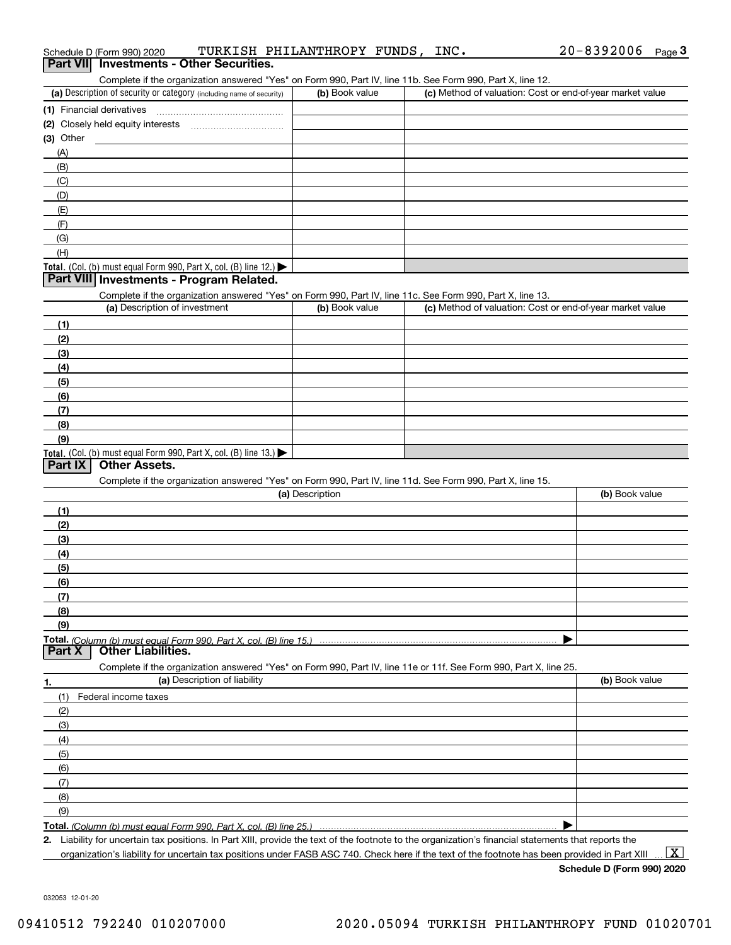| Schedule D (Form 990) 2020<br>Part VII Investments - Other Securities.                                            | TURKISH PHILANTHROPY FUNDS, | INC. | 20-8392006<br>$Page$ <sup>3</sup>                         |
|-------------------------------------------------------------------------------------------------------------------|-----------------------------|------|-----------------------------------------------------------|
| Complete if the organization answered "Yes" on Form 990, Part IV, line 11b. See Form 990, Part X, line 12.        |                             |      |                                                           |
| (a) Description of security or category (including name of security)                                              | (b) Book value              |      | (c) Method of valuation: Cost or end-of-year market value |
| (1) Financial derivatives                                                                                         |                             |      |                                                           |
|                                                                                                                   |                             |      |                                                           |
| $(3)$ Other                                                                                                       |                             |      |                                                           |
| (A)                                                                                                               |                             |      |                                                           |
| (B)                                                                                                               |                             |      |                                                           |
| (C)                                                                                                               |                             |      |                                                           |
| (D)                                                                                                               |                             |      |                                                           |
| (E)                                                                                                               |                             |      |                                                           |
| (F)                                                                                                               |                             |      |                                                           |
| (G)                                                                                                               |                             |      |                                                           |
| (H)                                                                                                               |                             |      |                                                           |
| Total. (Col. (b) must equal Form 990, Part X, col. (B) line 12.) $\blacktriangleright$                            |                             |      |                                                           |
| Part VIII Investments - Program Related.                                                                          |                             |      |                                                           |
| Complete if the organization answered "Yes" on Form 990, Part IV, line 11c. See Form 990, Part X, line 13.        |                             |      |                                                           |
| (a) Description of investment                                                                                     | (b) Book value              |      | (c) Method of valuation: Cost or end-of-year market value |
| (1)                                                                                                               |                             |      |                                                           |
| (2)                                                                                                               |                             |      |                                                           |
| (3)                                                                                                               |                             |      |                                                           |
| (4)                                                                                                               |                             |      |                                                           |
| (5)                                                                                                               |                             |      |                                                           |
| (6)                                                                                                               |                             |      |                                                           |
| (7)                                                                                                               |                             |      |                                                           |
| (8)                                                                                                               |                             |      |                                                           |
| (9)                                                                                                               |                             |      |                                                           |
| Total. (Col. (b) must equal Form 990, Part X, col. (B) line 13.)<br><b>Other Assets.</b><br>Part IX               |                             |      |                                                           |
| Complete if the organization answered "Yes" on Form 990, Part IV, line 11d. See Form 990, Part X, line 15.        |                             |      |                                                           |
|                                                                                                                   | (a) Description             |      | (b) Book value                                            |
| (1)                                                                                                               |                             |      |                                                           |
| (2)                                                                                                               |                             |      |                                                           |
| (3)                                                                                                               |                             |      |                                                           |
| (4)                                                                                                               |                             |      |                                                           |
| (5)                                                                                                               |                             |      |                                                           |
| (6)                                                                                                               |                             |      |                                                           |
| (7)                                                                                                               |                             |      |                                                           |
|                                                                                                                   |                             |      |                                                           |
|                                                                                                                   |                             |      |                                                           |
| (8)                                                                                                               |                             |      |                                                           |
| (9)                                                                                                               |                             |      |                                                           |
| Total. (Column (b) must equal Form 990. Part X, col. (B) line 15.)<br><b>Other Liabilities.</b><br>Part X         |                             |      |                                                           |
| Complete if the organization answered "Yes" on Form 990, Part IV, line 11e or 11f. See Form 990, Part X, line 25. |                             |      |                                                           |
| (a) Description of liability                                                                                      |                             |      | (b) Book value                                            |
| (1)<br>Federal income taxes                                                                                       |                             |      |                                                           |
| (2)                                                                                                               |                             |      |                                                           |
| (3)                                                                                                               |                             |      |                                                           |
| 1.<br>(4)                                                                                                         |                             |      |                                                           |
| (5)                                                                                                               |                             |      |                                                           |
| (6)                                                                                                               |                             |      |                                                           |
| (7)                                                                                                               |                             |      |                                                           |
| (8)                                                                                                               |                             |      |                                                           |
| (9)                                                                                                               |                             |      |                                                           |

**Schedule D (Form 990) 2020**

032053 12-01-20

| (1) Financial derivatives                                                                                                                                                                                                                                        |  |
|------------------------------------------------------------------------------------------------------------------------------------------------------------------------------------------------------------------------------------------------------------------|--|
| (2) Closely held equity interests                                                                                                                                                                                                                                |  |
| (3) Other                                                                                                                                                                                                                                                        |  |
| (A)                                                                                                                                                                                                                                                              |  |
| (B)                                                                                                                                                                                                                                                              |  |
| (C)                                                                                                                                                                                                                                                              |  |
| (D)                                                                                                                                                                                                                                                              |  |
| (E)                                                                                                                                                                                                                                                              |  |
| (F)                                                                                                                                                                                                                                                              |  |
| (G)                                                                                                                                                                                                                                                              |  |
| (H)                                                                                                                                                                                                                                                              |  |
| Total. (Col. (b) must equal Form 990, Part X, col. (B) line 12.) $\blacktriangleright$                                                                                                                                                                           |  |
| $P_{\text{c}}$ (1) $I = 1$ (1) $I = 1$ (1) $I = 1$ (1) $I = 1$ (1) $I = 1$ (1) $I = 1$ (1) $I = 1$ (1) $I = 1$ (1) $I = 1$ (1) $I = 1$ (1) $I = 1$ (1) $I = 1$ (1) $I = 1$ (1) $I = 1$ (1) $I = 1$ (1) $I = 1$ (1) $I = 1$ (1) $I = 1$ (1) $I = 1$ (1<br>- - - - |  |

| (a) Description                                                                                                   | (b) Book value |
|-------------------------------------------------------------------------------------------------------------------|----------------|
|                                                                                                                   |                |
|                                                                                                                   |                |
|                                                                                                                   |                |
|                                                                                                                   |                |
|                                                                                                                   |                |
|                                                                                                                   |                |
|                                                                                                                   |                |
|                                                                                                                   |                |
|                                                                                                                   |                |
| <u>(Column (b) must equal Form 990. Part X. col. (B) line 15.)……………………………………………………………………</u>                      |                |
| τΧ<br><b>Other Liabilities.</b>                                                                                   |                |
| Complete if the organization answered "Yes" on Form 990, Part IV, line 11e or 11f. See Form 990, Part X, line 25. |                |
| (a) Description of liability                                                                                      | (b) Book value |
| Federal income taxes                                                                                              |                |
|                                                                                                                   |                |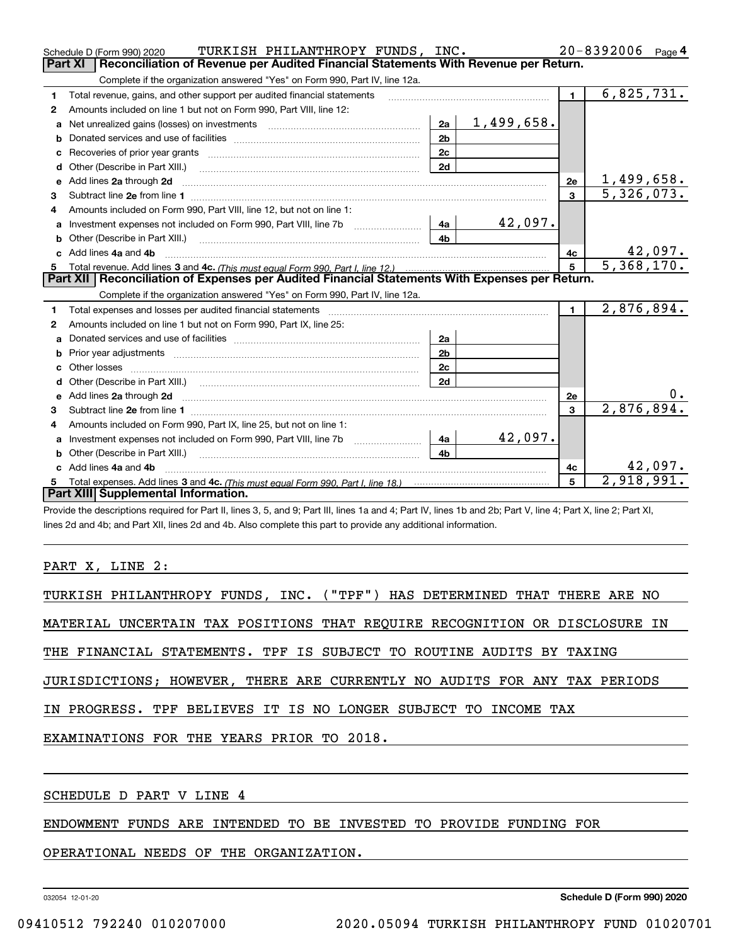|    | TURKISH PHILANTHROPY FUNDS, INC.<br>Schedule D (Form 990) 2020                                                                                                                                                                      |                |                   |                | $20 - 8392006$ Page 4        |
|----|-------------------------------------------------------------------------------------------------------------------------------------------------------------------------------------------------------------------------------------|----------------|-------------------|----------------|------------------------------|
|    | Part XI<br>Reconciliation of Revenue per Audited Financial Statements With Revenue per Return.                                                                                                                                      |                |                   |                |                              |
|    | Complete if the organization answered "Yes" on Form 990, Part IV, line 12a.                                                                                                                                                         |                |                   |                |                              |
| 1  | Total revenue, gains, and other support per audited financial statements                                                                                                                                                            |                |                   | $\blacksquare$ | 6,825,731.                   |
| 2  | Amounts included on line 1 but not on Form 990, Part VIII, line 12:                                                                                                                                                                 |                |                   |                |                              |
| a  | Net unrealized gains (losses) on investments [11] matter contracts and the unrealized gains (losses) on investments                                                                                                                 | 2a             | <u>1,499,658.</u> |                |                              |
|    |                                                                                                                                                                                                                                     | 2 <sub>b</sub> |                   |                |                              |
|    |                                                                                                                                                                                                                                     | 2c             |                   |                |                              |
| d  | Other (Describe in Part XIII.) <b>Construction Contract Construction</b> Chemistry Chemistry Chemistry Chemistry Chemistry                                                                                                          | 2d             |                   |                |                              |
| e  | Add lines 2a through 2d                                                                                                                                                                                                             |                |                   | 2e             | <u>1,499,658.</u>            |
| 3  |                                                                                                                                                                                                                                     |                |                   | $\overline{3}$ | $\overline{5,326,073.}$      |
| 4  | Amounts included on Form 990, Part VIII, line 12, but not on line 1:                                                                                                                                                                |                |                   |                |                              |
|    | Investment expenses not included on Form 990, Part VIII, line 7b [1000000000000000000000000000000000                                                                                                                                | - 4a           | 42,097.           |                |                              |
|    |                                                                                                                                                                                                                                     | 4 <sub>b</sub> |                   |                |                              |
| C. | Add lines 4a and 4b                                                                                                                                                                                                                 |                |                   | 4c             | $\frac{42,097.}{5,368,170.}$ |
|    |                                                                                                                                                                                                                                     |                |                   |                |                              |
|    |                                                                                                                                                                                                                                     |                |                   | 5 <sup>5</sup> |                              |
|    | Part XII   Reconciliation of Expenses per Audited Financial Statements With Expenses per Return.                                                                                                                                    |                |                   |                |                              |
|    | Complete if the organization answered "Yes" on Form 990, Part IV, line 12a.                                                                                                                                                         |                |                   |                |                              |
| 1  |                                                                                                                                                                                                                                     |                |                   | $\mathbf{1}$   | 2,876,894.                   |
| 2  | Amounts included on line 1 but not on Form 990, Part IX, line 25:                                                                                                                                                                   |                |                   |                |                              |
| a  |                                                                                                                                                                                                                                     | 2a             |                   |                |                              |
| b  |                                                                                                                                                                                                                                     | 2 <sub>b</sub> |                   |                |                              |
|    |                                                                                                                                                                                                                                     | 2c             |                   |                |                              |
|    |                                                                                                                                                                                                                                     | 2d             |                   |                |                              |
|    | Add lines 2a through 2d <b>contained a contained a contained a contained a</b> contained a contact the state of the state of the state of the state of the state of the state of the state of the state of the state of the state o |                |                   | <b>2e</b>      |                              |
| 3  |                                                                                                                                                                                                                                     |                |                   | 3              | 2,876,894.                   |
| 4  | Amounts included on Form 990, Part IX, line 25, but not on line 1:                                                                                                                                                                  |                |                   |                |                              |
| a  |                                                                                                                                                                                                                                     | 4a             | 42,097.           |                |                              |
|    |                                                                                                                                                                                                                                     | 4 <sub>h</sub> |                   |                |                              |
|    | c Add lines 4a and 4b                                                                                                                                                                                                               |                |                   | 4c             | 42,097.                      |
|    | Part XIII Supplemental Information.                                                                                                                                                                                                 |                |                   | 5              | 2,918,991.                   |

Provide the descriptions required for Part II, lines 3, 5, and 9; Part III, lines 1a and 4; Part IV, lines 1b and 2b; Part V, line 4; Part X, line 2; Part XI, lines 2d and 4b; and Part XII, lines 2d and 4b. Also complete this part to provide any additional information.

PART X, LINE 2:

TURKISH PHILANTHROPY FUNDS, INC. ("TPF") HAS DETERMINED THAT THERE ARE NO

MATERIAL UNCERTAIN TAX POSITIONS THAT REQUIRE RECOGNITION OR DISCLOSURE IN

THE FINANCIAL STATEMENTS. TPF IS SUBJECT TO ROUTINE AUDITS BY TAXING

JURISDICTIONS; HOWEVER, THERE ARE CURRENTLY NO AUDITS FOR ANY TAX PERIODS

IN PROGRESS. TPF BELIEVES IT IS NO LONGER SUBJECT TO INCOME TAX

EXAMINATIONS FOR THE YEARS PRIOR TO 2018.

## SCHEDULE D PART V LINE 4

ENDOWMENT FUNDS ARE INTENDED TO BE INVESTED TO PROVIDE FUNDING FOR

OPERATIONAL NEEDS OF THE ORGANIZATION.

032054 12-01-20

**Schedule D (Form 990) 2020**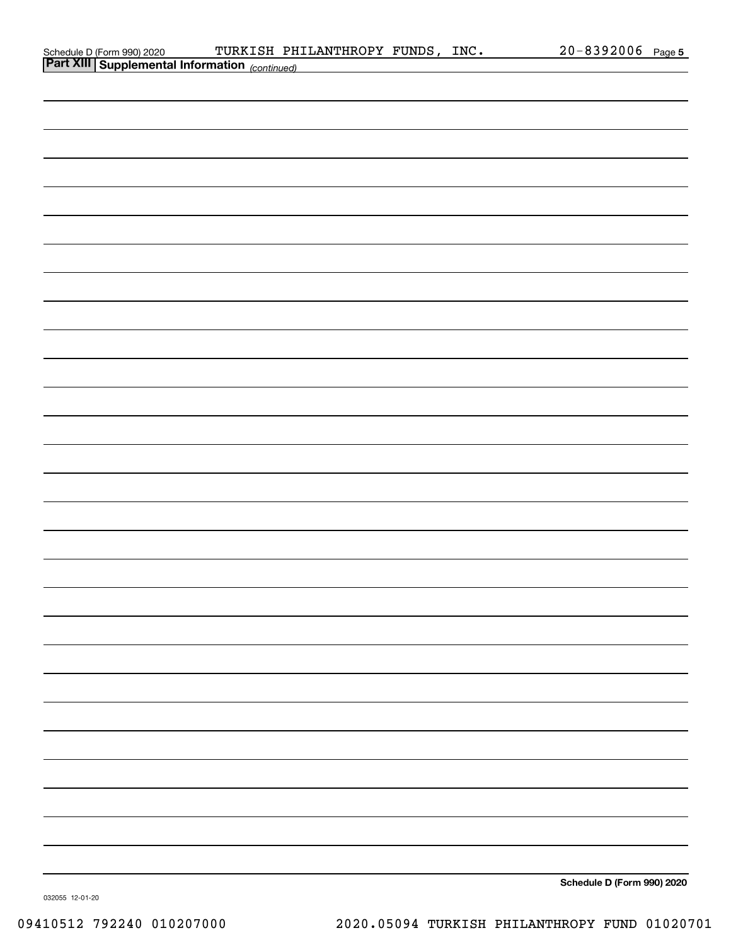| Schedule D (Form 990) 2020 |  |
|----------------------------|--|
| _______                    |  |

| <b>Part XIII Supplemental Information</b> (continued) |                            |
|-------------------------------------------------------|----------------------------|
|                                                       |                            |
|                                                       |                            |
|                                                       |                            |
|                                                       |                            |
|                                                       |                            |
|                                                       |                            |
|                                                       |                            |
|                                                       |                            |
|                                                       |                            |
|                                                       |                            |
|                                                       |                            |
|                                                       |                            |
|                                                       |                            |
|                                                       |                            |
|                                                       |                            |
|                                                       |                            |
|                                                       |                            |
|                                                       |                            |
|                                                       |                            |
|                                                       |                            |
|                                                       |                            |
|                                                       |                            |
|                                                       |                            |
|                                                       |                            |
|                                                       |                            |
|                                                       |                            |
|                                                       |                            |
|                                                       |                            |
|                                                       |                            |
|                                                       |                            |
|                                                       |                            |
|                                                       |                            |
|                                                       | Schedule D (Form 990) 2020 |

032055 12-01-20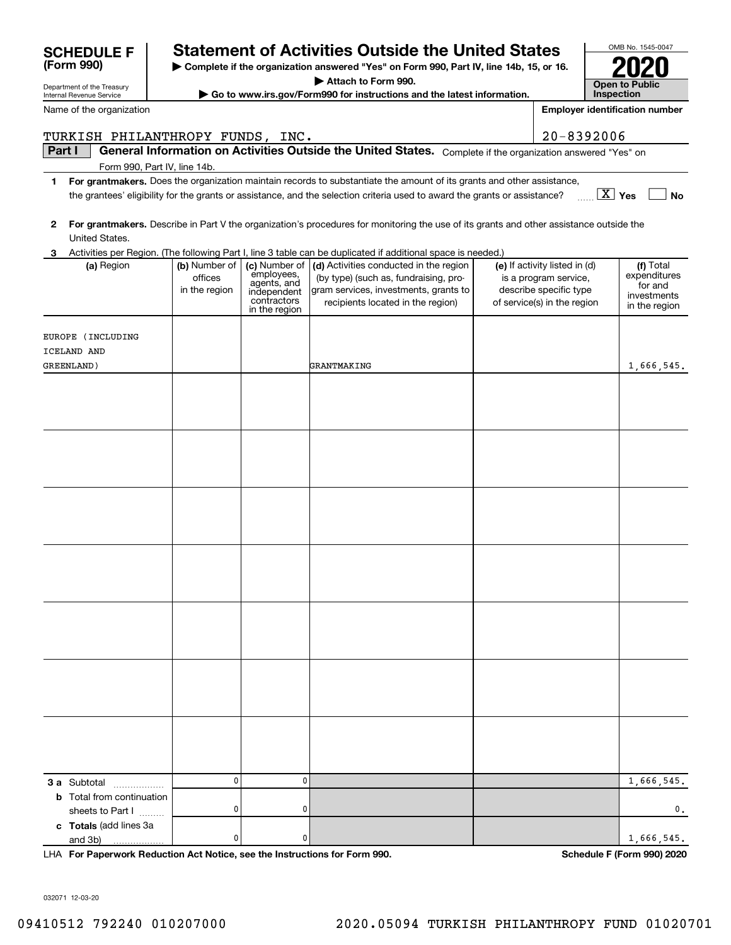| Internal Revenue Service                   |                                           |                                                                                           | Go to www.irs.gov/Form990 for instructions and the latest information.                                                                                        |                                                                                                                 | Inspection                                                           |
|--------------------------------------------|-------------------------------------------|-------------------------------------------------------------------------------------------|---------------------------------------------------------------------------------------------------------------------------------------------------------------|-----------------------------------------------------------------------------------------------------------------|----------------------------------------------------------------------|
| Name of the organization                   |                                           |                                                                                           |                                                                                                                                                               |                                                                                                                 | <b>Employer identification number</b>                                |
| TURKISH PHILANTHROPY FUNDS, INC.           |                                           |                                                                                           |                                                                                                                                                               | $20 - 8392006$                                                                                                  |                                                                      |
| Part I                                     |                                           |                                                                                           | General Information on Activities Outside the United States. Complete if the organization answered "Yes" on                                                   |                                                                                                                 |                                                                      |
|                                            | Form 990, Part IV, line 14b.              |                                                                                           |                                                                                                                                                               |                                                                                                                 |                                                                      |
| 1                                          |                                           |                                                                                           | For grantmakers. Does the organization maintain records to substantiate the amount of its grants and other assistance,                                        |                                                                                                                 |                                                                      |
|                                            |                                           |                                                                                           | the grantees' eligibility for the grants or assistance, and the selection criteria used to award the grants or assistance?                                    |                                                                                                                 | $\boxed{\text{X}}$ Yes<br>No                                         |
| 2<br>United States.                        |                                           |                                                                                           | For grantmakers. Describe in Part V the organization's procedures for monitoring the use of its grants and other assistance outside the                       |                                                                                                                 |                                                                      |
| 3                                          |                                           |                                                                                           | Activities per Region. (The following Part I, line 3 table can be duplicated if additional space is needed.)                                                  |                                                                                                                 |                                                                      |
| (a) Region                                 | (b) Number of<br>offices<br>in the region | (c) Number of<br>employees,<br>agents, and<br>independent<br>contractors<br>in the region | (d) Activities conducted in the region<br>(by type) (such as, fundraising, pro-<br>gram services, investments, grants to<br>recipients located in the region) | (e) If activity listed in (d)<br>is a program service,<br>describe specific type<br>of service(s) in the region | (f) Total<br>expenditures<br>for and<br>investments<br>in the region |
|                                            |                                           |                                                                                           |                                                                                                                                                               |                                                                                                                 |                                                                      |
| EUROPE (INCLUDING<br>ICELAND AND           |                                           |                                                                                           |                                                                                                                                                               |                                                                                                                 |                                                                      |
| GREENLAND)                                 |                                           |                                                                                           | GRANTMAKING                                                                                                                                                   |                                                                                                                 | 1,666,545.                                                           |
|                                            |                                           |                                                                                           |                                                                                                                                                               |                                                                                                                 |                                                                      |
|                                            |                                           |                                                                                           |                                                                                                                                                               |                                                                                                                 |                                                                      |
|                                            |                                           |                                                                                           |                                                                                                                                                               |                                                                                                                 |                                                                      |
|                                            |                                           |                                                                                           |                                                                                                                                                               |                                                                                                                 |                                                                      |
|                                            |                                           |                                                                                           |                                                                                                                                                               |                                                                                                                 |                                                                      |
|                                            |                                           |                                                                                           |                                                                                                                                                               |                                                                                                                 |                                                                      |
|                                            |                                           |                                                                                           |                                                                                                                                                               |                                                                                                                 |                                                                      |
|                                            |                                           |                                                                                           |                                                                                                                                                               |                                                                                                                 |                                                                      |
|                                            |                                           |                                                                                           |                                                                                                                                                               |                                                                                                                 |                                                                      |
|                                            |                                           |                                                                                           |                                                                                                                                                               |                                                                                                                 |                                                                      |
|                                            |                                           |                                                                                           |                                                                                                                                                               |                                                                                                                 |                                                                      |
|                                            |                                           |                                                                                           |                                                                                                                                                               |                                                                                                                 |                                                                      |
|                                            |                                           |                                                                                           |                                                                                                                                                               |                                                                                                                 |                                                                      |
|                                            |                                           |                                                                                           |                                                                                                                                                               |                                                                                                                 |                                                                      |
|                                            |                                           |                                                                                           |                                                                                                                                                               |                                                                                                                 |                                                                      |
|                                            |                                           |                                                                                           |                                                                                                                                                               |                                                                                                                 |                                                                      |
|                                            |                                           |                                                                                           |                                                                                                                                                               |                                                                                                                 |                                                                      |
|                                            |                                           |                                                                                           |                                                                                                                                                               |                                                                                                                 |                                                                      |
|                                            |                                           |                                                                                           |                                                                                                                                                               |                                                                                                                 |                                                                      |
|                                            |                                           |                                                                                           |                                                                                                                                                               |                                                                                                                 |                                                                      |
|                                            |                                           |                                                                                           |                                                                                                                                                               |                                                                                                                 |                                                                      |
|                                            |                                           |                                                                                           |                                                                                                                                                               |                                                                                                                 |                                                                      |
|                                            |                                           |                                                                                           |                                                                                                                                                               |                                                                                                                 |                                                                      |
|                                            |                                           |                                                                                           |                                                                                                                                                               |                                                                                                                 |                                                                      |
| 3 a Subtotal<br>.                          | 0                                         | 0                                                                                         |                                                                                                                                                               |                                                                                                                 | 1,666,545.                                                           |
| <b>b</b> Total from continuation           | 0                                         | 0                                                                                         |                                                                                                                                                               |                                                                                                                 | 0.                                                                   |
| sheets to Part I<br>c Totals (add lines 3a |                                           |                                                                                           |                                                                                                                                                               |                                                                                                                 |                                                                      |
| and 3b)                                    | 0                                         | 0                                                                                         |                                                                                                                                                               |                                                                                                                 | 1,666,545.                                                           |

**| Complete if the organization answered "Yes" on Form 990, Part IV, line 14b, 15, or 16. | Attach to Form 990.**

**SCHEDULE F Statement of Activities Outside the United States**

**For Paperwork Reduction Act Notice, see the Instructions for Form 990. Schedule F (Form 990) 2020** LHA

OMB No. 1545-0047

**2020**

**Open to Public** 

032071 12-03-20

Department of the Treasury

**(Form 990)**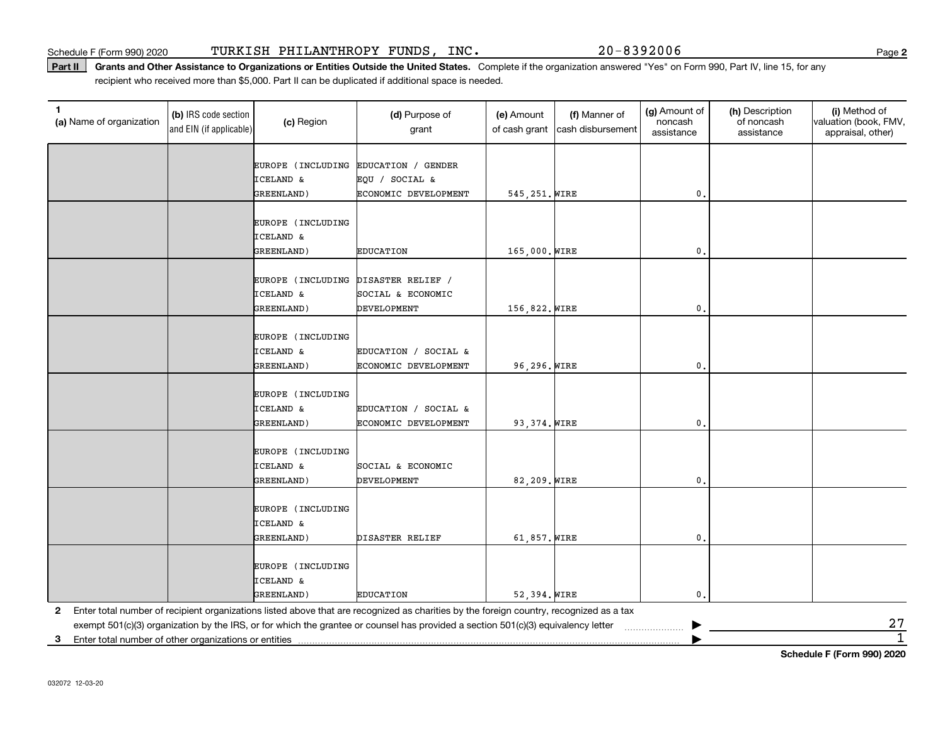#### Part II | Grants and Other Assistance to Organizations or Entities Outside the United States. Complete if the organization answered "Yes" on Form 990, Part IV, line 15, for any recipient who received more than \$5,000. Part II can be duplicated if additional space is needed.

| $2\,7$         |
|----------------|
| $\overline{1}$ |
|                |

**Schedule F (Form 990) 2020**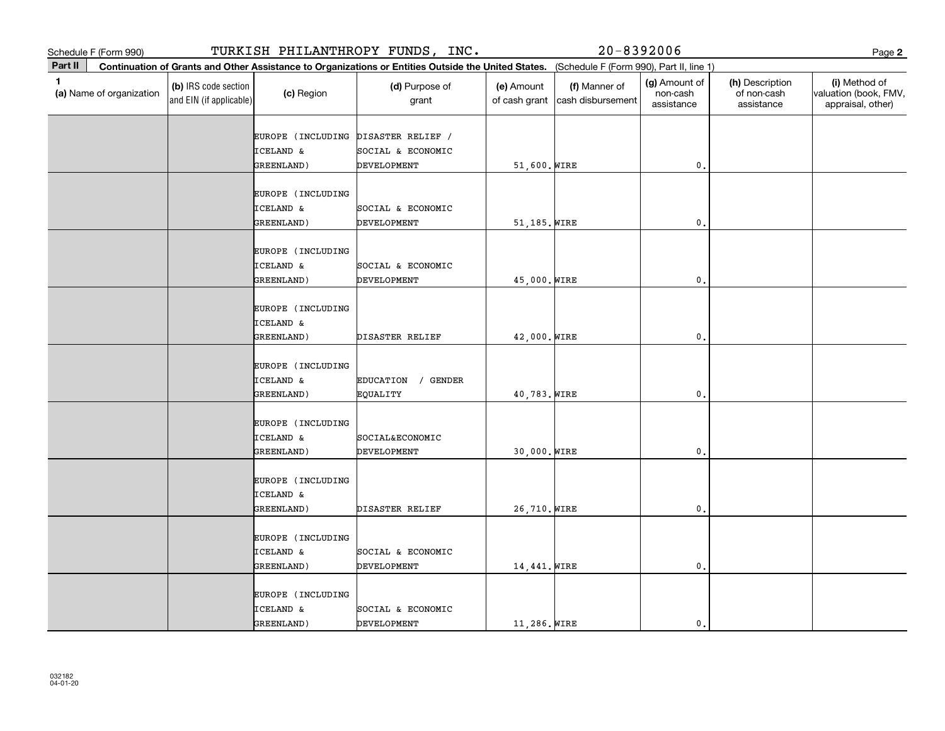|         | Schedule F (Form 990)    |                                                 |                                                         | TURKISH PHILANTHROPY FUNDS, INC.                                                                                                             |                             | $20 - 8392006$                     |                                         |                                              | Page 2                                                      |
|---------|--------------------------|-------------------------------------------------|---------------------------------------------------------|----------------------------------------------------------------------------------------------------------------------------------------------|-----------------------------|------------------------------------|-----------------------------------------|----------------------------------------------|-------------------------------------------------------------|
| Part II |                          |                                                 |                                                         | Continuation of Grants and Other Assistance to Organizations or Entities Outside the United States. (Schedule F (Form 990), Part II, line 1) |                             |                                    |                                         |                                              |                                                             |
| 1.      | (a) Name of organization | (b) IRS code section<br>and EIN (if applicable) | (c) Region                                              | (d) Purpose of<br>grant                                                                                                                      | (e) Amount<br>of cash grant | (f) Manner of<br>cash disbursement | (g) Amount of<br>non-cash<br>assistance | (h) Description<br>of non-cash<br>assistance | (i) Method of<br>valuation (book, FMV,<br>appraisal, other) |
|         |                          |                                                 | EUROPE (INCLUDING<br><b>ICELAND &amp;</b><br>GREENLAND) | DISASTER RELIEF /<br>SOCIAL & ECONOMIC<br>DEVELOPMENT                                                                                        | 51,600. WIRE                |                                    | $\mathbf{0}$ .                          |                                              |                                                             |
|         |                          |                                                 | EUROPE (INCLUDING<br><b>ICELAND &amp;</b><br>GREENLAND) | SOCIAL & ECONOMIC<br>DEVELOPMENT                                                                                                             | 51,185. WIRE                |                                    | $\mathfrak o$ .                         |                                              |                                                             |
|         |                          |                                                 | EUROPE (INCLUDING<br>ICELAND &<br>GREENLAND)            | SOCIAL & ECONOMIC<br>DEVELOPMENT                                                                                                             | 45,000. WIRE                |                                    | $\mathbf{0}$ .                          |                                              |                                                             |
|         |                          |                                                 | EUROPE (INCLUDING<br><b>ICELAND &amp;</b><br>GREENLAND) | DISASTER RELIEF                                                                                                                              | 42,000. WIRE                |                                    | $\mathfrak{o}$ .                        |                                              |                                                             |
|         |                          |                                                 | EUROPE (INCLUDING<br>ICELAND &<br>GREENLAND)            | EDUCATION<br>/ GENDER<br>EQUALITY                                                                                                            | 40,783. WIRE                |                                    | $\mathfrak o$ .                         |                                              |                                                             |
|         |                          |                                                 | EUROPE (INCLUDING<br><b>ICELAND &amp;</b><br>GREENLAND) | SOCIAL&ECONOMIC<br>DEVELOPMENT                                                                                                               | 30,000. WIRE                |                                    | $\mathfrak{o}$ .                        |                                              |                                                             |
|         |                          |                                                 | EUROPE (INCLUDING<br><b>ICELAND &amp;</b><br>GREENLAND) | DISASTER RELIEF                                                                                                                              | 26,710. WIRE                |                                    | $\mathbf{0}$ .                          |                                              |                                                             |
|         |                          |                                                 | EUROPE (INCLUDING<br>ICELAND &<br>GREENLAND)            | SOCIAL & ECONOMIC<br>DEVELOPMENT                                                                                                             | 14,441. WIRE                |                                    | $\mathfrak{o}$ .                        |                                              |                                                             |
|         |                          |                                                 | EUROPE (INCLUDING<br>ICELAND &<br>GREENLAND)            | SOCIAL & ECONOMIC<br>DEVELOPMENT                                                                                                             | 11,286. WIRE                |                                    | $\mathbf{0}$ .                          |                                              |                                                             |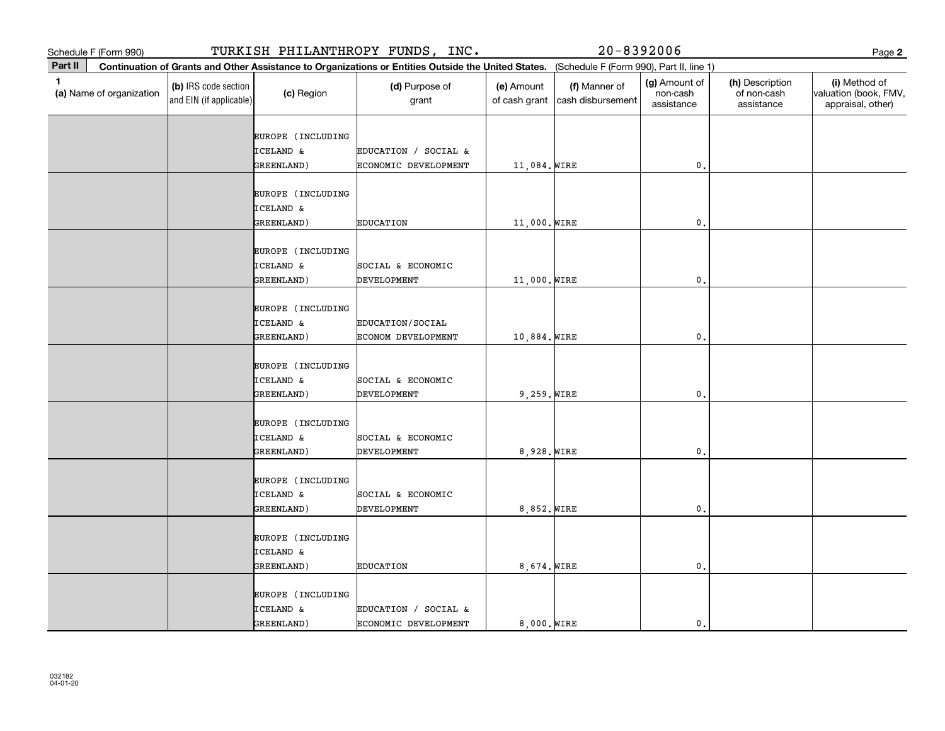|         | Schedule F (Form 990)    |                                                 |                                                         | TURKISH PHILANTHROPY FUNDS, INC.                                                                                                             |                             |                                    | $20 - 8392006$                          |                                              | Page 2                                                      |
|---------|--------------------------|-------------------------------------------------|---------------------------------------------------------|----------------------------------------------------------------------------------------------------------------------------------------------|-----------------------------|------------------------------------|-----------------------------------------|----------------------------------------------|-------------------------------------------------------------|
| Part II |                          |                                                 |                                                         | Continuation of Grants and Other Assistance to Organizations or Entities Outside the United States. (Schedule F (Form 990), Part II, line 1) |                             |                                    |                                         |                                              |                                                             |
| 1       | (a) Name of organization | (b) IRS code section<br>and EIN (if applicable) | (c) Region                                              | (d) Purpose of<br>grant                                                                                                                      | (e) Amount<br>of cash grant | (f) Manner of<br>cash disbursement | (g) Amount of<br>non-cash<br>assistance | (h) Description<br>of non-cash<br>assistance | (i) Method of<br>valuation (book, FMV,<br>appraisal, other) |
|         |                          |                                                 | EUROPE (INCLUDING<br><b>ICELAND &amp;</b><br>GREENLAND) | EDUCATION / SOCIAL &<br>ECONOMIC DEVELOPMENT                                                                                                 | 11,084. WIRE                |                                    | $\mathbf{0}$                            |                                              |                                                             |
|         |                          |                                                 | EUROPE (INCLUDING<br>ICELAND &<br>GREENLAND)            | <b>EDUCATION</b>                                                                                                                             | 11,000. WIRE                |                                    | $\mathbf{0}$                            |                                              |                                                             |
|         |                          |                                                 | EUROPE (INCLUDING<br><b>ICELAND &amp;</b><br>GREENLAND) | SOCIAL & ECONOMIC<br><b>DEVELOPMENT</b>                                                                                                      | 11,000. WIRE                |                                    | $\mathbf{0}$ .                          |                                              |                                                             |
|         |                          |                                                 | EUROPE (INCLUDING<br>ICELAND &<br>GREENLAND)            | EDUCATION/SOCIAL<br>ECONOM DEVELOPMENT                                                                                                       | 10,884. WIRE                |                                    | $\mathbf{0}$                            |                                              |                                                             |
|         |                          |                                                 | EUROPE (INCLUDING<br>ICELAND &<br>GREENLAND)            | SOCIAL & ECONOMIC<br><b>DEVELOPMENT</b>                                                                                                      | $9,259.$ WIRE               |                                    | $\mathbf{0}$                            |                                              |                                                             |
|         |                          |                                                 | EUROPE (INCLUDING<br>ICELAND &<br>GREENLAND)            | SOCIAL & ECONOMIC<br>DEVELOPMENT                                                                                                             | 8,928. WIRE                 |                                    | $\mathbf{0}$                            |                                              |                                                             |
|         |                          |                                                 | EUROPE (INCLUDING<br><b>ICELAND &amp;</b><br>GREENLAND) | SOCIAL & ECONOMIC<br><b>DEVELOPMENT</b>                                                                                                      | 8,852. WIRE                 |                                    | $\mathbf{0}$ .                          |                                              |                                                             |
|         |                          |                                                 | EUROPE (INCLUDING<br>ICELAND &<br>GREENLAND)            | <b>EDUCATION</b>                                                                                                                             | 8,674. WIRE                 |                                    | 0                                       |                                              |                                                             |
|         |                          |                                                 | EUROPE (INCLUDING<br>ICELAND &<br>GREENLAND)            | EDUCATION / SOCIAL &<br>ECONOMIC DEVELOPMENT                                                                                                 | 8,000. WIRE                 |                                    | $\mathbf{0}$ .                          |                                              |                                                             |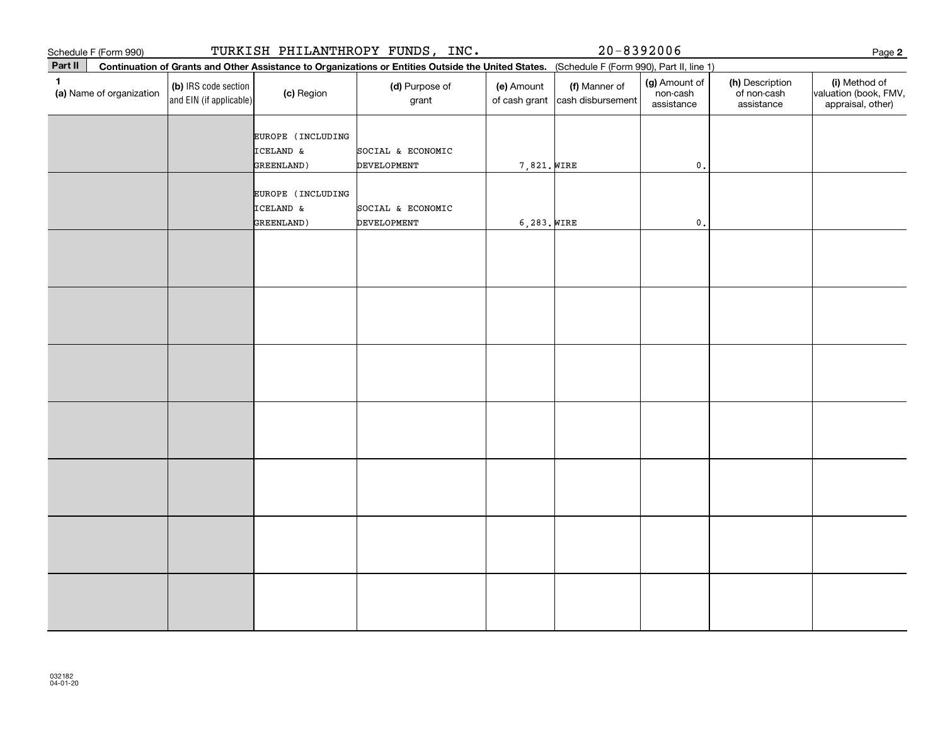| Schedule F (Form 990)                    |                                                 |                                              | TURKISH PHILANTHROPY FUNDS, INC.                                                                                                             |                             | $20 - 8392006$                     |                                         |                                              | Page 2                                                      |
|------------------------------------------|-------------------------------------------------|----------------------------------------------|----------------------------------------------------------------------------------------------------------------------------------------------|-----------------------------|------------------------------------|-----------------------------------------|----------------------------------------------|-------------------------------------------------------------|
| Part II                                  |                                                 |                                              | Continuation of Grants and Other Assistance to Organizations or Entities Outside the United States. (Schedule F (Form 990), Part II, line 1) |                             |                                    |                                         |                                              |                                                             |
| $\mathbf{1}$<br>(a) Name of organization | (b) IRS code section<br>and EIN (if applicable) | (c) Region                                   | (d) Purpose of<br>grant                                                                                                                      | (e) Amount<br>of cash grant | (f) Manner of<br>cash disbursement | (g) Amount of<br>non-cash<br>assistance | (h) Description<br>of non-cash<br>assistance | (i) Method of<br>valuation (book, FMV,<br>appraisal, other) |
|                                          |                                                 | EUROPE (INCLUDING<br>ICELAND &<br>GREENLAND) | SOCIAL & ECONOMIC<br>DEVELOPMENT                                                                                                             | 7,821. WIRE                 |                                    | $\mathbf{0}$ .                          |                                              |                                                             |
|                                          |                                                 | EUROPE (INCLUDING<br>ICELAND &<br>GREENLAND) | SOCIAL & ECONOMIC<br>DEVELOPMENT                                                                                                             | $6,283.$ WIRE               |                                    | $\mathfrak o$ .                         |                                              |                                                             |
|                                          |                                                 |                                              |                                                                                                                                              |                             |                                    |                                         |                                              |                                                             |
|                                          |                                                 |                                              |                                                                                                                                              |                             |                                    |                                         |                                              |                                                             |
|                                          |                                                 |                                              |                                                                                                                                              |                             |                                    |                                         |                                              |                                                             |
|                                          |                                                 |                                              |                                                                                                                                              |                             |                                    |                                         |                                              |                                                             |
|                                          |                                                 |                                              |                                                                                                                                              |                             |                                    |                                         |                                              |                                                             |
|                                          |                                                 |                                              |                                                                                                                                              |                             |                                    |                                         |                                              |                                                             |
|                                          |                                                 |                                              |                                                                                                                                              |                             |                                    |                                         |                                              |                                                             |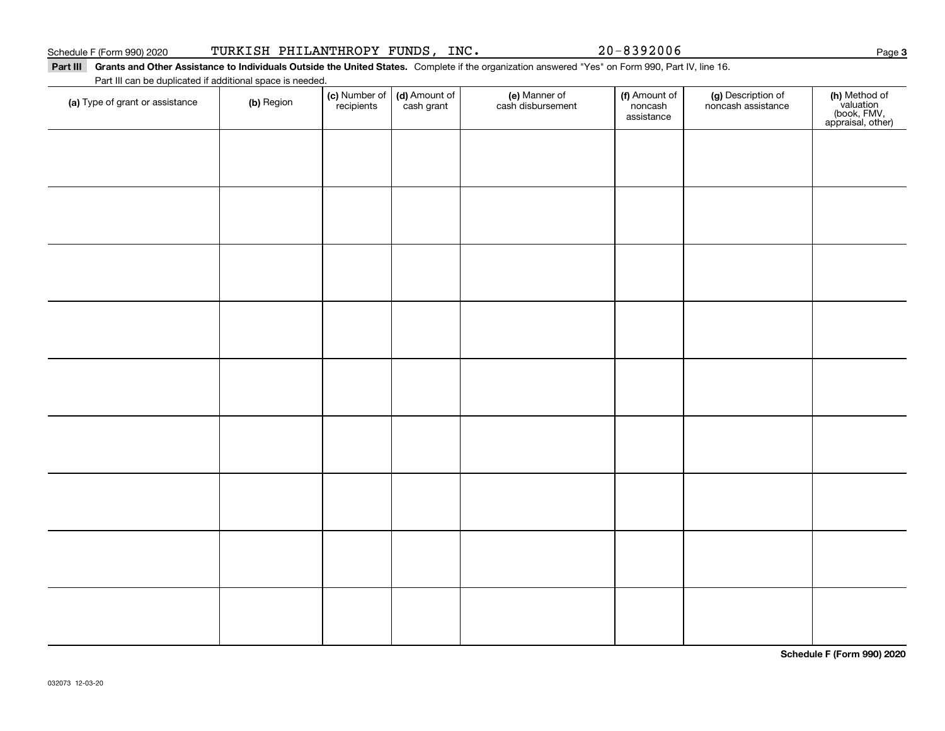## Part III Grants and Other Assistance to Individuals Outside the United States. Complete if the organization answered "Yes" on Form 990, Part IV, line 16.

Part III can be duplicated if additional space is needed.

| (a) Type of grant or assistance | (b) Region | (c) Number of<br>recipients | (d) Amount of<br>cash grant | (e) Manner of<br>cash disbursement | (f) Amount of<br>noncash<br>assistance | (g) Description of<br>noncash assistance | (h) Method of<br>valuation<br>(book, FMV,<br>appraisal, other) |
|---------------------------------|------------|-----------------------------|-----------------------------|------------------------------------|----------------------------------------|------------------------------------------|----------------------------------------------------------------|
|                                 |            |                             |                             |                                    |                                        |                                          |                                                                |
|                                 |            |                             |                             |                                    |                                        |                                          |                                                                |
|                                 |            |                             |                             |                                    |                                        |                                          |                                                                |
|                                 |            |                             |                             |                                    |                                        |                                          |                                                                |
|                                 |            |                             |                             |                                    |                                        |                                          |                                                                |
|                                 |            |                             |                             |                                    |                                        |                                          |                                                                |
|                                 |            |                             |                             |                                    |                                        |                                          |                                                                |
|                                 |            |                             |                             |                                    |                                        |                                          |                                                                |
|                                 |            |                             |                             |                                    |                                        |                                          |                                                                |
|                                 |            |                             |                             |                                    |                                        |                                          |                                                                |
|                                 |            |                             |                             |                                    |                                        |                                          |                                                                |

**Schedule F (Form 990) 2020**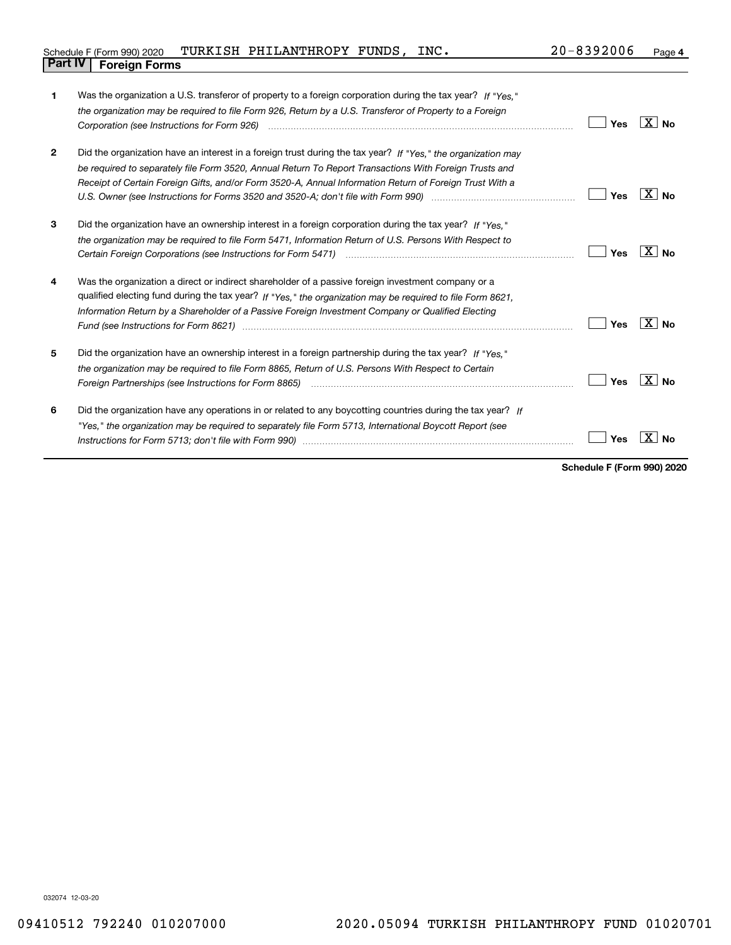| Schedule F (Form 990) 2020     | TURKISH PHILANTHROPY FUNDS, INC. |  | $20 - 8392006$ | Page |
|--------------------------------|----------------------------------|--|----------------|------|
| <b>Part IV   Foreign Forms</b> |                                  |  |                |      |

| 1            | Was the organization a U.S. transferor of property to a foreign corporation during the tax year? If "Yes."<br>the organization may be required to file Form 926, Return by a U.S. Transferor of Property to a Foreign<br>Corporation (see Instructions for Form 926)                                                                                                                                                                                | Yes | $X \mid N_0$ |
|--------------|-----------------------------------------------------------------------------------------------------------------------------------------------------------------------------------------------------------------------------------------------------------------------------------------------------------------------------------------------------------------------------------------------------------------------------------------------------|-----|--------------|
| $\mathbf{2}$ | Did the organization have an interest in a foreign trust during the tax year? If "Yes," the organization may<br>be required to separately file Form 3520, Annual Return To Report Transactions With Foreign Trusts and<br>Receipt of Certain Foreign Gifts, and/or Form 3520-A, Annual Information Return of Foreign Trust With a<br>U.S. Owner (see Instructions for Forms 3520 and 3520-A; don't file with Form 990) manufactured uncontrolled to | Yes | X∣No         |
| 3            | Did the organization have an ownership interest in a foreign corporation during the tax year? If "Yes."<br>the organization may be required to file Form 5471, Information Return of U.S. Persons With Respect to                                                                                                                                                                                                                                   | Yes | $X \mid N_0$ |
| 4            | Was the organization a direct or indirect shareholder of a passive foreign investment company or a<br>qualified electing fund during the tax year? If "Yes," the organization may be required to file Form 8621,<br>Information Return by a Shareholder of a Passive Foreign Investment Company or Qualified Electing                                                                                                                               | Yes | ⊦X ∣ No      |
| 5            | Did the organization have an ownership interest in a foreign partnership during the tax year? If "Yes."<br>the organization may be required to file Form 8865, Return of U.S. Persons With Respect to Certain                                                                                                                                                                                                                                       | Yes | $X \mid N_0$ |
| 6            | Did the organization have any operations in or related to any boycotting countries during the tax year? If<br>"Yes," the organization may be required to separately file Form 5713, International Boycott Report (see                                                                                                                                                                                                                               | Yes |              |

**Schedule F (Form 990) 2020**

032074 12-03-20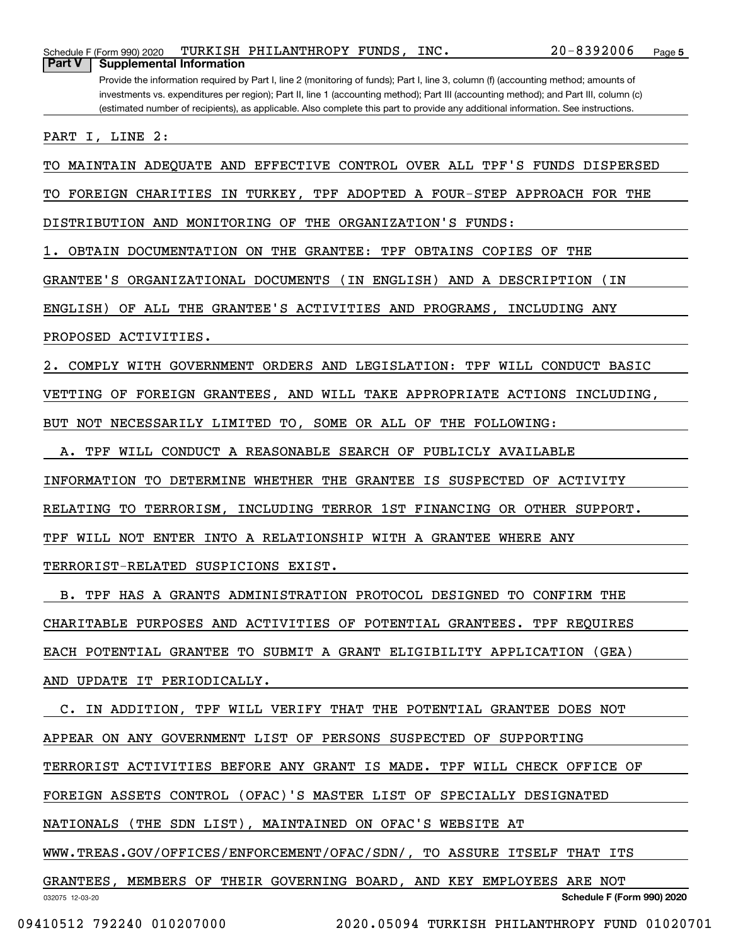Schedule F (Form 990) 2020 Page TURKISH PHILANTHROPY FUNDS, INC. 20-8392006 **Part V Supplemental Information**

Provide the information required by Part I, line 2 (monitoring of funds); Part I, line 3, column (f) (accounting method; amounts of investments vs. expenditures per region); Part II, line 1 (accounting method); Part III (accounting method); and Part III, column (c) (estimated number of recipients), as applicable. Also complete this part to provide any additional information. See instructions.

PART I, LINE 2:

TO MAINTAIN ADEQUATE AND EFFECTIVE CONTROL OVER ALL TPF'S FUNDS DISPERSED

TO FOREIGN CHARITIES IN TURKEY, TPF ADOPTED A FOUR-STEP APPROACH FOR THE

DISTRIBUTION AND MONITORING OF THE ORGANIZATION'S FUNDS:

1. OBTAIN DOCUMENTATION ON THE GRANTEE: TPF OBTAINS COPIES OF THE

GRANTEE'S ORGANIZATIONAL DOCUMENTS (IN ENGLISH) AND A DESCRIPTION (IN

ENGLISH) OF ALL THE GRANTEE'S ACTIVITIES AND PROGRAMS, INCLUDING ANY

PROPOSED ACTIVITIES.

2. COMPLY WITH GOVERNMENT ORDERS AND LEGISLATION: TPF WILL CONDUCT BASIC

VETTING OF FOREIGN GRANTEES, AND WILL TAKE APPROPRIATE ACTIONS INCLUDING,

BUT NOT NECESSARILY LIMITED TO, SOME OR ALL OF THE FOLLOWING:

A. TPF WILL CONDUCT A REASONABLE SEARCH OF PUBLICLY AVAILABLE

INFORMATION TO DETERMINE WHETHER THE GRANTEE IS SUSPECTED OF ACTIVITY

RELATING TO TERRORISM, INCLUDING TERROR 1ST FINANCING OR OTHER SUPPORT.

TPF WILL NOT ENTER INTO A RELATIONSHIP WITH A GRANTEE WHERE ANY

TERRORIST-RELATED SUSPICIONS EXIST.

 B. TPF HAS A GRANTS ADMINISTRATION PROTOCOL DESIGNED TO CONFIRM THE CHARITABLE PURPOSES AND ACTIVITIES OF POTENTIAL GRANTEES. TPF REQUIRES EACH POTENTIAL GRANTEE TO SUBMIT A GRANT ELIGIBILITY APPLICATION (GEA) AND UPDATE IT PERIODICALLY.

032075 12-03-20 **Schedule F (Form 990) 2020** C. IN ADDITION, TPF WILL VERIFY THAT THE POTENTIAL GRANTEE DOES NOT APPEAR ON ANY GOVERNMENT LIST OF PERSONS SUSPECTED OF SUPPORTING TERRORIST ACTIVITIES BEFORE ANY GRANT IS MADE. TPF WILL CHECK OFFICE OF FOREIGN ASSETS CONTROL (OFAC)'S MASTER LIST OF SPECIALLY DESIGNATED NATIONALS (THE SDN LIST), MAINTAINED ON OFAC'S WEBSITE AT WWW.TREAS.GOV/OFFICES/ENFORCEMENT/OFAC/SDN/, TO ASSURE ITSELF THAT ITS GRANTEES, MEMBERS OF THEIR GOVERNING BOARD, AND KEY EMPLOYEES ARE NOT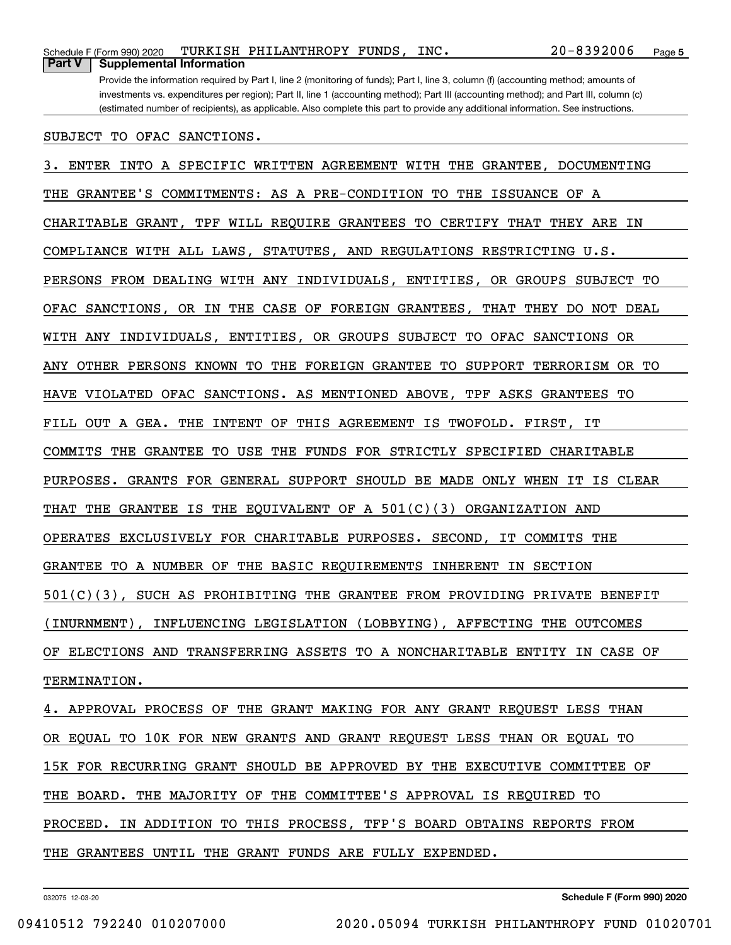## SUBJECT TO OFAC SANCTIONS.

3. ENTER INTO A SPECIFIC WRITTEN AGREEMENT WITH THE GRANTEE, DOCUMENTING THE GRANTEE'S COMMITMENTS: AS A PRE-CONDITION TO THE ISSUANCE OF A CHARITABLE GRANT, TPF WILL REQUIRE GRANTEES TO CERTIFY THAT THEY ARE IN COMPLIANCE WITH ALL LAWS, STATUTES, AND REGULATIONS RESTRICTING U.S. PERSONS FROM DEALING WITH ANY INDIVIDUALS, ENTITIES, OR GROUPS SUBJECT TO OFAC SANCTIONS, OR IN THE CASE OF FOREIGN GRANTEES, THAT THEY DO NOT DEAL WITH ANY INDIVIDUALS, ENTITIES, OR GROUPS SUBJECT TO OFAC SANCTIONS OR ANY OTHER PERSONS KNOWN TO THE FOREIGN GRANTEE TO SUPPORT TERRORISM OR TO HAVE VIOLATED OFAC SANCTIONS. AS MENTIONED ABOVE, TPF ASKS GRANTEES TO FILL OUT A GEA. THE INTENT OF THIS AGREEMENT IS TWOFOLD. FIRST, IT COMMITS THE GRANTEE TO USE THE FUNDS FOR STRICTLY SPECIFIED CHARITABLE PURPOSES. GRANTS FOR GENERAL SUPPORT SHOULD BE MADE ONLY WHEN IT IS CLEAR THAT THE GRANTEE IS THE EQUIVALENT OF A 501(C)(3) ORGANIZATION AND OPERATES EXCLUSIVELY FOR CHARITABLE PURPOSES. SECOND, IT COMMITS THE GRANTEE TO A NUMBER OF THE BASIC REQUIREMENTS INHERENT IN SECTION 501(C)(3), SUCH AS PROHIBITING THE GRANTEE FROM PROVIDING PRIVATE BENEFIT (INURNMENT), INFLUENCING LEGISLATION (LOBBYING), AFFECTING THE OUTCOMES OF ELECTIONS AND TRANSFERRING ASSETS TO A NONCHARITABLE ENTITY IN CASE OF TERMINATION.

4. APPROVAL PROCESS OF THE GRANT MAKING FOR ANY GRANT REQUEST LESS THAN OR EQUAL TO 10K FOR NEW GRANTS AND GRANT REQUEST LESS THAN OR EQUAL TO 15K FOR RECURRING GRANT SHOULD BE APPROVED BY THE EXECUTIVE COMMITTEE OF THE BOARD. THE MAJORITY OF THE COMMITTEE'S APPROVAL IS REQUIRED TO PROCEED. IN ADDITION TO THIS PROCESS, TFP'S BOARD OBTAINS REPORTS FROM THE GRANTEES UNTIL THE GRANT FUNDS ARE FULLY EXPENDED.

032075 12-03-20

**Schedule F (Form 990) 2020**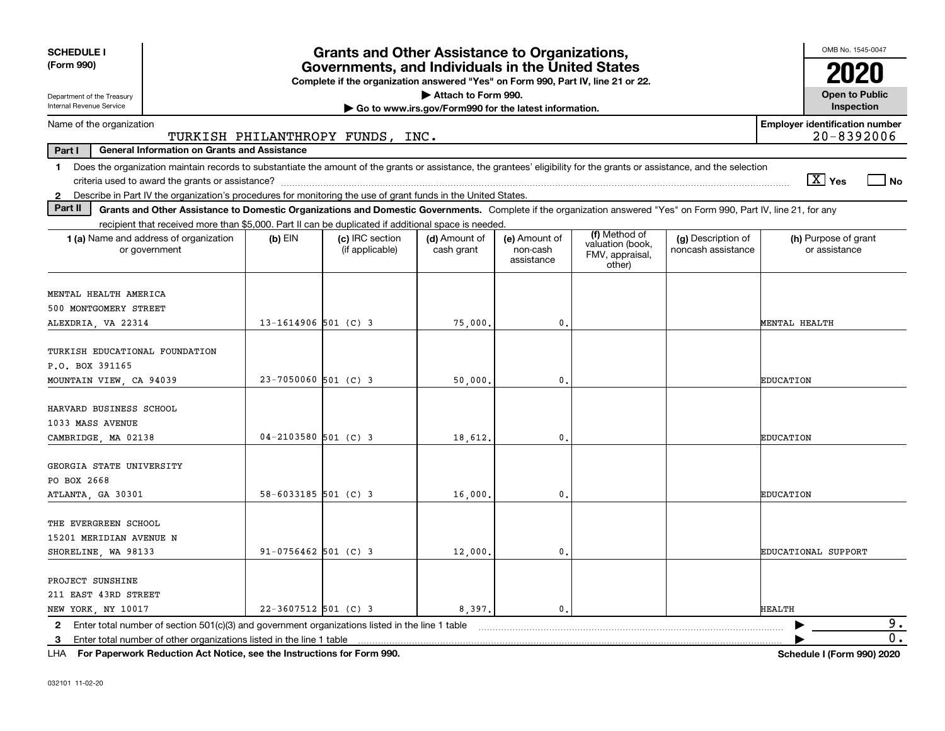| <b>SCHEDULE I</b><br>(Form 990)                                        |                                                                                                                                                                                                                                                                                     |                          | <b>Grants and Other Assistance to Organizations,</b><br>Governments, and Individuals in the United States |                                                       |                                         |                                                                |                                          | OMB No. 1545-0047                                   |
|------------------------------------------------------------------------|-------------------------------------------------------------------------------------------------------------------------------------------------------------------------------------------------------------------------------------------------------------------------------------|--------------------------|-----------------------------------------------------------------------------------------------------------|-------------------------------------------------------|-----------------------------------------|----------------------------------------------------------------|------------------------------------------|-----------------------------------------------------|
|                                                                        |                                                                                                                                                                                                                                                                                     |                          | Complete if the organization answered "Yes" on Form 990, Part IV, line 21 or 22.                          |                                                       |                                         |                                                                |                                          |                                                     |
| Department of the Treasury                                             |                                                                                                                                                                                                                                                                                     |                          |                                                                                                           | Attach to Form 990.                                   |                                         |                                                                |                                          | <b>Open to Public</b>                               |
| Internal Revenue Service                                               |                                                                                                                                                                                                                                                                                     |                          |                                                                                                           | Go to www.irs.gov/Form990 for the latest information. |                                         |                                                                |                                          | Inspection                                          |
| Name of the organization                                               |                                                                                                                                                                                                                                                                                     |                          | TURKISH PHILANTHROPY FUNDS, INC.                                                                          |                                                       |                                         |                                                                |                                          | <b>Employer identification number</b><br>20-8392006 |
| Part I                                                                 | <b>General Information on Grants and Assistance</b>                                                                                                                                                                                                                                 |                          |                                                                                                           |                                                       |                                         |                                                                |                                          |                                                     |
| 1.                                                                     | Does the organization maintain records to substantiate the amount of the grants or assistance, the grantees' eligibility for the grants or assistance, and the selection                                                                                                            |                          |                                                                                                           |                                                       |                                         |                                                                |                                          | $\boxed{\text{X}}$ Yes<br>  No                      |
| $\mathbf{2}$<br>Part II                                                | Describe in Part IV the organization's procedures for monitoring the use of grant funds in the United States.<br>Grants and Other Assistance to Domestic Organizations and Domestic Governments. Complete if the organization answered "Yes" on Form 990, Part IV, line 21, for any |                          |                                                                                                           |                                                       |                                         |                                                                |                                          |                                                     |
|                                                                        | recipient that received more than \$5,000. Part II can be duplicated if additional space is needed.                                                                                                                                                                                 |                          |                                                                                                           |                                                       |                                         |                                                                |                                          |                                                     |
|                                                                        | 1 (a) Name and address of organization<br>or government                                                                                                                                                                                                                             | $(b)$ EIN                | (c) IRC section<br>(if applicable)                                                                        | (d) Amount of<br>cash grant                           | (e) Amount of<br>non-cash<br>assistance | (f) Method of<br>valuation (book,<br>FMV, appraisal,<br>other) | (g) Description of<br>noncash assistance | (h) Purpose of grant<br>or assistance               |
| MENTAL HEALTH AMERICA                                                  |                                                                                                                                                                                                                                                                                     |                          |                                                                                                           |                                                       |                                         |                                                                |                                          |                                                     |
| 500 MONTGOMERY STREET                                                  |                                                                                                                                                                                                                                                                                     |                          |                                                                                                           |                                                       |                                         |                                                                |                                          |                                                     |
| ALEXDRIA, VA 22314                                                     |                                                                                                                                                                                                                                                                                     | $13 - 1614906$ 501 (C) 3 |                                                                                                           | 75,000.                                               | 0.                                      |                                                                |                                          | MENTAL HEALTH                                       |
| TURKISH EDUCATIONAL FOUNDATION<br>P.O. BOX 391165                      |                                                                                                                                                                                                                                                                                     |                          |                                                                                                           |                                                       |                                         |                                                                |                                          |                                                     |
| MOUNTAIN VIEW, CA 94039                                                |                                                                                                                                                                                                                                                                                     | $23 - 7050060$ 501 (C) 3 |                                                                                                           | 50,000                                                | 0.                                      |                                                                |                                          | <b>EDUCATION</b>                                    |
| HARVARD BUSINESS SCHOOL<br>1033 MASS AVENUE<br>CAMBRIDGE, MA 02138     |                                                                                                                                                                                                                                                                                     | $04 - 2103580$ 501 (C) 3 |                                                                                                           | 18,612.                                               | 0.                                      |                                                                |                                          | <b>EDUCATION</b>                                    |
| GEORGIA STATE UNIVERSITY<br>PO BOX 2668<br>ATLANTA, GA 30301           |                                                                                                                                                                                                                                                                                     | $58 - 6033185$ 501 (C) 3 |                                                                                                           | 16,000                                                | $\mathbf{0}$ .                          |                                                                |                                          | <b>EDUCATION</b>                                    |
|                                                                        |                                                                                                                                                                                                                                                                                     |                          |                                                                                                           |                                                       |                                         |                                                                |                                          |                                                     |
| THE EVERGREEN SCHOOL<br>15201 MERIDIAN AVENUE N<br>SHORELINE, WA 98133 |                                                                                                                                                                                                                                                                                     | $91-0756462$ 501 (C) 3   |                                                                                                           | 12,000                                                | 0.                                      |                                                                |                                          | EDUCATIONAL SUPPORT                                 |
| PROJECT SUNSHINE<br>211 EAST 43RD STREET<br>NEW YORK, NY 10017         |                                                                                                                                                                                                                                                                                     | 22-3607512 501 (C) 3     |                                                                                                           | 8,397.                                                | 0.                                      |                                                                |                                          | <b>HEALTH</b>                                       |
| $\mathbf{2}$                                                           | Enter total number of section $501(c)(3)$ and government organizations listed in the line 1 table                                                                                                                                                                                   |                          |                                                                                                           |                                                       |                                         |                                                                |                                          | 9.                                                  |
|                                                                        |                                                                                                                                                                                                                                                                                     |                          |                                                                                                           |                                                       |                                         |                                                                |                                          | 0.                                                  |
|                                                                        |                                                                                                                                                                                                                                                                                     |                          |                                                                                                           |                                                       |                                         |                                                                |                                          |                                                     |

**For Paperwork Reduction Act Notice, see the Instructions for Form 990. Schedule I (Form 990) 2020** LHA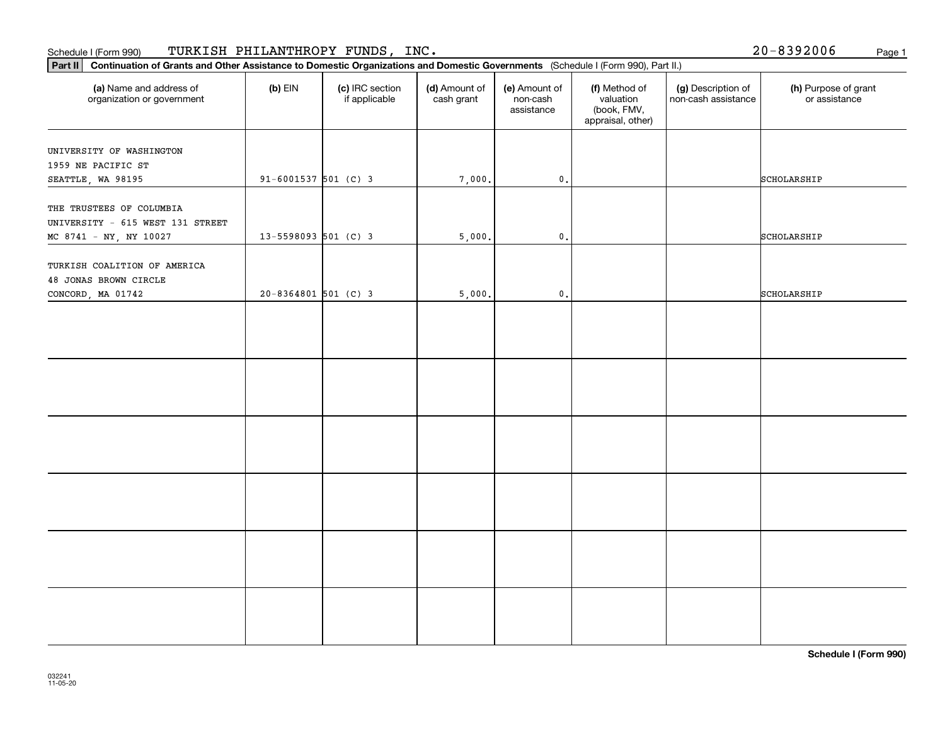#### Schedule I (Form 990) Page 1 TURKISH PHILANTHROPY FUNDS, INC.

032241 11-05-20

| Part II   Continuation of Grants and Other Assistance to Domestic Organizations and Domestic Governments (Schedule I (Form 990), Part II.) |                          |                                  |                             |                                         |                                                                |                                           |                                       |
|--------------------------------------------------------------------------------------------------------------------------------------------|--------------------------|----------------------------------|-----------------------------|-----------------------------------------|----------------------------------------------------------------|-------------------------------------------|---------------------------------------|
| (a) Name and address of<br>organization or government                                                                                      | $(b)$ EIN                | (c) IRC section<br>if applicable | (d) Amount of<br>cash grant | (e) Amount of<br>non-cash<br>assistance | (f) Method of<br>valuation<br>(book, FMV,<br>appraisal, other) | (g) Description of<br>non-cash assistance | (h) Purpose of grant<br>or assistance |
| UNIVERSITY OF WASHINGTON<br>1959 NE PACIFIC ST<br>SEATTLE, WA 98195                                                                        | $91 - 6001537$ 501 (C) 3 |                                  | 7,000.                      | $\mathfrak o$ .                         |                                                                |                                           | SCHOLARSHIP                           |
| THE TRUSTEES OF COLUMBIA<br>UNIVERSITY - 615 WEST 131 STREET<br>MC 8741 - NY, NY 10027                                                     | $13 - 5598093$ 501 (C) 3 |                                  | 5,000.                      | $\mathfrak o$ .                         |                                                                |                                           | SCHOLARSHIP                           |
| TURKISH COALITION OF AMERICA<br>48 JONAS BROWN CIRCLE<br>CONCORD, MA 01742                                                                 | $20 - 8364801$ 501 (C) 3 |                                  | 5,000.                      | $\mathfrak o$ .                         |                                                                |                                           | SCHOLARSHIP                           |
|                                                                                                                                            |                          |                                  |                             |                                         |                                                                |                                           |                                       |
|                                                                                                                                            |                          |                                  |                             |                                         |                                                                |                                           |                                       |
|                                                                                                                                            |                          |                                  |                             |                                         |                                                                |                                           |                                       |
|                                                                                                                                            |                          |                                  |                             |                                         |                                                                |                                           |                                       |
|                                                                                                                                            |                          |                                  |                             |                                         |                                                                |                                           |                                       |
|                                                                                                                                            |                          |                                  |                             |                                         |                                                                |                                           |                                       |

**Schedule I (Form 990)**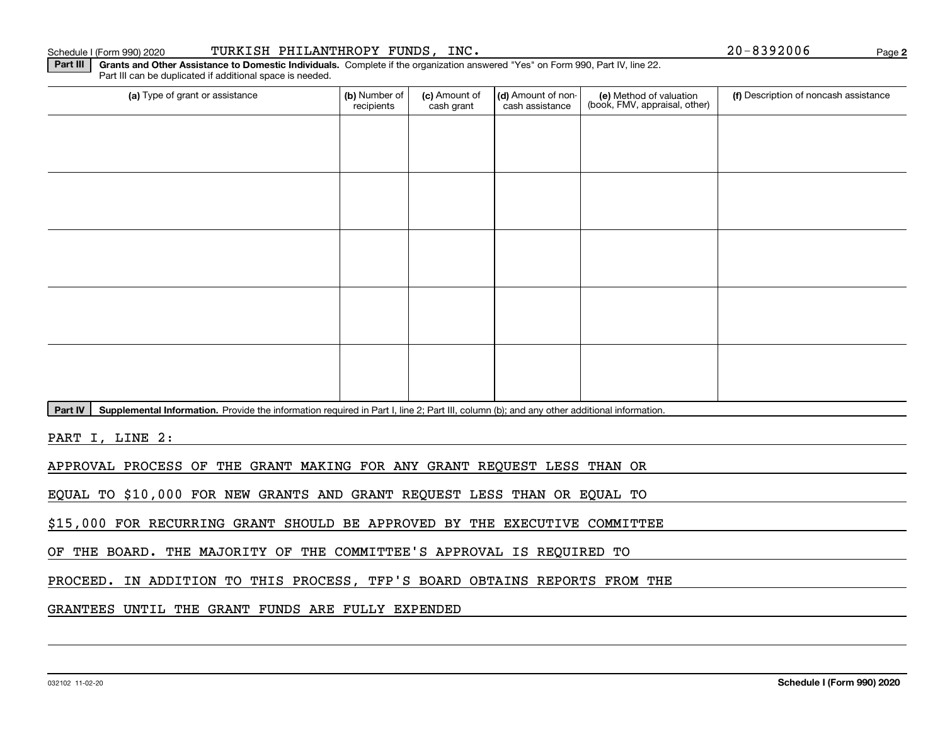PART I, LINE 2:

# PROCEED. IN ADDITION TO THIS PROCESS, TFP'S BOARD OBTAINS REPORTS FROM THE

## GRANTEES UNTIL THE GRANT FUNDS ARE FULLY EXPENDED

OF THE BOARD. THE MAJORITY OF THE COMMITTEE'S APPROVAL IS REQUIRED TO

Part IV | Supplemental Information. Provide the information required in Part I, line 2; Part III, column (b); and any other additional information.

APPROVAL PROCESS OF THE GRANT MAKING FOR ANY GRANT REQUEST LESS THAN OR

EQUAL TO \$10,000 FOR NEW GRANTS AND GRANT REQUEST LESS THAN OR EQUAL TO

\$15,000 FOR RECURRING GRANT SHOULD BE APPROVED BY THE EXECUTIVE COMMITTEE

**Part III** | Grants and Other Assistance to Domestic Individuals. Complete if the organization answered "Yes" on Form 990, Part IV, line 22. Part III can be duplicated if additional space is needed.

| (a) Type of grant or assistance | (b) Number of<br>recipients | (c) Amount of<br>cash grant | (d) Amount of non-<br>cash assistance | (e) Method of valuation<br>(book, FMV, appraisal, other) | (f) Description of noncash assistance |
|---------------------------------|-----------------------------|-----------------------------|---------------------------------------|----------------------------------------------------------|---------------------------------------|
|                                 |                             |                             |                                       |                                                          |                                       |
|                                 |                             |                             |                                       |                                                          |                                       |
|                                 |                             |                             |                                       |                                                          |                                       |
|                                 |                             |                             |                                       |                                                          |                                       |
|                                 |                             |                             |                                       |                                                          |                                       |
|                                 |                             |                             |                                       |                                                          |                                       |
|                                 |                             |                             |                                       |                                                          |                                       |
|                                 |                             |                             |                                       |                                                          |                                       |
|                                 |                             |                             |                                       |                                                          |                                       |
|                                 |                             |                             |                                       |                                                          |                                       |

**2**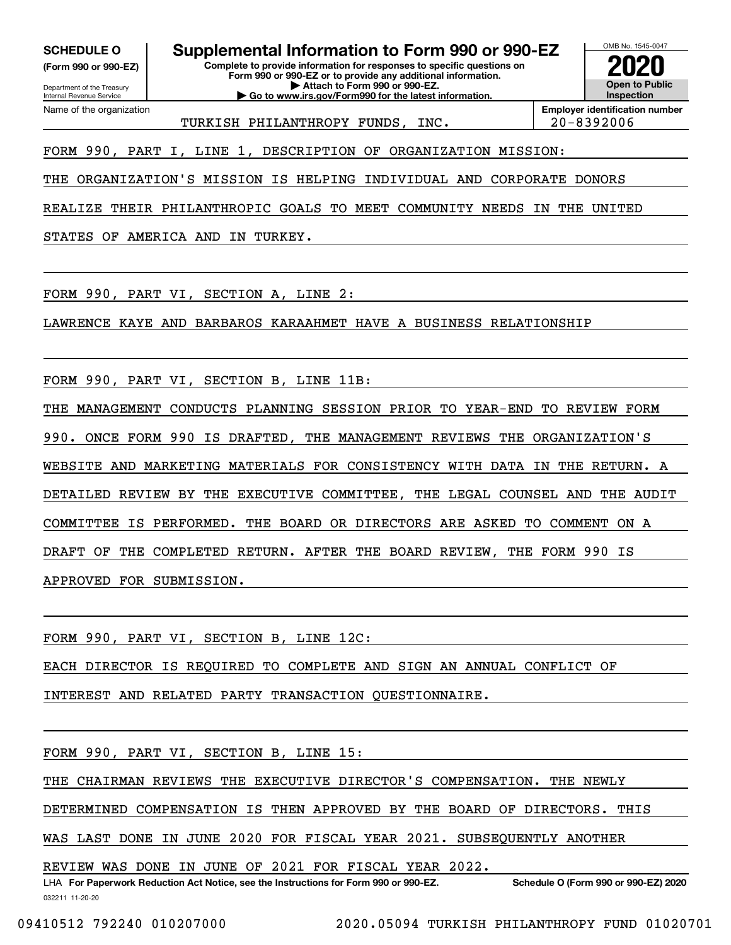**(Form 990 or 990-EZ)**

Department of the Treasury Internal Revenue Service Name of the organization

**SCHEDULE O Supplemental Information to Form 990 or 990-EZ**

**Complete to provide information for responses to specific questions on Form 990 or 990-EZ or to provide any additional information. | Attach to Form 990 or 990-EZ.**

**| Go to www.irs.gov/Form990 for the latest information.**



TURKISH PHILANTHROPY FUNDS, INC. 20-8392006

**Employer identification number**

FORM 990, PART I, LINE 1, DESCRIPTION OF ORGANIZATION MISSION:

THE ORGANIZATION'S MISSION IS HELPING INDIVIDUAL AND CORPORATE DONORS

REALIZE THEIR PHILANTHROPIC GOALS TO MEET COMMUNITY NEEDS IN THE UNITED

STATES OF AMERICA AND IN TURKEY.

FORM 990, PART VI, SECTION A, LINE 2:

LAWRENCE KAYE AND BARBAROS KARAAHMET HAVE A BUSINESS RELATIONSHIP

FORM 990, PART VI, SECTION B, LINE 11B:

THE MANAGEMENT CONDUCTS PLANNING SESSION PRIOR TO YEAR-END TO REVIEW FORM

990. ONCE FORM 990 IS DRAFTED, THE MANAGEMENT REVIEWS THE ORGANIZATION'S

WEBSITE AND MARKETING MATERIALS FOR CONSISTENCY WITH DATA IN THE RETURN. A

DETAILED REVIEW BY THE EXECUTIVE COMMITTEE, THE LEGAL COUNSEL AND THE AUDIT

COMMITTEE IS PERFORMED. THE BOARD OR DIRECTORS ARE ASKED TO COMMENT ON A

DRAFT OF THE COMPLETED RETURN. AFTER THE BOARD REVIEW, THE FORM 990 IS

APPROVED FOR SUBMISSION.

FORM 990, PART VI, SECTION B, LINE 12C:

EACH DIRECTOR IS REQUIRED TO COMPLETE AND SIGN AN ANNUAL CONFLICT OF

INTEREST AND RELATED PARTY TRANSACTION QUESTIONNAIRE.

FORM 990, PART VI, SECTION B, LINE 15:

THE CHAIRMAN REVIEWS THE EXECUTIVE DIRECTOR'S COMPENSATION. THE NEWLY

DETERMINED COMPENSATION IS THEN APPROVED BY THE BOARD OF DIRECTORS. THIS

WAS LAST DONE IN JUNE 2020 FOR FISCAL YEAR 2021. SUBSEQUENTLY ANOTHER

REVIEW WAS DONE IN JUNE OF 2021 FOR FISCAL YEAR 2022.

032211 11-20-20 LHA For Paperwork Reduction Act Notice, see the Instructions for Form 990 or 990-EZ. Schedule O (Form 990 or 990-EZ) 2020